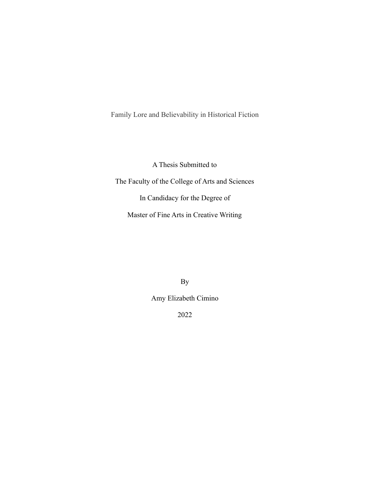Family Lore and Believability in Historical Fiction

A Thesis Submitted to

The Faculty of the College of Arts and Sciences

In Candidacy for the Degree of

Master of Fine Arts in Creative Writing

By

Amy Elizabeth Cimino

2022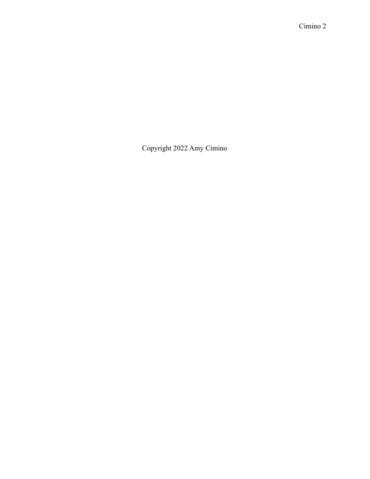Copyright 2022 Amy Cimino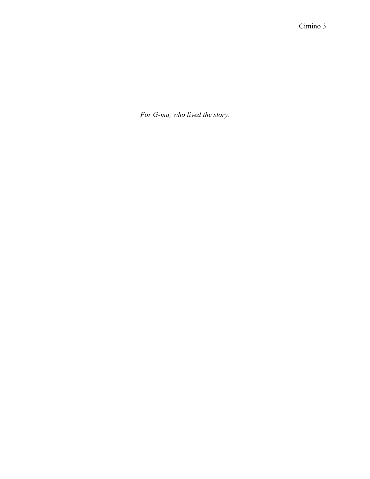*For G-ma, who lived the story.*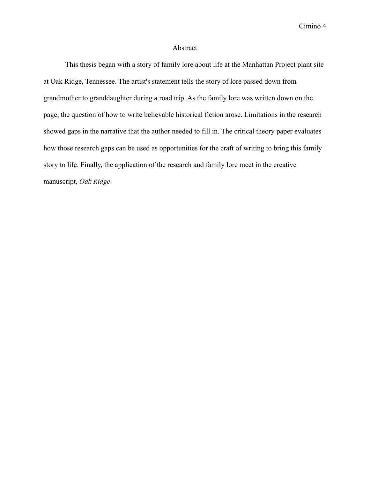## Abstract

This thesis began with a story of family lore about life at the Manhattan Project plant site at Oak Ridge, Tennessee. The artist's statement tells the story of lore passed down from grandmother to granddaughter during a road trip. As the family lore was written down on the page, the question of how to write believable historical fiction arose. Limitations in the research showed gaps in the narrative that the author needed to fill in. The critical theory paper evaluates how those research gaps can be used as opportunities for the craft of writing to bring this family story to life. Finally, the application of the research and family lore meet in the creative manuscript, *Oak Ridge*.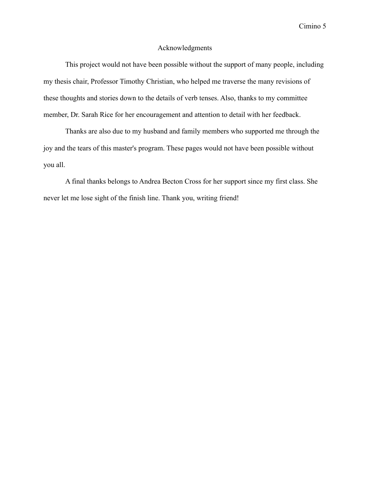## Acknowledgments

This project would not have been possible without the support of many people, including my thesis chair, Professor Timothy Christian, who helped me traverse the many revisions of these thoughts and stories down to the details of verb tenses. Also, thanks to my committee member, Dr. Sarah Rice for her encouragement and attention to detail with her feedback.

Thanks are also due to my husband and family members who supported me through the joy and the tears of this master's program. These pages would not have been possible without you all.

A final thanks belongs to Andrea Becton Cross for her support since my first class. She never let me lose sight of the finish line. Thank you, writing friend!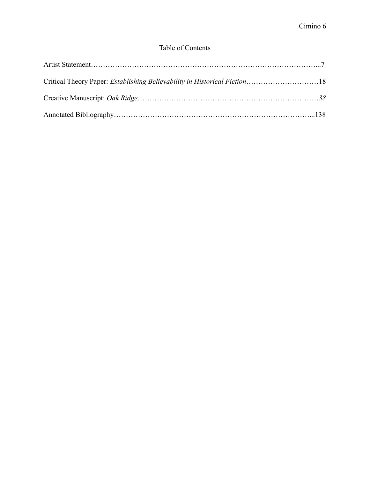# Table of Contents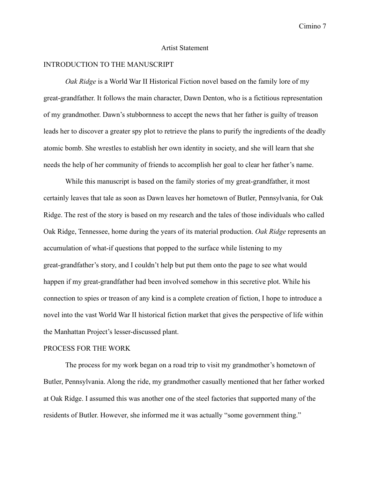#### Artist Statement

## INTRODUCTION TO THE MANUSCRIPT

*Oak Ridge* is a World War II Historical Fiction novel based on the family lore of my great-grandfather. It follows the main character, Dawn Denton, who is a fictitious representation of my grandmother. Dawn's stubbornness to accept the news that her father is guilty of treason leads her to discover a greater spy plot to retrieve the plans to purify the ingredients of the deadly atomic bomb. She wrestles to establish her own identity in society, and she will learn that she needs the help of her community of friends to accomplish her goal to clear her father's name.

While this manuscript is based on the family stories of my great-grandfather, it most certainly leaves that tale as soon as Dawn leaves her hometown of Butler, Pennsylvania, for Oak Ridge. The rest of the story is based on my research and the tales of those individuals who called Oak Ridge, Tennessee, home during the years of its material production. *Oak Ridge* represents an accumulation of what-if questions that popped to the surface while listening to my great-grandfather's story, and I couldn't help but put them onto the page to see what would happen if my great-grandfather had been involved somehow in this secretive plot. While his connection to spies or treason of any kind is a complete creation of fiction, I hope to introduce a novel into the vast World War II historical fiction market that gives the perspective of life within the Manhattan Project's lesser-discussed plant.

#### PROCESS FOR THE WORK

The process for my work began on a road trip to visit my grandmother's hometown of Butler, Pennsylvania. Along the ride, my grandmother casually mentioned that her father worked at Oak Ridge. I assumed this was another one of the steel factories that supported many of the residents of Butler. However, she informed me it was actually "some government thing."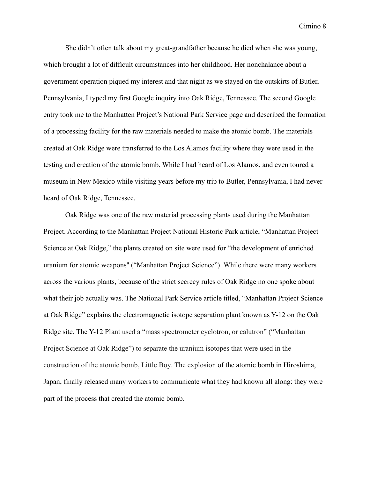She didn't often talk about my great-grandfather because he died when she was young, which brought a lot of difficult circumstances into her childhood. Her nonchalance about a government operation piqued my interest and that night as we stayed on the outskirts of Butler, Pennsylvania, I typed my first Google inquiry into Oak Ridge, Tennessee. The second Google entry took me to the Manhatten Project's National Park Service page and described the formation of a processing facility for the raw materials needed to make the atomic bomb. The materials created at Oak Ridge were transferred to the Los Alamos facility where they were used in the testing and creation of the atomic bomb. While I had heard of Los Alamos, and even toured a museum in New Mexico while visiting years before my trip to Butler, Pennsylvania, I had never heard of Oak Ridge, Tennessee.

Oak Ridge was one of the raw material processing plants used during the Manhattan Project. According to the Manhattan Project National Historic Park article, "Manhattan Project Science at Oak Ridge," the plants created on site were used for "the development of enriched uranium for atomic weapons'' ("Manhattan Project Science"). While there were many workers across the various plants, because of the strict secrecy rules of Oak Ridge no one spoke about what their job actually was. The National Park Service article titled, "Manhattan Project Science at Oak Ridge" explains the electromagnetic isotope separation plant known as Y-12 on the Oak Ridge site. The Y-12 Plant used a "mass spectrometer cyclotron, or calutron" ("Manhattan Project Science at Oak Ridge") to separate the uranium isotopes that were used in the construction of the atomic bomb, Little Boy. The explosion of the atomic bomb in Hiroshima, Japan, finally released many workers to communicate what they had known all along: they were part of the process that created the atomic bomb.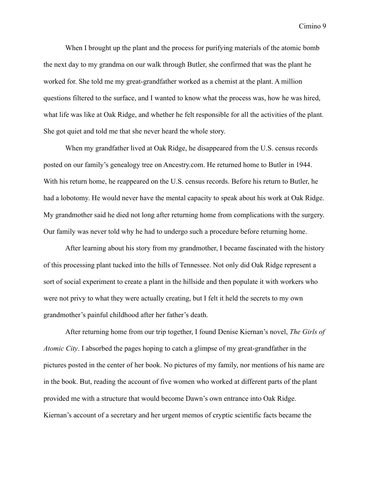When I brought up the plant and the process for purifying materials of the atomic bomb the next day to my grandma on our walk through Butler, she confirmed that was the plant he worked for. She told me my great-grandfather worked as a chemist at the plant. A million questions filtered to the surface, and I wanted to know what the process was, how he was hired, what life was like at Oak Ridge, and whether he felt responsible for all the activities of the plant. She got quiet and told me that she never heard the whole story.

When my grandfather lived at Oak Ridge, he disappeared from the U.S. census records posted on our family's genealogy tree on Ancestry.com. He returned home to Butler in 1944. With his return home, he reappeared on the U.S. census records. Before his return to Butler, he had a lobotomy. He would never have the mental capacity to speak about his work at Oak Ridge. My grandmother said he died not long after returning home from complications with the surgery. Our family was never told why he had to undergo such a procedure before returning home.

After learning about his story from my grandmother, I became fascinated with the history of this processing plant tucked into the hills of Tennessee. Not only did Oak Ridge represent a sort of social experiment to create a plant in the hillside and then populate it with workers who were not privy to what they were actually creating, but I felt it held the secrets to my own grandmother's painful childhood after her father's death.

After returning home from our trip together, I found Denise Kiernan's novel, *The Girls of Atomic City*. I absorbed the pages hoping to catch a glimpse of my great-grandfather in the pictures posted in the center of her book. No pictures of my family, nor mentions of his name are in the book. But, reading the account of five women who worked at different parts of the plant provided me with a structure that would become Dawn's own entrance into Oak Ridge. Kiernan's account of a secretary and her urgent memos of cryptic scientific facts became the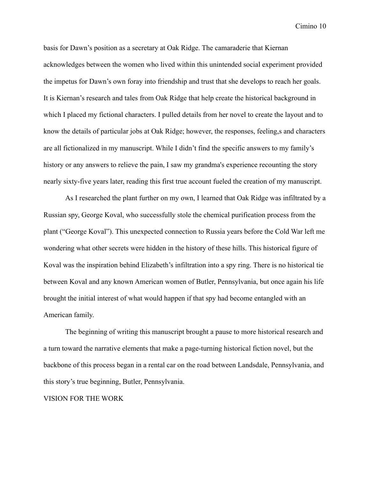basis for Dawn's position as a secretary at Oak Ridge. The camaraderie that Kiernan acknowledges between the women who lived within this unintended social experiment provided the impetus for Dawn's own foray into friendship and trust that she develops to reach her goals. It is Kiernan's research and tales from Oak Ridge that help create the historical background in which I placed my fictional characters. I pulled details from her novel to create the layout and to know the details of particular jobs at Oak Ridge; however, the responses, feeling,s and characters are all fictionalized in my manuscript. While I didn't find the specific answers to my family's history or any answers to relieve the pain, I saw my grandma's experience recounting the story nearly sixty-five years later, reading this first true account fueled the creation of my manuscript.

As I researched the plant further on my own, I learned that Oak Ridge was infiltrated by a Russian spy, George Koval, who successfully stole the chemical purification process from the plant ("George Koval"). This unexpected connection to Russia years before the Cold War left me wondering what other secrets were hidden in the history of these hills. This historical figure of Koval was the inspiration behind Elizabeth's infiltration into a spy ring. There is no historical tie between Koval and any known American women of Butler, Pennsylvania, but once again his life brought the initial interest of what would happen if that spy had become entangled with an American family.

The beginning of writing this manuscript brought a pause to more historical research and a turn toward the narrative elements that make a page-turning historical fiction novel, but the backbone of this process began in a rental car on the road between Landsdale, Pennsylvania, and this story's true beginning, Butler, Pennsylvania.

#### VISION FOR THE WORK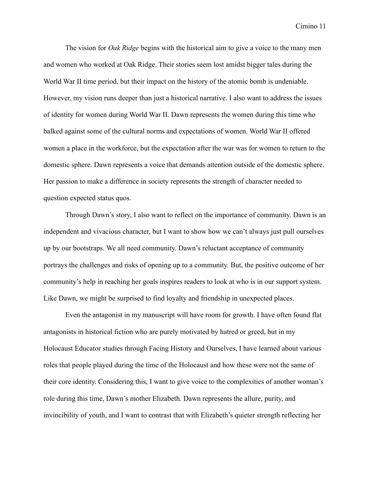The vision for *Oak Ridge* begins with the historical aim to give a voice to the many men and women who worked at Oak Ridge. Their stories seem lost amidst bigger tales during the World War II time period, but their impact on the history of the atomic bomb is undeniable. However, my vision runs deeper than just a historical narrative. I also want to address the issues of identity for women during World War II. Dawn represents the women during this time who balked against some of the cultural norms and expectations of women. World War II offered women a place in the workforce, but the expectation after the war was for women to return to the domestic sphere. Dawn represents a voice that demands attention outside of the domestic sphere. Her passion to make a difference in society represents the strength of character needed to question expected status quos.

Through Dawn's story, I also want to reflect on the importance of community. Dawn is an independent and vivacious character, but I want to show how we can't always just pull ourselves up by our bootstraps. We all need community. Dawn's reluctant acceptance of community portrays the challenges and risks of opening up to a community. But, the positive outcome of her community's help in reaching her goals inspires readers to look at who is in our support system. Like Dawn, we might be surprised to find loyalty and friendship in unexpected places.

Even the antagonist in my manuscript will have room for growth. I have often found flat antagonists in historical fiction who are purely motivated by hatred or greed, but in my Holocaust Educator studies through Facing History and Ourselves, I have learned about various roles that people played during the time of the Holocaust and how these were not the same of their core identity. Considering this, I want to give voice to the complexities of another woman's role during this time, Dawn's mother Elizabeth. Dawn represents the allure, purity, and invincibility of youth, and I want to contrast that with Elizabeth's quieter strength reflecting her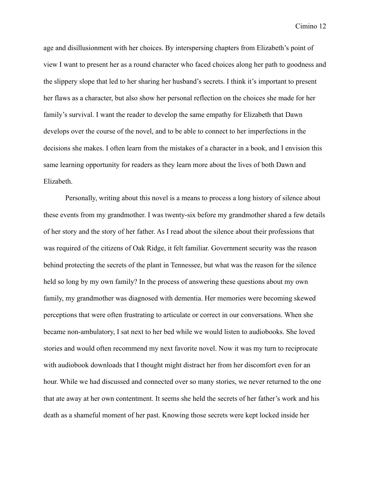age and disillusionment with her choices. By interspersing chapters from Elizabeth's point of view I want to present her as a round character who faced choices along her path to goodness and the slippery slope that led to her sharing her husband's secrets. I think it's important to present her flaws as a character, but also show her personal reflection on the choices she made for her family's survival. I want the reader to develop the same empathy for Elizabeth that Dawn develops over the course of the novel, and to be able to connect to her imperfections in the decisions she makes. I often learn from the mistakes of a character in a book, and I envision this same learning opportunity for readers as they learn more about the lives of both Dawn and Elizabeth.

Personally, writing about this novel is a means to process a long history of silence about these events from my grandmother. I was twenty-six before my grandmother shared a few details of her story and the story of her father. As I read about the silence about their professions that was required of the citizens of Oak Ridge, it felt familiar. Government security was the reason behind protecting the secrets of the plant in Tennessee, but what was the reason for the silence held so long by my own family? In the process of answering these questions about my own family, my grandmother was diagnosed with dementia. Her memories were becoming skewed perceptions that were often frustrating to articulate or correct in our conversations. When she became non-ambulatory, I sat next to her bed while we would listen to audiobooks. She loved stories and would often recommend my next favorite novel. Now it was my turn to reciprocate with audiobook downloads that I thought might distract her from her discomfort even for an hour. While we had discussed and connected over so many stories, we never returned to the one that ate away at her own contentment. It seems she held the secrets of her father's work and his death as a shameful moment of her past. Knowing those secrets were kept locked inside her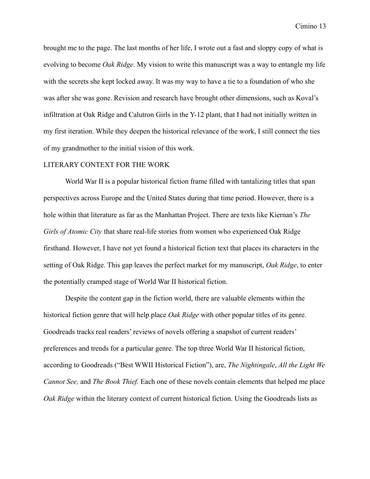brought me to the page. The last months of her life, I wrote out a fast and sloppy copy of what is evolving to become *Oak Ridge*. My vision to write this manuscript was a way to entangle my life with the secrets she kept locked away. It was my way to have a tie to a foundation of who she was after she was gone. Revision and research have brought other dimensions, such as Koval's infiltration at Oak Ridge and Calutron Girls in the Y-12 plant, that I had not initially written in my first iteration. While they deepen the historical relevance of the work, I still connect the ties of my grandmother to the initial vision of this work.

#### LITERARY CONTEXT FOR THE WORK

World War II is a popular historical fiction frame filled with tantalizing titles that span perspectives across Europe and the United States during that time period. However, there is a hole within that literature as far as the Manhattan Project. There are texts like Kiernan's *The Girls of Atomic City* that share real-life stories from women who experienced Oak Ridge firsthand. However, I have not yet found a historical fiction text that places its characters in the setting of Oak Ridge. This gap leaves the perfect market for my manuscript, *Oak Ridge*, to enter the potentially cramped stage of World War II historical fiction.

Despite the content gap in the fiction world, there are valuable elements within the historical fiction genre that will help place *Oak Ridge* with other popular titles of its genre. Goodreads tracks real readers' reviews of novels offering a snapshot of current readers' preferences and trends for a particular genre. The top three World War II historical fiction, according to Goodreads ("Best WWII Historical Fiction"), are, *The Nightingale*, *All the Light We Cannot See,* and *The Book Thief.* Each one of these novels contain elements that helped me place *Oak Ridge* within the literary context of current historical fiction. Using the Goodreads lists as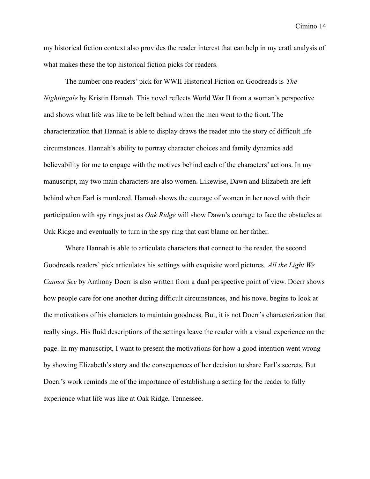my historical fiction context also provides the reader interest that can help in my craft analysis of what makes these the top historical fiction picks for readers.

The number one readers' pick for WWII Historical Fiction on Goodreads is *The Nightingale* by Kristin Hannah. This novel reflects World War II from a woman's perspective and shows what life was like to be left behind when the men went to the front. The characterization that Hannah is able to display draws the reader into the story of difficult life circumstances. Hannah's ability to portray character choices and family dynamics add believability for me to engage with the motives behind each of the characters' actions. In my manuscript, my two main characters are also women. Likewise, Dawn and Elizabeth are left behind when Earl is murdered. Hannah shows the courage of women in her novel with their participation with spy rings just as *Oak Ridge* will show Dawn's courage to face the obstacles at Oak Ridge and eventually to turn in the spy ring that cast blame on her father.

Where Hannah is able to articulate characters that connect to the reader, the second Goodreads readers' pick articulates his settings with exquisite word pictures. *All the Light We Cannot See* by Anthony Doerr is also written from a dual perspective point of view. Doerr shows how people care for one another during difficult circumstances, and his novel begins to look at the motivations of his characters to maintain goodness. But, it is not Doerr's characterization that really sings. His fluid descriptions of the settings leave the reader with a visual experience on the page. In my manuscript, I want to present the motivations for how a good intention went wrong by showing Elizabeth's story and the consequences of her decision to share Earl's secrets. But Doerr's work reminds me of the importance of establishing a setting for the reader to fully experience what life was like at Oak Ridge, Tennessee.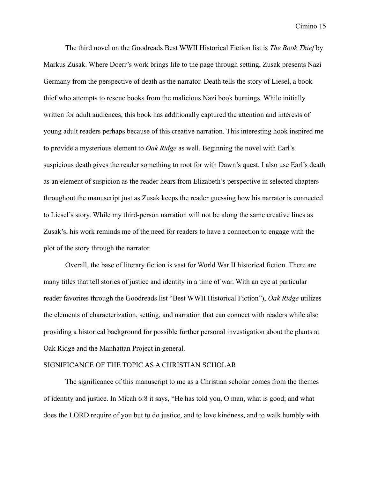The third novel on the Goodreads Best WWII Historical Fiction list is *The Book Thief* by Markus Zusak. Where Doerr's work brings life to the page through setting, Zusak presents Nazi Germany from the perspective of death as the narrator. Death tells the story of Liesel, a book thief who attempts to rescue books from the malicious Nazi book burnings. While initially written for adult audiences, this book has additionally captured the attention and interests of young adult readers perhaps because of this creative narration. This interesting hook inspired me to provide a mysterious element to *Oak Ridge* as well. Beginning the novel with Earl's suspicious death gives the reader something to root for with Dawn's quest. I also use Earl's death as an element of suspicion as the reader hears from Elizabeth's perspective in selected chapters throughout the manuscript just as Zusak keeps the reader guessing how his narrator is connected to Liesel's story. While my third-person narration will not be along the same creative lines as Zusak's, his work reminds me of the need for readers to have a connection to engage with the plot of the story through the narrator.

Overall, the base of literary fiction is vast for World War II historical fiction. There are many titles that tell stories of justice and identity in a time of war. With an eye at particular reader favorites through the Goodreads list "Best WWII Historical Fiction"), *Oak Ridge* utilizes the elements of characterization, setting, and narration that can connect with readers while also providing a historical background for possible further personal investigation about the plants at Oak Ridge and the Manhattan Project in general.

## SIGNIFICANCE OF THE TOPIC AS A CHRISTIAN SCHOLAR

The significance of this manuscript to me as a Christian scholar comes from the themes of identity and justice. In Micah 6:8 it says, "He has told you, O man, what is good; and what does the LORD require of you but to do justice, and to love kindness, and to walk humbly with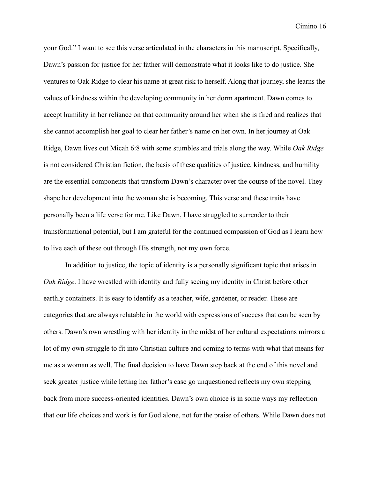your God." I want to see this verse articulated in the characters in this manuscript. Specifically, Dawn's passion for justice for her father will demonstrate what it looks like to do justice. She ventures to Oak Ridge to clear his name at great risk to herself. Along that journey, she learns the values of kindness within the developing community in her dorm apartment. Dawn comes to accept humility in her reliance on that community around her when she is fired and realizes that she cannot accomplish her goal to clear her father's name on her own. In her journey at Oak Ridge, Dawn lives out Micah 6:8 with some stumbles and trials along the way. While *Oak Ridge* is not considered Christian fiction, the basis of these qualities of justice, kindness, and humility are the essential components that transform Dawn's character over the course of the novel. They shape her development into the woman she is becoming. This verse and these traits have personally been a life verse for me. Like Dawn, I have struggled to surrender to their transformational potential, but I am grateful for the continued compassion of God as I learn how to live each of these out through His strength, not my own force.

In addition to justice, the topic of identity is a personally significant topic that arises in *Oak Ridge*. I have wrestled with identity and fully seeing my identity in Christ before other earthly containers. It is easy to identify as a teacher, wife, gardener, or reader. These are categories that are always relatable in the world with expressions of success that can be seen by others. Dawn's own wrestling with her identity in the midst of her cultural expectations mirrors a lot of my own struggle to fit into Christian culture and coming to terms with what that means for me as a woman as well. The final decision to have Dawn step back at the end of this novel and seek greater justice while letting her father's case go unquestioned reflects my own stepping back from more success-oriented identities. Dawn's own choice is in some ways my reflection that our life choices and work is for God alone, not for the praise of others. While Dawn does not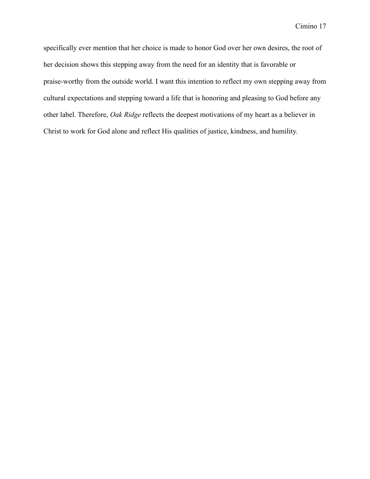specifically ever mention that her choice is made to honor God over her own desires, the root of her decision shows this stepping away from the need for an identity that is favorable or praise-worthy from the outside world. I want this intention to reflect my own stepping away from cultural expectations and stepping toward a life that is honoring and pleasing to God before any other label. Therefore, *Oak Ridge* reflects the deepest motivations of my heart as a believer in Christ to work for God alone and reflect His qualities of justice, kindness, and humility.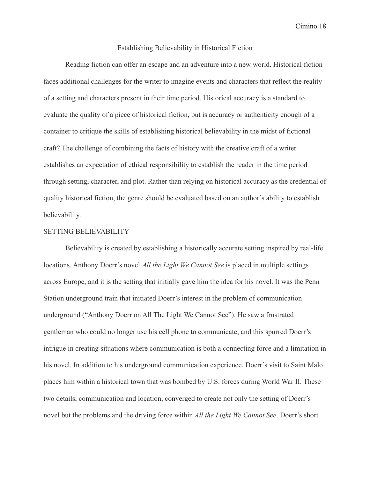# Establishing Believability in Historical Fiction

Reading fiction can offer an escape and an adventure into a new world. Historical fiction faces additional challenges for the writer to imagine events and characters that reflect the reality of a setting and characters present in their time period. Historical accuracy is a standard to evaluate the quality of a piece of historical fiction, but is accuracy or authenticity enough of a container to critique the skills of establishing historical believability in the midst of fictional craft? The challenge of combining the facts of history with the creative craft of a writer establishes an expectation of ethical responsibility to establish the reader in the time period through setting, character, and plot. Rather than relying on historical accuracy as the credential of quality historical fiction, the genre should be evaluated based on an author's ability to establish believability.

## SETTING BELIEVABILITY

Believability is created by establishing a historically accurate setting inspired by real-life locations. Anthony Doerr's novel *All the Light We Cannot See* is placed in multiple settings across Europe, and it is the setting that initially gave him the idea for his novel. It was the Penn Station underground train that initiated Doerr's interest in the problem of communication underground ("Anthony Doerr on All The Light We Cannot See"). He saw a frustrated gentleman who could no longer use his cell phone to communicate, and this spurred Doerr's intrigue in creating situations where communication is both a connecting force and a limitation in his novel. In addition to his underground communication experience, Doerr's visit to Saint Malo places him within a historical town that was bombed by U.S. forces during World War II. These two details, communication and location, converged to create not only the setting of Doerr's novel but the problems and the driving force within *All the Light We Cannot See*. Doerr's short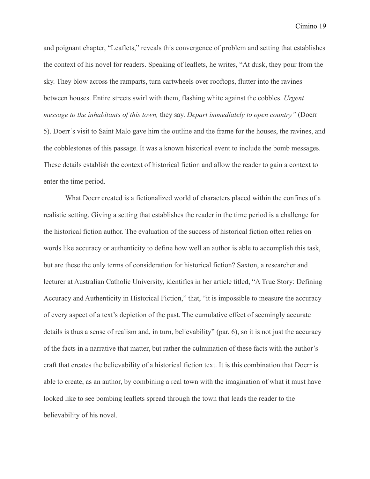and poignant chapter, "Leaflets," reveals this convergence of problem and setting that establishes the context of his novel for readers. Speaking of leaflets, he writes, "At dusk, they pour from the sky. They blow across the ramparts, turn cartwheels over rooftops, flutter into the ravines between houses. Entire streets swirl with them, flashing white against the cobbles. *Urgent message to the inhabitants of this town,* they say. *Depart immediately to open country"* (Doerr 5). Doerr's visit to Saint Malo gave him the outline and the frame for the houses, the ravines, and the cobblestones of this passage. It was a known historical event to include the bomb messages. These details establish the context of historical fiction and allow the reader to gain a context to enter the time period.

What Doerr created is a fictionalized world of characters placed within the confines of a realistic setting. Giving a setting that establishes the reader in the time period is a challenge for the historical fiction author. The evaluation of the success of historical fiction often relies on words like accuracy or authenticity to define how well an author is able to accomplish this task, but are these the only terms of consideration for historical fiction? Saxton, a researcher and lecturer at Australian Catholic University, identifies in her article titled, "A True Story: Defining Accuracy and Authenticity in Historical Fiction," that, "it is impossible to measure the accuracy of every aspect of a text's depiction of the past. The cumulative effect of seemingly accurate details is thus a sense of realism and, in turn, believability" (par. 6), so it is not just the accuracy of the facts in a narrative that matter, but rather the culmination of these facts with the author's craft that creates the believability of a historical fiction text. It is this combination that Doerr is able to create, as an author, by combining a real town with the imagination of what it must have looked like to see bombing leaflets spread through the town that leads the reader to the believability of his novel.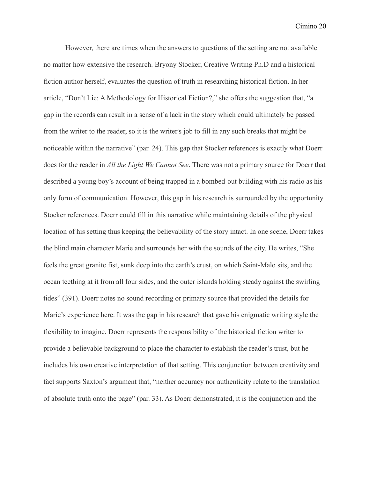However, there are times when the answers to questions of the setting are not available no matter how extensive the research. Bryony Stocker, Creative Writing Ph.D and a historical fiction author herself, evaluates the question of truth in researching historical fiction. In her article, "Don't Lie: A Methodology for Historical Fiction?," she offers the suggestion that, "a gap in the records can result in a sense of a lack in the story which could ultimately be passed from the writer to the reader, so it is the writer's job to fill in any such breaks that might be noticeable within the narrative" (par. 24). This gap that Stocker references is exactly what Doerr does for the reader in *All the Light We Cannot See*. There was not a primary source for Doerr that described a young boy's account of being trapped in a bombed-out building with his radio as his only form of communication. However, this gap in his research is surrounded by the opportunity Stocker references. Doerr could fill in this narrative while maintaining details of the physical location of his setting thus keeping the believability of the story intact. In one scene, Doerr takes the blind main character Marie and surrounds her with the sounds of the city. He writes, "She feels the great granite fist, sunk deep into the earth's crust, on which Saint-Malo sits, and the ocean teething at it from all four sides, and the outer islands holding steady against the swirling tides" (391). Doerr notes no sound recording or primary source that provided the details for Marie's experience here. It was the gap in his research that gave his enigmatic writing style the flexibility to imagine. Doerr represents the responsibility of the historical fiction writer to provide a believable background to place the character to establish the reader's trust, but he includes his own creative interpretation of that setting. This conjunction between creativity and fact supports Saxton's argument that, "neither accuracy nor authenticity relate to the translation of absolute truth onto the page" (par. 33). As Doerr demonstrated, it is the conjunction and the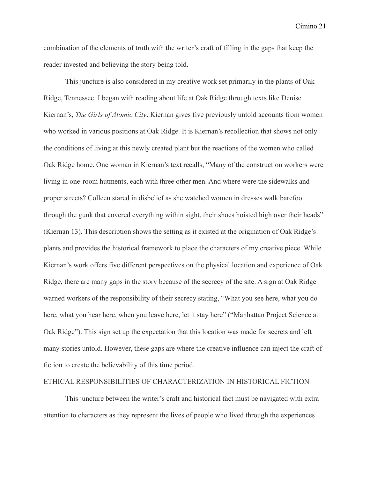combination of the elements of truth with the writer's craft of filling in the gaps that keep the reader invested and believing the story being told.

This juncture is also considered in my creative work set primarily in the plants of Oak Ridge, Tennessee. I began with reading about life at Oak Ridge through texts like Denise Kiernan's, *The Girls of Atomic City*. Kiernan gives five previously untold accounts from women who worked in various positions at Oak Ridge. It is Kiernan's recollection that shows not only the conditions of living at this newly created plant but the reactions of the women who called Oak Ridge home. One woman in Kiernan's text recalls, "Many of the construction workers were living in one-room hutments, each with three other men. And where were the sidewalks and proper streets? Colleen stared in disbelief as she watched women in dresses walk barefoot through the gunk that covered everything within sight, their shoes hoisted high over their heads" (Kiernan 13). This description shows the setting as it existed at the origination of Oak Ridge's plants and provides the historical framework to place the characters of my creative piece. While Kiernan's work offers five different perspectives on the physical location and experience of Oak Ridge, there are many gaps in the story because of the secrecy of the site. A sign at Oak Ridge warned workers of the responsibility of their secrecy stating, "What you see here, what you do here, what you hear here, when you leave here, let it stay here" ("Manhattan Project Science at Oak Ridge"). This sign set up the expectation that this location was made for secrets and left many stories untold. However, these gaps are where the creative influence can inject the craft of fiction to create the believability of this time period.

## ETHICAL RESPONSIBILITIES OF CHARACTERIZATION IN HISTORICAL FICTION

This juncture between the writer's craft and historical fact must be navigated with extra attention to characters as they represent the lives of people who lived through the experiences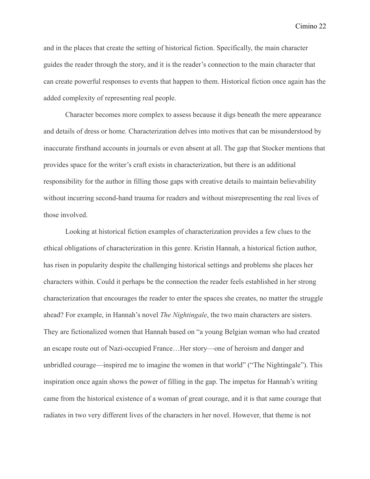and in the places that create the setting of historical fiction. Specifically, the main character guides the reader through the story, and it is the reader's connection to the main character that can create powerful responses to events that happen to them. Historical fiction once again has the added complexity of representing real people.

Character becomes more complex to assess because it digs beneath the mere appearance and details of dress or home. Characterization delves into motives that can be misunderstood by inaccurate firsthand accounts in journals or even absent at all. The gap that Stocker mentions that provides space for the writer's craft exists in characterization, but there is an additional responsibility for the author in filling those gaps with creative details to maintain believability without incurring second-hand trauma for readers and without misrepresenting the real lives of those involved.

Looking at historical fiction examples of characterization provides a few clues to the ethical obligations of characterization in this genre. Kristin Hannah, a historical fiction author, has risen in popularity despite the challenging historical settings and problems she places her characters within. Could it perhaps be the connection the reader feels established in her strong characterization that encourages the reader to enter the spaces she creates, no matter the struggle ahead? For example, in Hannah's novel *The Nightingale*, the two main characters are sisters. They are fictionalized women that Hannah based on "a young Belgian woman who had created an escape route out of Nazi-occupied France…Her story—one of heroism and danger and unbridled courage—inspired me to imagine the women in that world" ("The Nightingale"). This inspiration once again shows the power of filling in the gap. The impetus for Hannah's writing came from the historical existence of a woman of great courage, and it is that same courage that radiates in two very different lives of the characters in her novel. However, that theme is not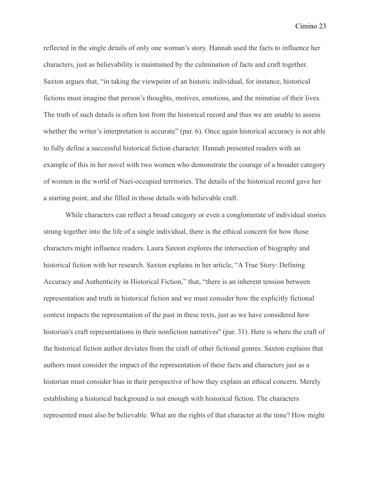reflected in the single details of only one woman's story. Hannah used the facts to influence her characters, just as believability is maintained by the culmination of facts and craft together. Saxton argues that, "in taking the viewpoint of an historic individual, for instance, historical fictions must imagine that person's thoughts, motives, emotions, and the minutiae of their lives. The truth of such details is often lost from the historical record and thus we are unable to assess whether the writer's interpretation is accurate" (par. 6). Once again historical accuracy is not able to fully define a successful historical fiction character. Hannah presented readers with an example of this in her novel with two women who demonstrate the courage of a broader category of women in the world of Nazi-occupied territories. The details of the historical record gave her a starting point, and she filled in those details with believable craft.

While characters can reflect a broad category or even a conglomerate of individual stories strung together into the life of a single individual, there is the ethical concern for how those characters might influence readers. Laura Saxton explores the intersection of biography and historical fiction with her research. Saxton explains in her article, "A True Story: Defining Accuracy and Authenticity in Historical Fiction," that, "there is an inherent tension between representation and truth in historical fiction and we must consider how the explicitly fictional context impacts the representation of the past in these texts, just as we have considered how historian's craft representations in their nonfiction narratives" (par. 31). Here is where the craft of the historical fiction author deviates from the craft of other fictional genres. Saxton explains that authors must consider the impact of the representation of these facts and characters just as a historian must consider bias in their perspective of how they explain an ethical concern. Merely establishing a historical background is not enough with historical fiction. The characters represented must also be believable. What are the rights of that character at the time? How might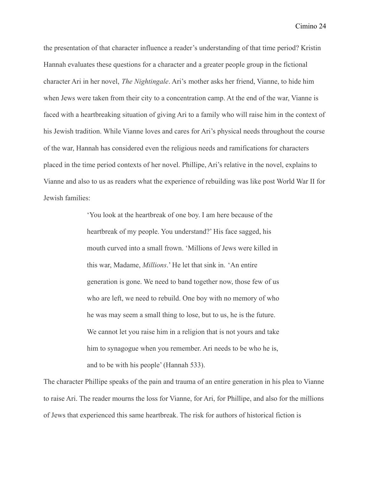the presentation of that character influence a reader's understanding of that time period? Kristin Hannah evaluates these questions for a character and a greater people group in the fictional character Ari in her novel, *The Nightingale*. Ari's mother asks her friend, Vianne, to hide him when Jews were taken from their city to a concentration camp. At the end of the war, Vianne is faced with a heartbreaking situation of giving Ari to a family who will raise him in the context of his Jewish tradition. While Vianne loves and cares for Ari's physical needs throughout the course of the war, Hannah has considered even the religious needs and ramifications for characters placed in the time period contexts of her novel. Phillipe, Ari's relative in the novel, explains to Vianne and also to us as readers what the experience of rebuilding was like post World War II for Jewish families:

> 'You look at the heartbreak of one boy. I am here because of the heartbreak of my people. You understand?' His face sagged, his mouth curved into a small frown. 'Millions of Jews were killed in this war, Madame, *Millions*.' He let that sink in. 'An entire generation is gone. We need to band together now, those few of us who are left, we need to rebuild. One boy with no memory of who he was may seem a small thing to lose, but to us, he is the future. We cannot let you raise him in a religion that is not yours and take him to synagogue when you remember. Ari needs to be who he is, and to be with his people' (Hannah 533).

The character Phillipe speaks of the pain and trauma of an entire generation in his plea to Vianne to raise Ari. The reader mourns the loss for Vianne, for Ari, for Phillipe, and also for the millions of Jews that experienced this same heartbreak. The risk for authors of historical fiction is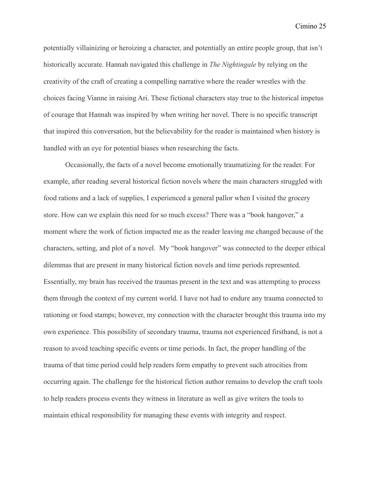potentially villainizing or heroizing a character, and potentially an entire people group, that isn't historically accurate. Hannah navigated this challenge in *The Nightingale* by relying on the creativity of the craft of creating a compelling narrative where the reader wrestles with the choices facing Vianne in raising Ari. These fictional characters stay true to the historical impetus of courage that Hannah was inspired by when writing her novel. There is no specific transcript that inspired this conversation, but the believability for the reader is maintained when history is handled with an eye for potential biases when researching the facts.

Occasionally, the facts of a novel become emotionally traumatizing for the reader. For example, after reading several historical fiction novels where the main characters struggled with food rations and a lack of supplies, I experienced a general pallor when I visited the grocery store. How can we explain this need for so much excess? There was a "book hangover," a moment where the work of fiction impacted me as the reader leaving me changed because of the characters, setting, and plot of a novel. My "book hangover" was connected to the deeper ethical dilemmas that are present in many historical fiction novels and time periods represented. Essentially, my brain has received the traumas present in the text and was attempting to process them through the context of my current world. I have not had to endure any trauma connected to rationing or food stamps; however, my connection with the character brought this trauma into my own experience. This possibility of secondary trauma, trauma not experienced firsthand, is not a reason to avoid teaching specific events or time periods. In fact, the proper handling of the trauma of that time period could help readers form empathy to prevent such atrocities from occurring again. The challenge for the historical fiction author remains to develop the craft tools to help readers process events they witness in literature as well as give writers the tools to maintain ethical responsibility for managing these events with integrity and respect.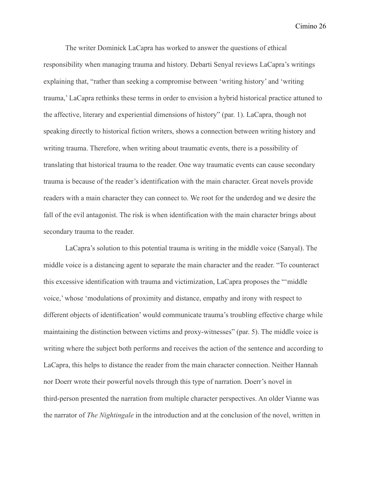The writer Dominick LaCapra has worked to answer the questions of ethical responsibility when managing trauma and history. Debarti Senyal reviews LaCapra's writings explaining that, "rather than seeking a compromise between 'writing history' and 'writing trauma,' LaCapra rethinks these terms in order to envision a hybrid historical practice attuned to the affective, literary and experiential dimensions of history" (par. 1). LaCapra, though not speaking directly to historical fiction writers, shows a connection between writing history and writing trauma. Therefore, when writing about traumatic events, there is a possibility of translating that historical trauma to the reader. One way traumatic events can cause secondary trauma is because of the reader's identification with the main character. Great novels provide readers with a main character they can connect to. We root for the underdog and we desire the fall of the evil antagonist. The risk is when identification with the main character brings about secondary trauma to the reader.

LaCapra's solution to this potential trauma is writing in the middle voice (Sanyal). The middle voice is a distancing agent to separate the main character and the reader. "To counteract this excessive identification with trauma and victimization, LaCapra proposes the "'middle voice,' whose 'modulations of proximity and distance, empathy and irony with respect to different objects of identification' would communicate trauma's troubling effective charge while maintaining the distinction between victims and proxy-witnesses" (par. 5). The middle voice is writing where the subject both performs and receives the action of the sentence and according to LaCapra, this helps to distance the reader from the main character connection. Neither Hannah nor Doerr wrote their powerful novels through this type of narration. Doerr's novel in third-person presented the narration from multiple character perspectives. An older Vianne was the narrator of *The Nightingale* in the introduction and at the conclusion of the novel, written in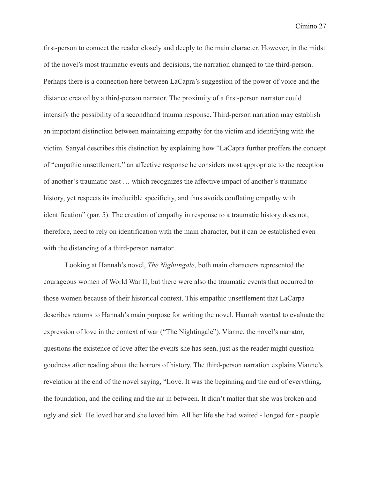first-person to connect the reader closely and deeply to the main character. However, in the midst of the novel's most traumatic events and decisions, the narration changed to the third-person. Perhaps there is a connection here between LaCapra's suggestion of the power of voice and the distance created by a third-person narrator. The proximity of a first-person narrator could intensify the possibility of a secondhand trauma response. Third-person narration may establish an important distinction between maintaining empathy for the victim and identifying with the victim. Sanyal describes this distinction by explaining how "LaCapra further proffers the concept of "empathic unsettlement," an affective response he considers most appropriate to the reception of another's traumatic past … which recognizes the affective impact of another's traumatic history, yet respects its irreducible specificity, and thus avoids conflating empathy with identification" (par. 5). The creation of empathy in response to a traumatic history does not, therefore, need to rely on identification with the main character, but it can be established even with the distancing of a third-person narrator.

Looking at Hannah's novel, *The Nightingale*, both main characters represented the courageous women of World War II, but there were also the traumatic events that occurred to those women because of their historical context. This empathic unsettlement that LaCarpa describes returns to Hannah's main purpose for writing the novel. Hannah wanted to evaluate the expression of love in the context of war ("The Nightingale"). Vianne, the novel's narrator, questions the existence of love after the events she has seen, just as the reader might question goodness after reading about the horrors of history. The third-person narration explains Vianne's revelation at the end of the novel saying, "Love. It was the beginning and the end of everything, the foundation, and the ceiling and the air in between. It didn't matter that she was broken and ugly and sick. He loved her and she loved him. All her life she had waited - longed for - people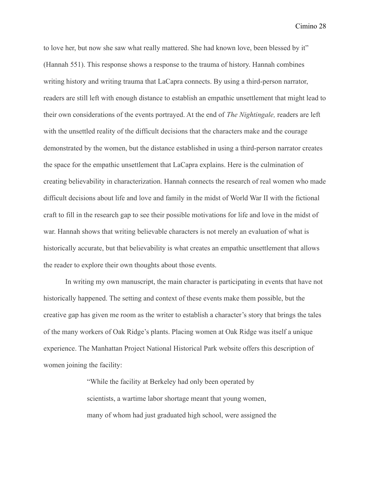to love her, but now she saw what really mattered. She had known love, been blessed by it" (Hannah 551). This response shows a response to the trauma of history. Hannah combines writing history and writing trauma that LaCapra connects. By using a third-person narrator, readers are still left with enough distance to establish an empathic unsettlement that might lead to their own considerations of the events portrayed. At the end of *The Nightingale,* readers are left with the unsettled reality of the difficult decisions that the characters make and the courage demonstrated by the women, but the distance established in using a third-person narrator creates the space for the empathic unsettlement that LaCapra explains. Here is the culmination of creating believability in characterization. Hannah connects the research of real women who made difficult decisions about life and love and family in the midst of World War II with the fictional craft to fill in the research gap to see their possible motivations for life and love in the midst of war. Hannah shows that writing believable characters is not merely an evaluation of what is historically accurate, but that believability is what creates an empathic unsettlement that allows the reader to explore their own thoughts about those events.

In writing my own manuscript, the main character is participating in events that have not historically happened. The setting and context of these events make them possible, but the creative gap has given me room as the writer to establish a character's story that brings the tales of the many workers of Oak Ridge's plants. Placing women at Oak Ridge was itself a unique experience. The Manhattan Project National Historical Park website offers this description of women joining the facility:

> "While the facility at Berkeley had only been operated by scientists, a wartime labor shortage meant that young women, many of whom had just graduated high school, were assigned the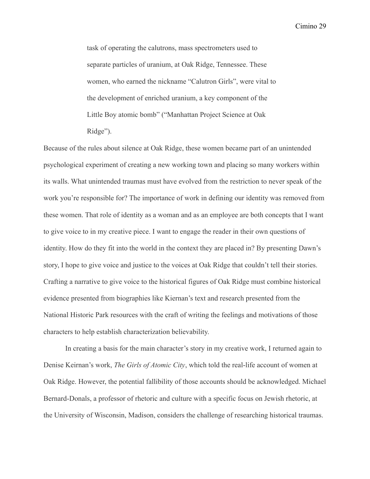task of operating the calutrons, mass spectrometers used to separate particles of uranium, at Oak Ridge, Tennessee. These women, who earned the nickname "Calutron Girls", were vital to the development of enriched uranium, a key component of the Little Boy atomic bomb" ("Manhattan Project Science at Oak Ridge").

Because of the rules about silence at Oak Ridge, these women became part of an unintended psychological experiment of creating a new working town and placing so many workers within its walls. What unintended traumas must have evolved from the restriction to never speak of the work you're responsible for? The importance of work in defining our identity was removed from these women. That role of identity as a woman and as an employee are both concepts that I want to give voice to in my creative piece. I want to engage the reader in their own questions of identity. How do they fit into the world in the context they are placed in? By presenting Dawn's story, I hope to give voice and justice to the voices at Oak Ridge that couldn't tell their stories. Crafting a narrative to give voice to the historical figures of Oak Ridge must combine historical evidence presented from biographies like Kiernan's text and research presented from the National Historic Park resources with the craft of writing the feelings and motivations of those characters to help establish characterization believability.

In creating a basis for the main character's story in my creative work, I returned again to Denise Keirnan's work, *The Girls of Atomic City*, which told the real-life account of women at Oak Ridge. However, the potential fallibility of those accounts should be acknowledged. Michael Bernard-Donals, a professor of rhetoric and culture with a specific focus on Jewish rhetoric, at the University of Wisconsin, Madison, considers the challenge of researching historical traumas.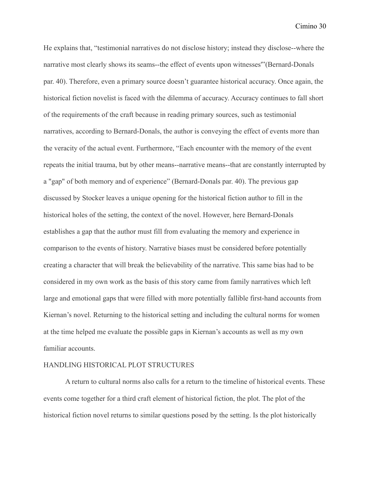He explains that, "testimonial narratives do not disclose history; instead they disclose--where the narrative most clearly shows its seams--the effect of events upon witnesses'"(Bernard-Donals par. 40). Therefore, even a primary source doesn't guarantee historical accuracy. Once again, the historical fiction novelist is faced with the dilemma of accuracy. Accuracy continues to fall short of the requirements of the craft because in reading primary sources, such as testimonial narratives, according to Bernard-Donals, the author is conveying the effect of events more than the veracity of the actual event. Furthermore, "Each encounter with the memory of the event repeats the initial trauma, but by other means--narrative means--that are constantly interrupted by a "gap" of both memory and of experience" (Bernard-Donals par. 40). The previous gap discussed by Stocker leaves a unique opening for the historical fiction author to fill in the historical holes of the setting, the context of the novel. However, here Bernard-Donals establishes a gap that the author must fill from evaluating the memory and experience in comparison to the events of history. Narrative biases must be considered before potentially creating a character that will break the believability of the narrative. This same bias had to be considered in my own work as the basis of this story came from family narratives which left large and emotional gaps that were filled with more potentially fallible first-hand accounts from Kiernan's novel. Returning to the historical setting and including the cultural norms for women at the time helped me evaluate the possible gaps in Kiernan's accounts as well as my own familiar accounts.

#### HANDLING HISTORICAL PLOT STRUCTURES

A return to cultural norms also calls for a return to the timeline of historical events. These events come together for a third craft element of historical fiction, the plot. The plot of the historical fiction novel returns to similar questions posed by the setting. Is the plot historically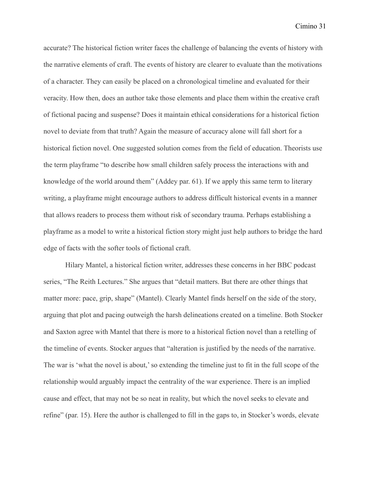accurate? The historical fiction writer faces the challenge of balancing the events of history with the narrative elements of craft. The events of history are clearer to evaluate than the motivations of a character. They can easily be placed on a chronological timeline and evaluated for their veracity. How then, does an author take those elements and place them within the creative craft of fictional pacing and suspense? Does it maintain ethical considerations for a historical fiction novel to deviate from that truth? Again the measure of accuracy alone will fall short for a historical fiction novel. One suggested solution comes from the field of education. Theorists use the term playframe "to describe how small children safely process the interactions with and knowledge of the world around them" (Addey par. 61). If we apply this same term to literary writing, a playframe might encourage authors to address difficult historical events in a manner that allows readers to process them without risk of secondary trauma. Perhaps establishing a playframe as a model to write a historical fiction story might just help authors to bridge the hard edge of facts with the softer tools of fictional craft.

Hilary Mantel, a historical fiction writer, addresses these concerns in her BBC podcast series, "The Reith Lectures." She argues that "detail matters. But there are other things that matter more: pace, grip, shape" (Mantel). Clearly Mantel finds herself on the side of the story, arguing that plot and pacing outweigh the harsh delineations created on a timeline. Both Stocker and Saxton agree with Mantel that there is more to a historical fiction novel than a retelling of the timeline of events. Stocker argues that "alteration is justified by the needs of the narrative. The war is 'what the novel is about,' so extending the timeline just to fit in the full scope of the relationship would arguably impact the centrality of the war experience. There is an implied cause and effect, that may not be so neat in reality, but which the novel seeks to elevate and refine" (par. 15). Here the author is challenged to fill in the gaps to, in Stocker's words, elevate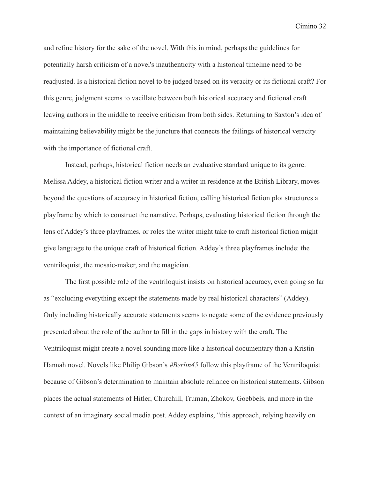and refine history for the sake of the novel. With this in mind, perhaps the guidelines for potentially harsh criticism of a novel's inauthenticity with a historical timeline need to be readjusted. Is a historical fiction novel to be judged based on its veracity or its fictional craft? For this genre, judgment seems to vacillate between both historical accuracy and fictional craft leaving authors in the middle to receive criticism from both sides. Returning to Saxton's idea of maintaining believability might be the juncture that connects the failings of historical veracity with the importance of fictional craft.

Instead, perhaps, historical fiction needs an evaluative standard unique to its genre. Melissa Addey, a historical fiction writer and a writer in residence at the British Library, moves beyond the questions of accuracy in historical fiction, calling historical fiction plot structures a playframe by which to construct the narrative. Perhaps, evaluating historical fiction through the lens of Addey's three playframes, or roles the writer might take to craft historical fiction might give language to the unique craft of historical fiction. Addey's three playframes include: the ventriloquist, the mosaic-maker, and the magician.

The first possible role of the ventriloquist insists on historical accuracy, even going so far as "excluding everything except the statements made by real historical characters" (Addey). Only including historically accurate statements seems to negate some of the evidence previously presented about the role of the author to fill in the gaps in history with the craft. The Ventriloquist might create a novel sounding more like a historical documentary than a Kristin Hannah novel. Novels like Philip Gibson's *#Berlin45* follow this playframe of the Ventriloquist because of Gibson's determination to maintain absolute reliance on historical statements. Gibson places the actual statements of Hitler, Churchill, Truman, Zhokov, Goebbels, and more in the context of an imaginary social media post. Addey explains, "this approach, relying heavily on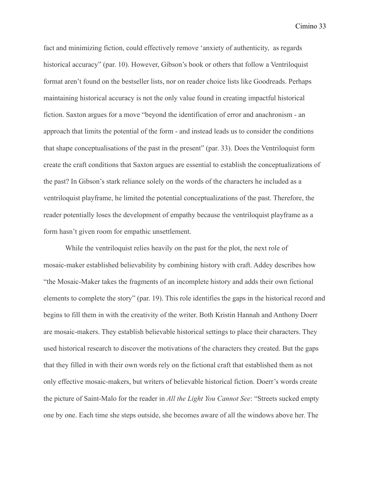fact and minimizing fiction, could effectively remove 'anxiety of authenticity, as regards historical accuracy" (par. 10). However, Gibson's book or others that follow a Ventriloquist format aren't found on the bestseller lists, nor on reader choice lists like Goodreads. Perhaps maintaining historical accuracy is not the only value found in creating impactful historical fiction. Saxton argues for a move "beyond the identification of error and anachronism - an approach that limits the potential of the form - and instead leads us to consider the conditions that shape conceptualisations of the past in the present" (par. 33). Does the Ventriloquist form create the craft conditions that Saxton argues are essential to establish the conceptualizations of the past? In Gibson's stark reliance solely on the words of the characters he included as a ventriloquist playframe, he limited the potential conceptualizations of the past. Therefore, the reader potentially loses the development of empathy because the ventriloquist playframe as a form hasn't given room for empathic unsettlement.

While the ventriloquist relies heavily on the past for the plot, the next role of mosaic-maker established believability by combining history with craft. Addey describes how "the Mosaic-Maker takes the fragments of an incomplete history and adds their own fictional elements to complete the story" (par. 19). This role identifies the gaps in the historical record and begins to fill them in with the creativity of the writer. Both Kristin Hannah and Anthony Doerr are mosaic-makers. They establish believable historical settings to place their characters. They used historical research to discover the motivations of the characters they created. But the gaps that they filled in with their own words rely on the fictional craft that established them as not only effective mosaic-makers, but writers of believable historical fiction. Doerr's words create the picture of Saint-Malo for the reader in *All the Light You Cannot See*: "Streets sucked empty one by one. Each time she steps outside, she becomes aware of all the windows above her. The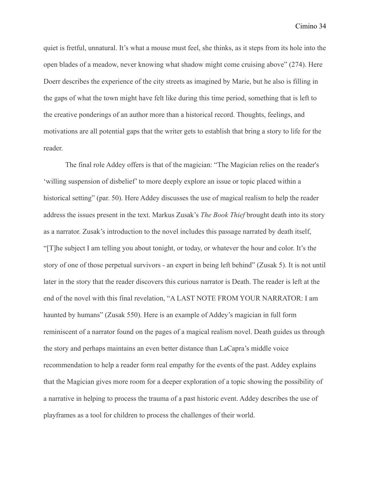quiet is fretful, unnatural. It's what a mouse must feel, she thinks, as it steps from its hole into the open blades of a meadow, never knowing what shadow might come cruising above" (274). Here Doerr describes the experience of the city streets as imagined by Marie, but he also is filling in the gaps of what the town might have felt like during this time period, something that is left to the creative ponderings of an author more than a historical record. Thoughts, feelings, and motivations are all potential gaps that the writer gets to establish that bring a story to life for the reader.

The final role Addey offers is that of the magician: "The Magician relies on the reader's 'willing suspension of disbelief' to more deeply explore an issue or topic placed within a historical setting" (par. 50). Here Addey discusses the use of magical realism to help the reader address the issues present in the text. Markus Zusak's *The Book Thief* brought death into its story as a narrator. Zusak's introduction to the novel includes this passage narrated by death itself, "[T]he subject I am telling you about tonight, or today, or whatever the hour and color. It's the story of one of those perpetual survivors - an expert in being left behind" (Zusak 5). It is not until later in the story that the reader discovers this curious narrator is Death. The reader is left at the end of the novel with this final revelation, "A LAST NOTE FROM YOUR NARRATOR: I am haunted by humans" (Zusak 550). Here is an example of Addey's magician in full form reminiscent of a narrator found on the pages of a magical realism novel. Death guides us through the story and perhaps maintains an even better distance than LaCapra's middle voice recommendation to help a reader form real empathy for the events of the past. Addey explains that the Magician gives more room for a deeper exploration of a topic showing the possibility of a narrative in helping to process the trauma of a past historic event. Addey describes the use of playframes as a tool for children to process the challenges of their world.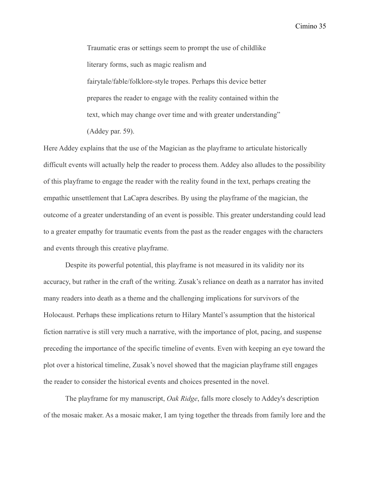Traumatic eras or settings seem to prompt the use of childlike literary forms, such as magic realism and fairytale/fable/folklore-style tropes. Perhaps this device better prepares the reader to engage with the reality contained within the text, which may change over time and with greater understanding" (Addey par. 59).

Here Addey explains that the use of the Magician as the playframe to articulate historically difficult events will actually help the reader to process them. Addey also alludes to the possibility of this playframe to engage the reader with the reality found in the text, perhaps creating the empathic unsettlement that LaCapra describes. By using the playframe of the magician, the outcome of a greater understanding of an event is possible. This greater understanding could lead to a greater empathy for traumatic events from the past as the reader engages with the characters and events through this creative playframe.

Despite its powerful potential, this playframe is not measured in its validity nor its accuracy, but rather in the craft of the writing. Zusak's reliance on death as a narrator has invited many readers into death as a theme and the challenging implications for survivors of the Holocaust. Perhaps these implications return to Hilary Mantel's assumption that the historical fiction narrative is still very much a narrative, with the importance of plot, pacing, and suspense preceding the importance of the specific timeline of events. Even with keeping an eye toward the plot over a historical timeline, Zusak's novel showed that the magician playframe still engages the reader to consider the historical events and choices presented in the novel.

The playframe for my manuscript, *Oak Ridge*, falls more closely to Addey's description of the mosaic maker. As a mosaic maker, I am tying together the threads from family lore and the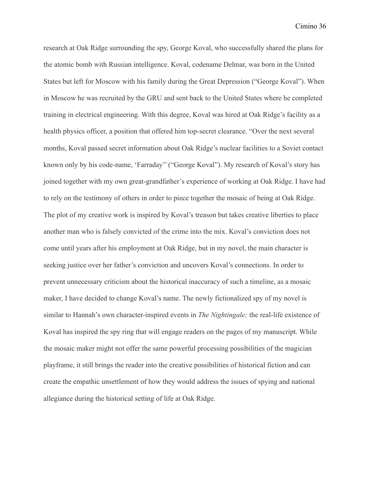research at Oak Ridge surrounding the spy, George Koval, who successfully shared the plans for the atomic bomb with Russian intelligence. Koval, codename Delmar, was born in the United States but left for Moscow with his family during the Great Depression ("George Koval"). When in Moscow he was recruited by the GRU and sent back to the United States where he completed training in electrical engineering. With this degree, Koval was hired at Oak Ridge's facility as a health physics officer, a position that offered him top-secret clearance. "Over the next several months, Koval passed secret information about Oak Ridge's nuclear facilities to a Soviet contact known only by his code-name, 'Farraday'' ("George Koval"). My research of Koval's story has joined together with my own great-grandfather's experience of working at Oak Ridge. I have had to rely on the testimony of others in order to piece together the mosaic of being at Oak Ridge. The plot of my creative work is inspired by Koval's treason but takes creative liberties to place another man who is falsely convicted of the crime into the mix. Koval's conviction does not come until years after his employment at Oak Ridge, but in my novel, the main character is seeking justice over her father's conviction and uncovers Koval's connections. In order to prevent unnecessary criticism about the historical inaccuracy of such a timeline, as a mosaic maker, I have decided to change Koval's name. The newly fictionalized spy of my novel is similar to Hannah's own character-inspired events in *The Nightingale;* the real-life existence of Koval has inspired the spy ring that will engage readers on the pages of my manuscript. While the mosaic maker might not offer the same powerful processing possibilities of the magician playframe, it still brings the reader into the creative possibilities of historical fiction and can create the empathic unsettlement of how they would address the issues of spying and national allegiance during the historical setting of life at Oak Ridge.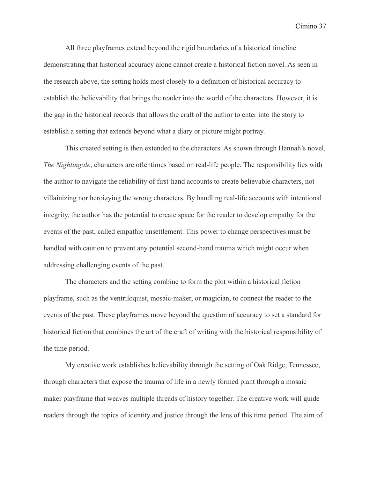All three playframes extend beyond the rigid boundaries of a historical timeline demonstrating that historical accuracy alone cannot create a historical fiction novel. As seen in the research above, the setting holds most closely to a definition of historical accuracy to establish the believability that brings the reader into the world of the characters. However, it is the gap in the historical records that allows the craft of the author to enter into the story to establish a setting that extends beyond what a diary or picture might portray.

This created setting is then extended to the characters. As shown through Hannah's novel, *The Nightingale*, characters are oftentimes based on real-life people. The responsibility lies with the author to navigate the reliability of first-hand accounts to create believable characters, not villainizing nor heroizying the wrong characters. By handling real-life accounts with intentional integrity, the author has the potential to create space for the reader to develop empathy for the events of the past, called empathic unsettlement. This power to change perspectives must be handled with caution to prevent any potential second-hand trauma which might occur when addressing challenging events of the past.

The characters and the setting combine to form the plot within a historical fiction playframe, such as the ventriloquist, mosaic-maker, or magician, to connect the reader to the events of the past. These playframes move beyond the question of accuracy to set a standard for historical fiction that combines the art of the craft of writing with the historical responsibility of the time period.

My creative work establishes believability through the setting of Oak Ridge, Tennessee, through characters that expose the trauma of life in a newly formed plant through a mosaic maker playframe that weaves multiple threads of history together. The creative work will guide readers through the topics of identity and justice through the lens of this time period. The aim of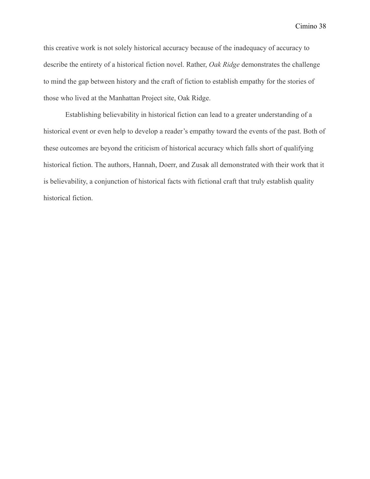this creative work is not solely historical accuracy because of the inadequacy of accuracy to describe the entirety of a historical fiction novel. Rather, *Oak Ridge* demonstrates the challenge to mind the gap between history and the craft of fiction to establish empathy for the stories of those who lived at the Manhattan Project site, Oak Ridge.

Establishing believability in historical fiction can lead to a greater understanding of a historical event or even help to develop a reader's empathy toward the events of the past. Both of these outcomes are beyond the criticism of historical accuracy which falls short of qualifying historical fiction. The authors, Hannah, Doerr, and Zusak all demonstrated with their work that it is believability, a conjunction of historical facts with fictional craft that truly establish quality historical fiction.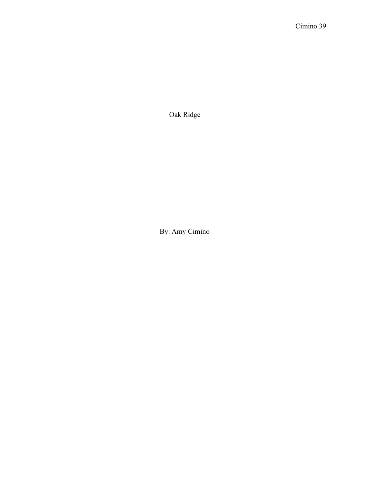Oak Ridge

By: Amy Cimino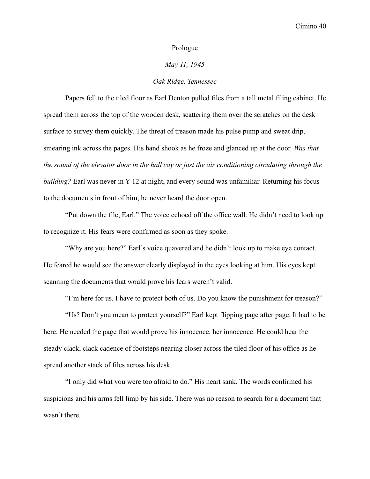### Prologue

## *May 11, 1945*

## *Oak Ridge, Tennessee*

Papers fell to the tiled floor as Earl Denton pulled files from a tall metal filing cabinet. He spread them across the top of the wooden desk, scattering them over the scratches on the desk surface to survey them quickly. The threat of treason made his pulse pump and sweat drip, smearing ink across the pages. His hand shook as he froze and glanced up at the door. *Was that the sound of the elevator door in the hallway or just the air conditioning circulating through the building?* Earl was never in Y-12 at night, and every sound was unfamiliar. Returning his focus to the documents in front of him, he never heard the door open.

"Put down the file, Earl." The voice echoed off the office wall. He didn't need to look up to recognize it. His fears were confirmed as soon as they spoke.

"Why are you here?" Earl's voice quavered and he didn't look up to make eye contact. He feared he would see the answer clearly displayed in the eyes looking at him. His eyes kept scanning the documents that would prove his fears weren't valid.

"I'm here for us. I have to protect both of us. Do you know the punishment for treason?"

"Us? Don't you mean to protect yourself?" Earl kept flipping page after page. It had to be here. He needed the page that would prove his innocence, her innocence. He could hear the steady clack, clack cadence of footsteps nearing closer across the tiled floor of his office as he spread another stack of files across his desk.

"I only did what you were too afraid to do." His heart sank. The words confirmed his suspicions and his arms fell limp by his side. There was no reason to search for a document that wasn't there.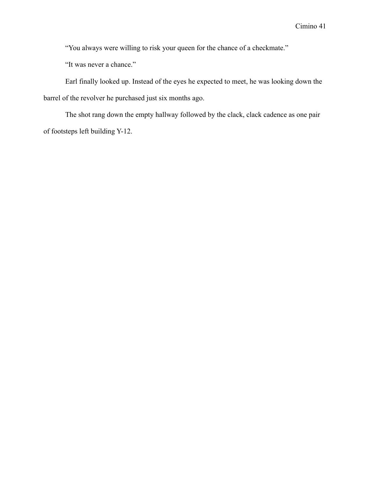"You always were willing to risk your queen for the chance of a checkmate."

"It was never a chance."

Earl finally looked up. Instead of the eyes he expected to meet, he was looking down the barrel of the revolver he purchased just six months ago.

The shot rang down the empty hallway followed by the clack, clack cadence as one pair of footsteps left building Y-12.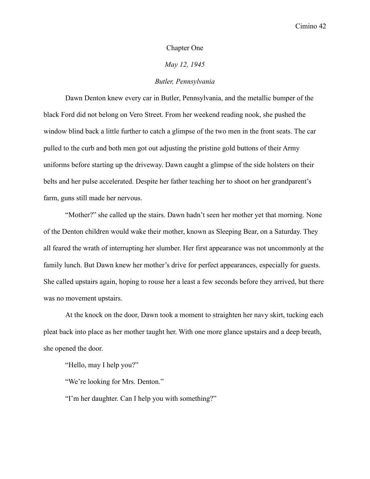### Chapter One

### *May 12, 1945*

## *Butler, Pennsylvania*

Dawn Denton knew every car in Butler, Pennsylvania, and the metallic bumper of the black Ford did not belong on Vero Street. From her weekend reading nook, she pushed the window blind back a little further to catch a glimpse of the two men in the front seats. The car pulled to the curb and both men got out adjusting the pristine gold buttons of their Army uniforms before starting up the driveway. Dawn caught a glimpse of the side holsters on their belts and her pulse accelerated. Despite her father teaching her to shoot on her grandparent's farm, guns still made her nervous.

"Mother?" she called up the stairs. Dawn hadn't seen her mother yet that morning. None of the Denton children would wake their mother, known as Sleeping Bear, on a Saturday. They all feared the wrath of interrupting her slumber. Her first appearance was not uncommonly at the family lunch. But Dawn knew her mother's drive for perfect appearances, especially for guests. She called upstairs again, hoping to rouse her a least a few seconds before they arrived, but there was no movement upstairs.

At the knock on the door, Dawn took a moment to straighten her navy skirt, tucking each pleat back into place as her mother taught her. With one more glance upstairs and a deep breath, she opened the door.

"Hello, may I help you?"

"We're looking for Mrs. Denton."

"I'm her daughter. Can I help you with something?"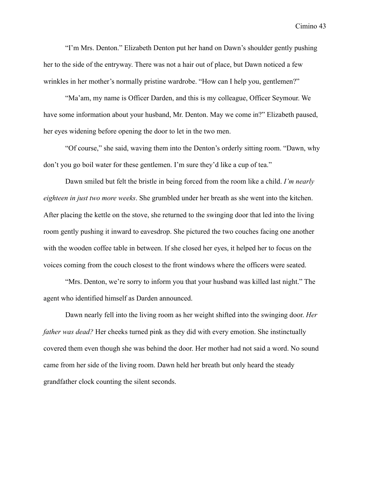"I'm Mrs. Denton." Elizabeth Denton put her hand on Dawn's shoulder gently pushing her to the side of the entryway. There was not a hair out of place, but Dawn noticed a few wrinkles in her mother's normally pristine wardrobe. "How can I help you, gentlemen?"

"Ma'am, my name is Officer Darden, and this is my colleague, Officer Seymour. We have some information about your husband, Mr. Denton. May we come in?" Elizabeth paused, her eyes widening before opening the door to let in the two men.

"Of course," she said, waving them into the Denton's orderly sitting room. "Dawn, why don't you go boil water for these gentlemen. I'm sure they'd like a cup of tea."

Dawn smiled but felt the bristle in being forced from the room like a child. *I'm nearly eighteen in just two more weeks*. She grumbled under her breath as she went into the kitchen. After placing the kettle on the stove, she returned to the swinging door that led into the living room gently pushing it inward to eavesdrop. She pictured the two couches facing one another with the wooden coffee table in between. If she closed her eyes, it helped her to focus on the voices coming from the couch closest to the front windows where the officers were seated.

"Mrs. Denton, we're sorry to inform you that your husband was killed last night." The agent who identified himself as Darden announced.

Dawn nearly fell into the living room as her weight shifted into the swinging door. *Her father was dead?* Her cheeks turned pink as they did with every emotion. She instinctually covered them even though she was behind the door. Her mother had not said a word. No sound came from her side of the living room. Dawn held her breath but only heard the steady grandfather clock counting the silent seconds.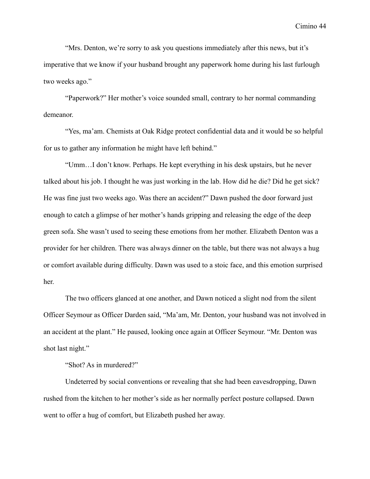"Mrs. Denton, we're sorry to ask you questions immediately after this news, but it's imperative that we know if your husband brought any paperwork home during his last furlough two weeks ago."

"Paperwork?" Her mother's voice sounded small, contrary to her normal commanding demeanor.

"Yes, ma'am. Chemists at Oak Ridge protect confidential data and it would be so helpful for us to gather any information he might have left behind."

"Umm…I don't know. Perhaps. He kept everything in his desk upstairs, but he never talked about his job. I thought he was just working in the lab. How did he die? Did he get sick? He was fine just two weeks ago. Was there an accident?" Dawn pushed the door forward just enough to catch a glimpse of her mother's hands gripping and releasing the edge of the deep green sofa. She wasn't used to seeing these emotions from her mother. Elizabeth Denton was a provider for her children. There was always dinner on the table, but there was not always a hug or comfort available during difficulty. Dawn was used to a stoic face, and this emotion surprised her.

The two officers glanced at one another, and Dawn noticed a slight nod from the silent Officer Seymour as Officer Darden said, "Ma'am, Mr. Denton, your husband was not involved in an accident at the plant." He paused, looking once again at Officer Seymour. "Mr. Denton was shot last night."

"Shot? As in murdered?"

Undeterred by social conventions or revealing that she had been eavesdropping, Dawn rushed from the kitchen to her mother's side as her normally perfect posture collapsed. Dawn went to offer a hug of comfort, but Elizabeth pushed her away.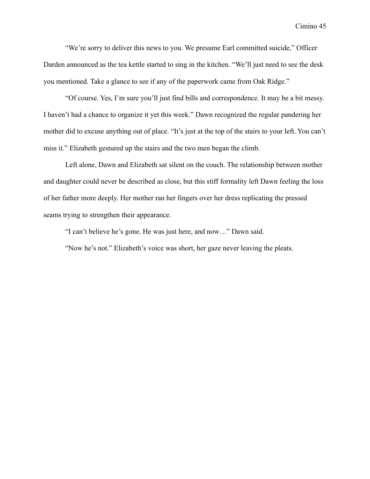"We're sorry to deliver this news to you. We presume Earl committed suicide," Officer Darden announced as the tea kettle started to sing in the kitchen. "We'll just need to see the desk you mentioned. Take a glance to see if any of the paperwork came from Oak Ridge."

"Of course. Yes, I'm sure you'll just find bills and correspondence. It may be a bit messy. I haven't had a chance to organize it yet this week." Dawn recognized the regular pandering her mother did to excuse anything out of place. "It's just at the top of the stairs to your left. You can't miss it." Elizabeth gestured up the stairs and the two men began the climb.

Left alone, Dawn and Elizabeth sat silent on the couch. The relationship between mother and daughter could never be described as close, but this stiff formality left Dawn feeling the loss of her father more deeply. Her mother ran her fingers over her dress replicating the pressed seams trying to strengthen their appearance.

"I can't believe he's gone. He was just here, and now…" Dawn said.

"Now he's not." Elizabeth's voice was short, her gaze never leaving the pleats.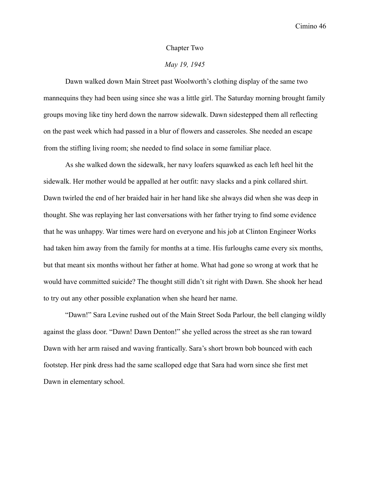#### Chapter Two

# *May 19, 1945*

Dawn walked down Main Street past Woolworth's clothing display of the same two mannequins they had been using since she was a little girl. The Saturday morning brought family groups moving like tiny herd down the narrow sidewalk. Dawn sidestepped them all reflecting on the past week which had passed in a blur of flowers and casseroles. She needed an escape from the stifling living room; she needed to find solace in some familiar place.

As she walked down the sidewalk, her navy loafers squawked as each left heel hit the sidewalk. Her mother would be appalled at her outfit: navy slacks and a pink collared shirt. Dawn twirled the end of her braided hair in her hand like she always did when she was deep in thought. She was replaying her last conversations with her father trying to find some evidence that he was unhappy. War times were hard on everyone and his job at Clinton Engineer Works had taken him away from the family for months at a time. His furloughs came every six months, but that meant six months without her father at home. What had gone so wrong at work that he would have committed suicide? The thought still didn't sit right with Dawn. She shook her head to try out any other possible explanation when she heard her name.

"Dawn!" Sara Levine rushed out of the Main Street Soda Parlour, the bell clanging wildly against the glass door. "Dawn! Dawn Denton!" she yelled across the street as she ran toward Dawn with her arm raised and waving frantically. Sara's short brown bob bounced with each footstep. Her pink dress had the same scalloped edge that Sara had worn since she first met Dawn in elementary school.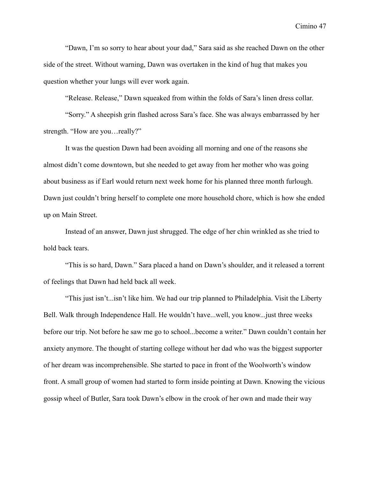"Dawn, I'm so sorry to hear about your dad," Sara said as she reached Dawn on the other side of the street. Without warning, Dawn was overtaken in the kind of hug that makes you question whether your lungs will ever work again.

"Release. Release," Dawn squeaked from within the folds of Sara's linen dress collar.

"Sorry." A sheepish grin flashed across Sara's face. She was always embarrassed by her strength. "How are you…really?"

It was the question Dawn had been avoiding all morning and one of the reasons she almost didn't come downtown, but she needed to get away from her mother who was going about business as if Earl would return next week home for his planned three month furlough. Dawn just couldn't bring herself to complete one more household chore, which is how she ended up on Main Street.

Instead of an answer, Dawn just shrugged. The edge of her chin wrinkled as she tried to hold back tears.

"This is so hard, Dawn." Sara placed a hand on Dawn's shoulder, and it released a torrent of feelings that Dawn had held back all week.

"This just isn't...isn't like him. We had our trip planned to Philadelphia. Visit the Liberty Bell. Walk through Independence Hall. He wouldn't have...well, you know...just three weeks before our trip. Not before he saw me go to school...become a writer." Dawn couldn't contain her anxiety anymore. The thought of starting college without her dad who was the biggest supporter of her dream was incomprehensible. She started to pace in front of the Woolworth's window front. A small group of women had started to form inside pointing at Dawn. Knowing the vicious gossip wheel of Butler, Sara took Dawn's elbow in the crook of her own and made their way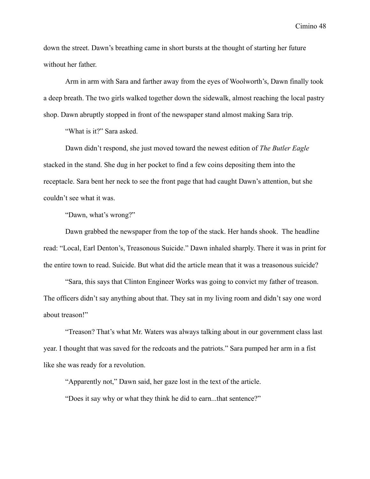down the street. Dawn's breathing came in short bursts at the thought of starting her future without her father.

Arm in arm with Sara and farther away from the eyes of Woolworth's, Dawn finally took a deep breath. The two girls walked together down the sidewalk, almost reaching the local pastry shop. Dawn abruptly stopped in front of the newspaper stand almost making Sara trip.

"What is it?" Sara asked.

Dawn didn't respond, she just moved toward the newest edition of *The Butler Eagle* stacked in the stand. She dug in her pocket to find a few coins depositing them into the receptacle. Sara bent her neck to see the front page that had caught Dawn's attention, but she couldn't see what it was.

"Dawn, what's wrong?"

Dawn grabbed the newspaper from the top of the stack. Her hands shook. The headline read: "Local, Earl Denton's, Treasonous Suicide." Dawn inhaled sharply. There it was in print for the entire town to read. Suicide. But what did the article mean that it was a treasonous suicide?

"Sara, this says that Clinton Engineer Works was going to convict my father of treason. The officers didn't say anything about that. They sat in my living room and didn't say one word about treason!"

"Treason? That's what Mr. Waters was always talking about in our government class last year. I thought that was saved for the redcoats and the patriots." Sara pumped her arm in a fist like she was ready for a revolution.

"Apparently not," Dawn said, her gaze lost in the text of the article.

"Does it say why or what they think he did to earn...that sentence?"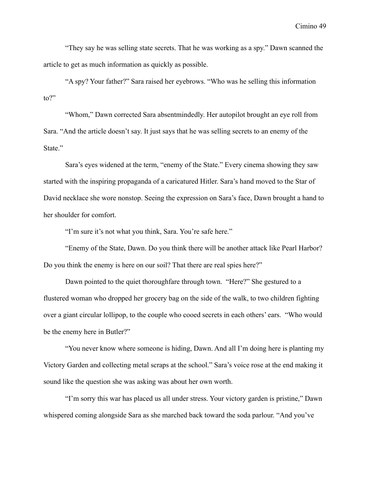"They say he was selling state secrets. That he was working as a spy." Dawn scanned the article to get as much information as quickly as possible.

"A spy? Your father?" Sara raised her eyebrows. "Who was he selling this information  $\omega$ ?"

"Whom," Dawn corrected Sara absentmindedly. Her autopilot brought an eye roll from Sara. "And the article doesn't say. It just says that he was selling secrets to an enemy of the State."

Sara's eyes widened at the term, "enemy of the State." Every cinema showing they saw started with the inspiring propaganda of a caricatured Hitler. Sara's hand moved to the Star of David necklace she wore nonstop. Seeing the expression on Sara's face, Dawn brought a hand to her shoulder for comfort.

"I'm sure it's not what you think, Sara. You're safe here."

"Enemy of the State, Dawn. Do you think there will be another attack like Pearl Harbor? Do you think the enemy is here on our soil? That there are real spies here?"

Dawn pointed to the quiet thoroughfare through town. "Here?" She gestured to a flustered woman who dropped her grocery bag on the side of the walk, to two children fighting over a giant circular lollipop, to the couple who cooed secrets in each others' ears. "Who would be the enemy here in Butler?"

"You never know where someone is hiding, Dawn. And all I'm doing here is planting my Victory Garden and collecting metal scraps at the school." Sara's voice rose at the end making it sound like the question she was asking was about her own worth.

"I'm sorry this war has placed us all under stress. Your victory garden is pristine," Dawn whispered coming alongside Sara as she marched back toward the soda parlour. "And you've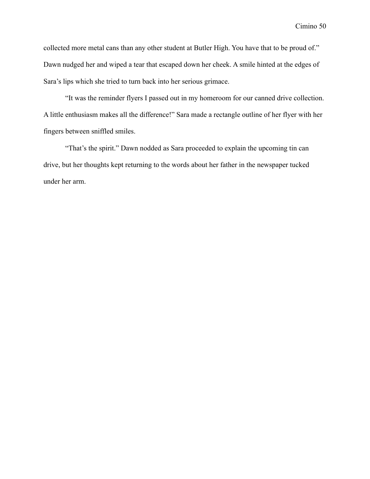collected more metal cans than any other student at Butler High. You have that to be proud of." Dawn nudged her and wiped a tear that escaped down her cheek. A smile hinted at the edges of Sara's lips which she tried to turn back into her serious grimace.

"It was the reminder flyers I passed out in my homeroom for our canned drive collection. A little enthusiasm makes all the difference!" Sara made a rectangle outline of her flyer with her fingers between sniffled smiles.

"That's the spirit." Dawn nodded as Sara proceeded to explain the upcoming tin can drive, but her thoughts kept returning to the words about her father in the newspaper tucked under her arm.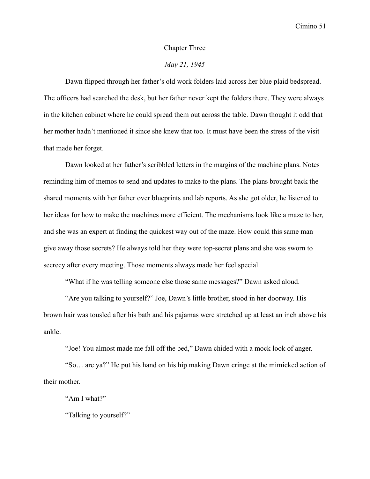#### Chapter Three

# *May 21, 1945*

Dawn flipped through her father's old work folders laid across her blue plaid bedspread. The officers had searched the desk, but her father never kept the folders there. They were always in the kitchen cabinet where he could spread them out across the table. Dawn thought it odd that her mother hadn't mentioned it since she knew that too. It must have been the stress of the visit that made her forget.

Dawn looked at her father's scribbled letters in the margins of the machine plans. Notes reminding him of memos to send and updates to make to the plans. The plans brought back the shared moments with her father over blueprints and lab reports. As she got older, he listened to her ideas for how to make the machines more efficient. The mechanisms look like a maze to her, and she was an expert at finding the quickest way out of the maze. How could this same man give away those secrets? He always told her they were top-secret plans and she was sworn to secrecy after every meeting. Those moments always made her feel special.

"What if he was telling someone else those same messages?" Dawn asked aloud.

"Are you talking to yourself?" Joe, Dawn's little brother, stood in her doorway. His brown hair was tousled after his bath and his pajamas were stretched up at least an inch above his ankle.

"Joe! You almost made me fall off the bed," Dawn chided with a mock look of anger.

"So… are ya?" He put his hand on his hip making Dawn cringe at the mimicked action of their mother.

"Am I what?"

"Talking to yourself?"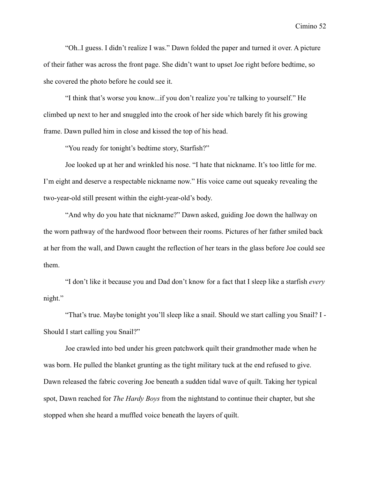"Oh..I guess. I didn't realize I was." Dawn folded the paper and turned it over. A picture of their father was across the front page. She didn't want to upset Joe right before bedtime, so she covered the photo before he could see it.

"I think that's worse you know...if you don't realize you're talking to yourself." He climbed up next to her and snuggled into the crook of her side which barely fit his growing frame. Dawn pulled him in close and kissed the top of his head.

"You ready for tonight's bedtime story, Starfish?"

Joe looked up at her and wrinkled his nose. "I hate that nickname. It's too little for me. I'm eight and deserve a respectable nickname now." His voice came out squeaky revealing the two-year-old still present within the eight-year-old's body.

"And why do you hate that nickname?" Dawn asked, guiding Joe down the hallway on the worn pathway of the hardwood floor between their rooms. Pictures of her father smiled back at her from the wall, and Dawn caught the reflection of her tears in the glass before Joe could see them.

"I don't like it because you and Dad don't know for a fact that I sleep like a starfish *every* night."

"That's true. Maybe tonight you'll sleep like a snail. Should we start calling you Snail? I - Should I start calling you Snail?"

Joe crawled into bed under his green patchwork quilt their grandmother made when he was born. He pulled the blanket grunting as the tight military tuck at the end refused to give. Dawn released the fabric covering Joe beneath a sudden tidal wave of quilt. Taking her typical spot, Dawn reached for *The Hardy Boys* from the nightstand to continue their chapter, but she stopped when she heard a muffled voice beneath the layers of quilt.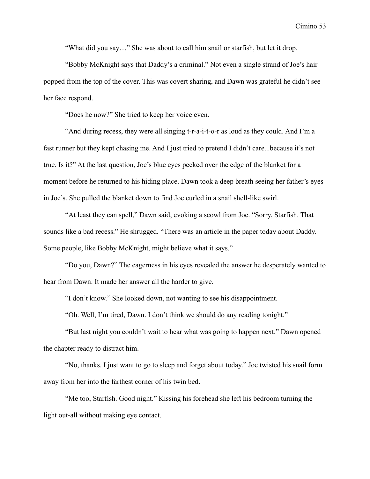"What did you say…" She was about to call him snail or starfish, but let it drop.

"Bobby McKnight says that Daddy's a criminal." Not even a single strand of Joe's hair popped from the top of the cover. This was covert sharing, and Dawn was grateful he didn't see her face respond.

"Does he now?" She tried to keep her voice even.

"And during recess, they were all singing t-r-a-i-t-o-r as loud as they could. And I'm a fast runner but they kept chasing me. And I just tried to pretend I didn't care...because it's not true. Is it?" At the last question, Joe's blue eyes peeked over the edge of the blanket for a moment before he returned to his hiding place. Dawn took a deep breath seeing her father's eyes in Joe's. She pulled the blanket down to find Joe curled in a snail shell-like swirl.

"At least they can spell," Dawn said, evoking a scowl from Joe. "Sorry, Starfish. That sounds like a bad recess." He shrugged. "There was an article in the paper today about Daddy. Some people, like Bobby McKnight, might believe what it says."

"Do you, Dawn?" The eagerness in his eyes revealed the answer he desperately wanted to hear from Dawn. It made her answer all the harder to give.

"I don't know." She looked down, not wanting to see his disappointment.

"Oh. Well, I'm tired, Dawn. I don't think we should do any reading tonight."

"But last night you couldn't wait to hear what was going to happen next." Dawn opened the chapter ready to distract him.

"No, thanks. I just want to go to sleep and forget about today." Joe twisted his snail form away from her into the farthest corner of his twin bed.

"Me too, Starfish. Good night." Kissing his forehead she left his bedroom turning the light out-all without making eye contact.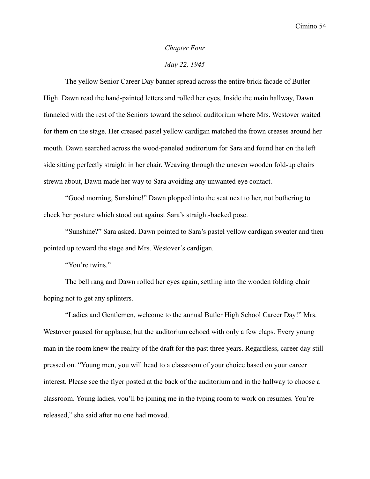#### *Chapter Four*

### *May 22, 1945*

The yellow Senior Career Day banner spread across the entire brick facade of Butler High. Dawn read the hand-painted letters and rolled her eyes. Inside the main hallway, Dawn funneled with the rest of the Seniors toward the school auditorium where Mrs. Westover waited for them on the stage. Her creased pastel yellow cardigan matched the frown creases around her mouth. Dawn searched across the wood-paneled auditorium for Sara and found her on the left side sitting perfectly straight in her chair. Weaving through the uneven wooden fold-up chairs strewn about, Dawn made her way to Sara avoiding any unwanted eye contact.

"Good morning, Sunshine!" Dawn plopped into the seat next to her, not bothering to check her posture which stood out against Sara's straight-backed pose.

"Sunshine?" Sara asked. Dawn pointed to Sara's pastel yellow cardigan sweater and then pointed up toward the stage and Mrs. Westover's cardigan.

"You're twins."

The bell rang and Dawn rolled her eyes again, settling into the wooden folding chair hoping not to get any splinters.

"Ladies and Gentlemen, welcome to the annual Butler High School Career Day!" Mrs. Westover paused for applause, but the auditorium echoed with only a few claps. Every young man in the room knew the reality of the draft for the past three years. Regardless, career day still pressed on. "Young men, you will head to a classroom of your choice based on your career interest. Please see the flyer posted at the back of the auditorium and in the hallway to choose a classroom. Young ladies, you'll be joining me in the typing room to work on resumes. You're released," she said after no one had moved.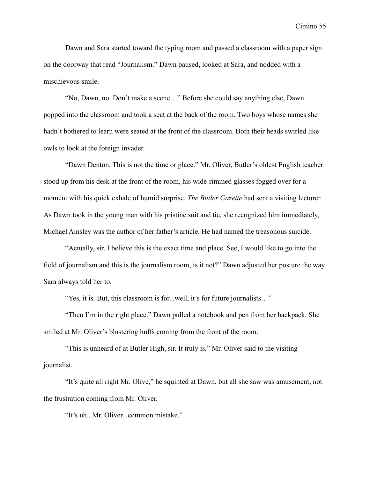Dawn and Sara started toward the typing room and passed a classroom with a paper sign on the doorway that read "Journalism." Dawn paused, looked at Sara, and nodded with a mischievous smile.

"No, Dawn, no. Don't make a scene…" Before she could say anything else, Dawn popped into the classroom and took a seat at the back of the room. Two boys whose names she hadn't bothered to learn were seated at the front of the classroom. Both their heads swirled like owls to look at the foreign invader.

"Dawn Denton. This is not the time or place." Mr. Oliver, Butler's oldest English teacher stood up from his desk at the front of the room, his wide-rimmed glasses fogged over for a moment with his quick exhale of humid surprise. *The Butler Gazette* had sent a visiting lecturer. As Dawn took in the young man with his pristine suit and tie, she recognized him immediately, Michael Ainsley was the author of her father's article. He had named the treasonous suicide.

"Actually, sir, I believe this is the exact time and place. See, I would like to go into the field of journalism and this is the journalism room, is it not?" Dawn adjusted her posture the way Sara always told her to.

"Yes, it is. But, this classroom is for...well, it's for future journalists…"

"Then I'm in the right place." Dawn pulled a notebook and pen from her backpack. She smiled at Mr. Oliver's blustering huffs coming from the front of the room.

"This is unheard of at Butler High, sir. It truly is," Mr. Oliver said to the visiting journalist.

"It's quite all right Mr. Olive," he squinted at Dawn, but all she saw was amusement, not the frustration coming from Mr. Oliver.

"It's uh...Mr. Oliver...common mistake."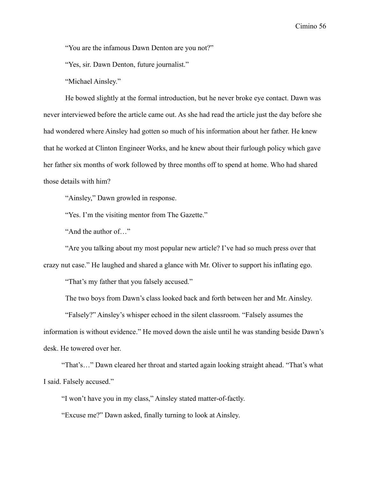"You are the infamous Dawn Denton are you not?"

"Yes, sir. Dawn Denton, future journalist."

"Michael Ainsley."

He bowed slightly at the formal introduction, but he never broke eye contact. Dawn was never interviewed before the article came out. As she had read the article just the day before she had wondered where Ainsley had gotten so much of his information about her father. He knew that he worked at Clinton Engineer Works, and he knew about their furlough policy which gave her father six months of work followed by three months off to spend at home. Who had shared those details with him?

"Ainsley," Dawn growled in response.

"Yes. I'm the visiting mentor from The Gazette."

"And the author of…"

"Are you talking about my most popular new article? I've had so much press over that crazy nut case." He laughed and shared a glance with Mr. Oliver to support his inflating ego.

"That's my father that you falsely accused."

The two boys from Dawn's class looked back and forth between her and Mr. Ainsley.

"Falsely?" Ainsley's whisper echoed in the silent classroom. "Falsely assumes the information is without evidence." He moved down the aisle until he was standing beside Dawn's desk. He towered over her.

"That's…" Dawn cleared her throat and started again looking straight ahead. "That's what I said. Falsely accused."

"I won't have you in my class," Ainsley stated matter-of-factly.

"Excuse me?" Dawn asked, finally turning to look at Ainsley.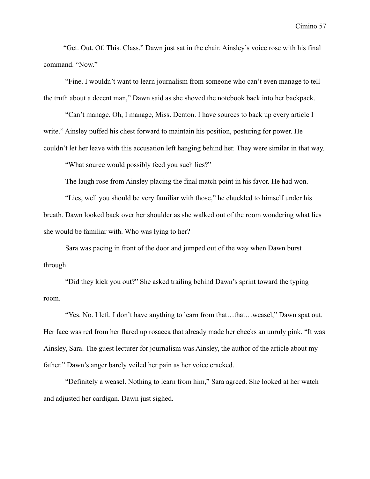"Get. Out. Of. This. Class." Dawn just sat in the chair. Ainsley's voice rose with his final command. "Now."

"Fine. I wouldn't want to learn journalism from someone who can't even manage to tell the truth about a decent man," Dawn said as she shoved the notebook back into her backpack.

"Can't manage. Oh, I manage, Miss. Denton. I have sources to back up every article I write." Ainsley puffed his chest forward to maintain his position, posturing for power. He couldn't let her leave with this accusation left hanging behind her. They were similar in that way.

"What source would possibly feed you such lies?"

The laugh rose from Ainsley placing the final match point in his favor. He had won.

"Lies, well you should be very familiar with those," he chuckled to himself under his breath. Dawn looked back over her shoulder as she walked out of the room wondering what lies she would be familiar with. Who was lying to her?

Sara was pacing in front of the door and jumped out of the way when Dawn burst through.

"Did they kick you out?" She asked trailing behind Dawn's sprint toward the typing room.

"Yes. No. I left. I don't have anything to learn from that…that…weasel," Dawn spat out. Her face was red from her flared up rosacea that already made her cheeks an unruly pink. "It was Ainsley, Sara. The guest lecturer for journalism was Ainsley, the author of the article about my father." Dawn's anger barely veiled her pain as her voice cracked.

"Definitely a weasel. Nothing to learn from him," Sara agreed. She looked at her watch and adjusted her cardigan. Dawn just sighed.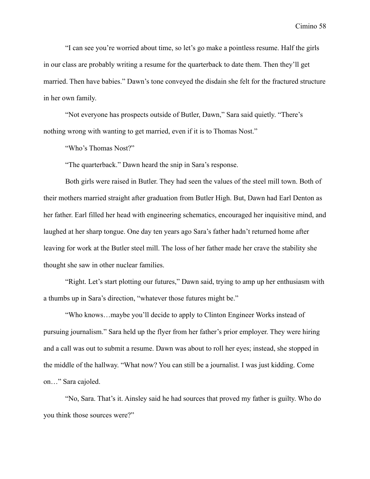"I can see you're worried about time, so let's go make a pointless resume. Half the girls in our class are probably writing a resume for the quarterback to date them. Then they'll get married. Then have babies." Dawn's tone conveyed the disdain she felt for the fractured structure in her own family.

"Not everyone has prospects outside of Butler, Dawn," Sara said quietly. "There's nothing wrong with wanting to get married, even if it is to Thomas Nost."

"Who's Thomas Nost?"

"The quarterback." Dawn heard the snip in Sara's response.

Both girls were raised in Butler. They had seen the values of the steel mill town. Both of their mothers married straight after graduation from Butler High. But, Dawn had Earl Denton as her father. Earl filled her head with engineering schematics, encouraged her inquisitive mind, and laughed at her sharp tongue. One day ten years ago Sara's father hadn't returned home after leaving for work at the Butler steel mill. The loss of her father made her crave the stability she thought she saw in other nuclear families.

"Right. Let's start plotting our futures," Dawn said, trying to amp up her enthusiasm with a thumbs up in Sara's direction, "whatever those futures might be."

"Who knows…maybe you'll decide to apply to Clinton Engineer Works instead of pursuing journalism." Sara held up the flyer from her father's prior employer. They were hiring and a call was out to submit a resume. Dawn was about to roll her eyes; instead, she stopped in the middle of the hallway. "What now? You can still be a journalist. I was just kidding. Come on…" Sara cajoled.

"No, Sara. That's it. Ainsley said he had sources that proved my father is guilty. Who do you think those sources were?"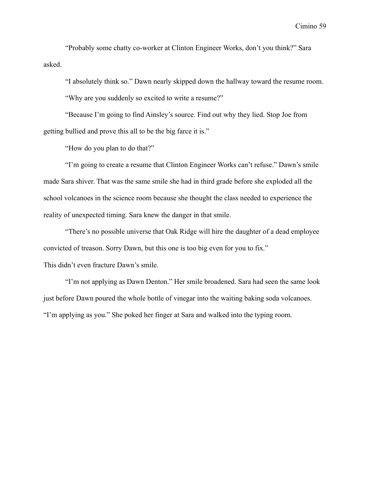"Probably some chatty co-worker at Clinton Engineer Works, don't you think?" Sara asked.

"I absolutely think so." Dawn nearly skipped down the hallway toward the resume room.

"Why are you suddenly so excited to write a resume?"

"Because I'm going to find Ainsley's source. Find out why they lied. Stop Joe from getting bullied and prove this all to be the big farce it is."

"How do you plan to do that?"

"I'm going to create a resume that Clinton Engineer Works can't refuse." Dawn's smile made Sara shiver. That was the same smile she had in third grade before she exploded all the school volcanoes in the science room because she thought the class needed to experience the reality of unexpected timing. Sara knew the danger in that smile.

"There's no possible universe that Oak Ridge will hire the daughter of a dead employee convicted of treason. Sorry Dawn, but this one is too big even for you to fix." This didn't even fracture Dawn's smile.

"I'm not applying as Dawn Denton." Her smile broadened. Sara had seen the same look just before Dawn poured the whole bottle of vinegar into the waiting baking soda volcanoes. "I'm applying as you." She poked her finger at Sara and walked into the typing room.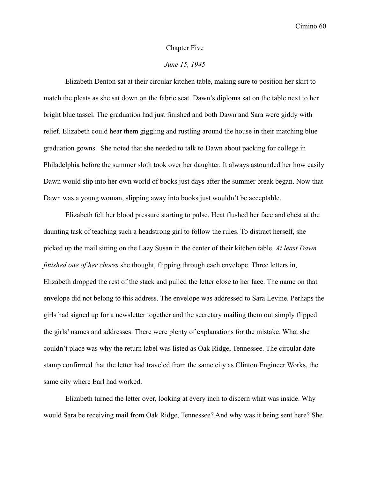#### Chapter Five

# *June 15, 1945*

Elizabeth Denton sat at their circular kitchen table, making sure to position her skirt to match the pleats as she sat down on the fabric seat. Dawn's diploma sat on the table next to her bright blue tassel. The graduation had just finished and both Dawn and Sara were giddy with relief. Elizabeth could hear them giggling and rustling around the house in their matching blue graduation gowns. She noted that she needed to talk to Dawn about packing for college in Philadelphia before the summer sloth took over her daughter. It always astounded her how easily Dawn would slip into her own world of books just days after the summer break began. Now that Dawn was a young woman, slipping away into books just wouldn't be acceptable.

Elizabeth felt her blood pressure starting to pulse. Heat flushed her face and chest at the daunting task of teaching such a headstrong girl to follow the rules. To distract herself, she picked up the mail sitting on the Lazy Susan in the center of their kitchen table. *At least Dawn finished one of her chores* she thought, flipping through each envelope. Three letters in, Elizabeth dropped the rest of the stack and pulled the letter close to her face. The name on that envelope did not belong to this address. The envelope was addressed to Sara Levine. Perhaps the girls had signed up for a newsletter together and the secretary mailing them out simply flipped the girls' names and addresses. There were plenty of explanations for the mistake. What she couldn't place was why the return label was listed as Oak Ridge, Tennessee. The circular date stamp confirmed that the letter had traveled from the same city as Clinton Engineer Works, the same city where Earl had worked.

Elizabeth turned the letter over, looking at every inch to discern what was inside. Why would Sara be receiving mail from Oak Ridge, Tennessee? And why was it being sent here? She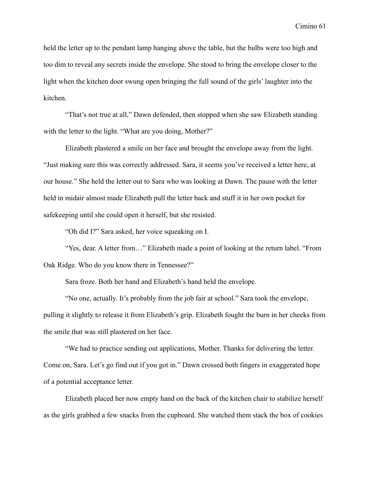held the letter up to the pendant lamp hanging above the table, but the bulbs were too high and too dim to reveal any secrets inside the envelope. She stood to bring the envelope closer to the light when the kitchen door swung open bringing the full sound of the girls' laughter into the kitchen.

"That's not true at all," Dawn defended, then stopped when she saw Elizabeth standing with the letter to the light. "What are you doing, Mother?"

Elizabeth plastered a smile on her face and brought the envelope away from the light. "Just making sure this was correctly addressed. Sara, it seems you've received a letter here, at our house." She held the letter out to Sara who was looking at Dawn. The pause with the letter held in midair almost made Elizabeth pull the letter back and stuff it in her own pocket for safekeeping until she could open it herself, but she resisted.

"Oh did I?" Sara asked, her voice squeaking on I.

"Yes, dear. A letter from…" Elizabeth made a point of looking at the return label. "From Oak Ridge. Who do you know there in Tennessee?"

Sara froze. Both her hand and Elizabeth's hand held the envelope.

"No one, actually. It's probably from the job fair at school." Sara took the envelope, pulling it slightly to release it from Elizabeth's grip. Elizabeth fought the burn in her cheeks from the smile that was still plastered on her face.

"We had to practice sending out applications, Mother. Thanks for delivering the letter. Come on, Sara. Let's go find out if you got in." Dawn crossed both fingers in exaggerated hope of a potential acceptance letter.

Elizabeth placed her now empty hand on the back of the kitchen chair to stabilize herself as the girls grabbed a few snacks from the cupboard. She watched them stack the box of cookies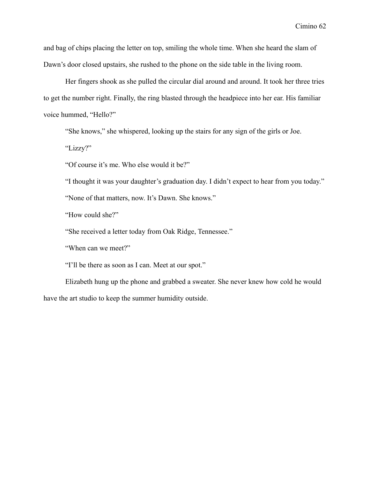and bag of chips placing the letter on top, smiling the whole time. When she heard the slam of Dawn's door closed upstairs, she rushed to the phone on the side table in the living room.

Her fingers shook as she pulled the circular dial around and around. It took her three tries to get the number right. Finally, the ring blasted through the headpiece into her ear. His familiar voice hummed, "Hello?"

"She knows," she whispered, looking up the stairs for any sign of the girls or Joe.

"Lizzy?"

"Of course it's me. Who else would it be?"

"I thought it was your daughter's graduation day. I didn't expect to hear from you today."

"None of that matters, now. It's Dawn. She knows."

"How could she?"

"She received a letter today from Oak Ridge, Tennessee."

"When can we meet?"

"I'll be there as soon as I can. Meet at our spot."

Elizabeth hung up the phone and grabbed a sweater. She never knew how cold he would have the art studio to keep the summer humidity outside.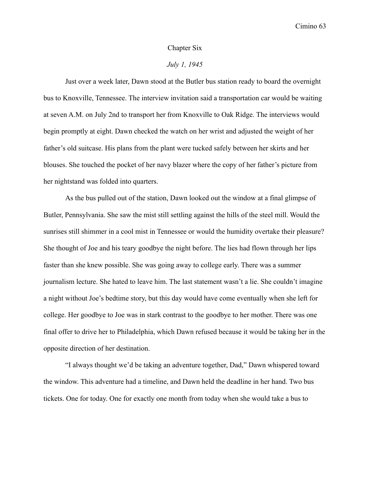### Chapter Six

# *July 1, 1945*

Just over a week later, Dawn stood at the Butler bus station ready to board the overnight bus to Knoxville, Tennessee. The interview invitation said a transportation car would be waiting at seven A.M. on July 2nd to transport her from Knoxville to Oak Ridge. The interviews would begin promptly at eight. Dawn checked the watch on her wrist and adjusted the weight of her father's old suitcase. His plans from the plant were tucked safely between her skirts and her blouses. She touched the pocket of her navy blazer where the copy of her father's picture from her nightstand was folded into quarters.

As the bus pulled out of the station, Dawn looked out the window at a final glimpse of Butler, Pennsylvania. She saw the mist still settling against the hills of the steel mill. Would the sunrises still shimmer in a cool mist in Tennessee or would the humidity overtake their pleasure? She thought of Joe and his teary goodbye the night before. The lies had flown through her lips faster than she knew possible. She was going away to college early. There was a summer journalism lecture. She hated to leave him. The last statement wasn't a lie. She couldn't imagine a night without Joe's bedtime story, but this day would have come eventually when she left for college. Her goodbye to Joe was in stark contrast to the goodbye to her mother. There was one final offer to drive her to Philadelphia, which Dawn refused because it would be taking her in the opposite direction of her destination.

"I always thought we'd be taking an adventure together, Dad," Dawn whispered toward the window. This adventure had a timeline, and Dawn held the deadline in her hand. Two bus tickets. One for today. One for exactly one month from today when she would take a bus to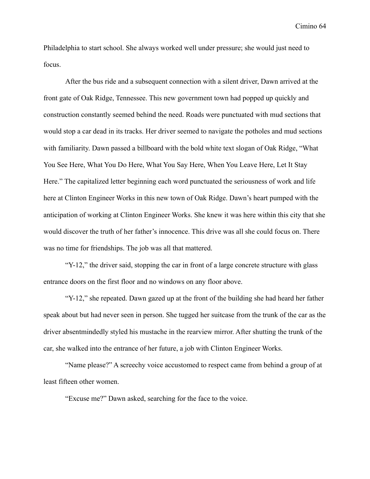Philadelphia to start school. She always worked well under pressure; she would just need to focus.

After the bus ride and a subsequent connection with a silent driver, Dawn arrived at the front gate of Oak Ridge, Tennessee. This new government town had popped up quickly and construction constantly seemed behind the need. Roads were punctuated with mud sections that would stop a car dead in its tracks. Her driver seemed to navigate the potholes and mud sections with familiarity. Dawn passed a billboard with the bold white text slogan of Oak Ridge, "What You See Here, What You Do Here, What You Say Here, When You Leave Here, Let It Stay Here." The capitalized letter beginning each word punctuated the seriousness of work and life here at Clinton Engineer Works in this new town of Oak Ridge. Dawn's heart pumped with the anticipation of working at Clinton Engineer Works. She knew it was here within this city that she would discover the truth of her father's innocence. This drive was all she could focus on. There was no time for friendships. The job was all that mattered.

"Y-12," the driver said, stopping the car in front of a large concrete structure with glass entrance doors on the first floor and no windows on any floor above.

"Y-12," she repeated. Dawn gazed up at the front of the building she had heard her father speak about but had never seen in person. She tugged her suitcase from the trunk of the car as the driver absentmindedly styled his mustache in the rearview mirror. After shutting the trunk of the car, she walked into the entrance of her future, a job with Clinton Engineer Works.

"Name please?" A screechy voice accustomed to respect came from behind a group of at least fifteen other women.

"Excuse me?" Dawn asked, searching for the face to the voice.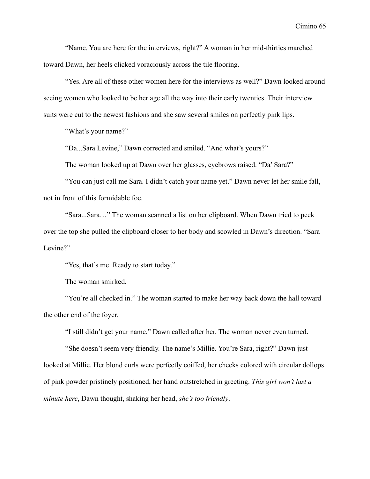"Name. You are here for the interviews, right?" A woman in her mid-thirties marched toward Dawn, her heels clicked voraciously across the tile flooring.

"Yes. Are all of these other women here for the interviews as well?" Dawn looked around seeing women who looked to be her age all the way into their early twenties. Their interview suits were cut to the newest fashions and she saw several smiles on perfectly pink lips.

"What's your name?"

"Da...Sara Levine," Dawn corrected and smiled. "And what's yours?"

The woman looked up at Dawn over her glasses, eyebrows raised. "Da' Sara?"

"You can just call me Sara. I didn't catch your name yet." Dawn never let her smile fall, not in front of this formidable foe.

"Sara...Sara…" The woman scanned a list on her clipboard. When Dawn tried to peek over the top she pulled the clipboard closer to her body and scowled in Dawn's direction. "Sara Levine?"

"Yes, that's me. Ready to start today."

The woman smirked.

"You're all checked in." The woman started to make her way back down the hall toward the other end of the foyer.

"I still didn't get your name," Dawn called after her. The woman never even turned.

"She doesn't seem very friendly. The name's Millie. You're Sara, right?" Dawn just looked at Millie. Her blond curls were perfectly coiffed, her cheeks colored with circular dollops of pink powder pristinely positioned, her hand outstretched in greeting. *This girl won't last a minute here*, Dawn thought, shaking her head, *she's too friendly*.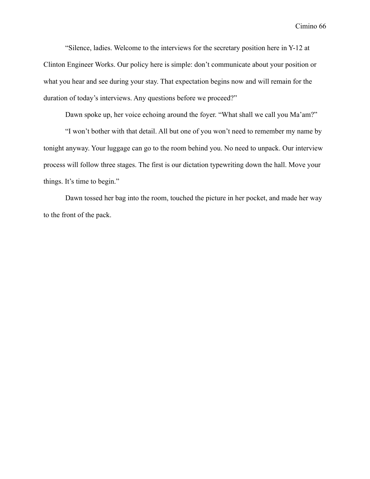"Silence, ladies. Welcome to the interviews for the secretary position here in Y-12 at Clinton Engineer Works. Our policy here is simple: don't communicate about your position or what you hear and see during your stay. That expectation begins now and will remain for the duration of today's interviews. Any questions before we proceed?"

Dawn spoke up, her voice echoing around the foyer. "What shall we call you Ma'am?"

"I won't bother with that detail. All but one of you won't need to remember my name by tonight anyway. Your luggage can go to the room behind you. No need to unpack. Our interview process will follow three stages. The first is our dictation typewriting down the hall. Move your things. It's time to begin."

Dawn tossed her bag into the room, touched the picture in her pocket, and made her way to the front of the pack.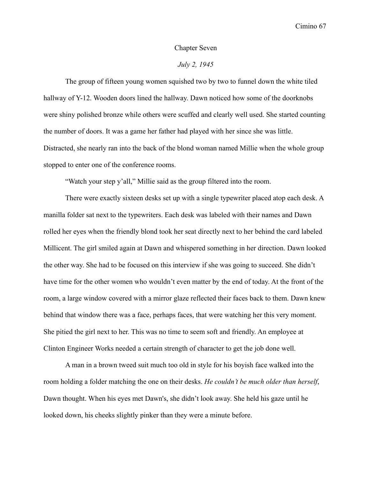### Chapter Seven

# *July 2, 1945*

The group of fifteen young women squished two by two to funnel down the white tiled hallway of Y-12. Wooden doors lined the hallway. Dawn noticed how some of the doorknobs were shiny polished bronze while others were scuffed and clearly well used. She started counting the number of doors. It was a game her father had played with her since she was little. Distracted, she nearly ran into the back of the blond woman named Millie when the whole group stopped to enter one of the conference rooms.

"Watch your step y'all," Millie said as the group filtered into the room.

There were exactly sixteen desks set up with a single typewriter placed atop each desk. A manilla folder sat next to the typewriters. Each desk was labeled with their names and Dawn rolled her eyes when the friendly blond took her seat directly next to her behind the card labeled Millicent. The girl smiled again at Dawn and whispered something in her direction. Dawn looked the other way. She had to be focused on this interview if she was going to succeed. She didn't have time for the other women who wouldn't even matter by the end of today. At the front of the room, a large window covered with a mirror glaze reflected their faces back to them. Dawn knew behind that window there was a face, perhaps faces, that were watching her this very moment. She pitied the girl next to her. This was no time to seem soft and friendly. An employee at Clinton Engineer Works needed a certain strength of character to get the job done well.

A man in a brown tweed suit much too old in style for his boyish face walked into the room holding a folder matching the one on their desks. *He couldn't be much older than herself*, Dawn thought. When his eyes met Dawn's, she didn't look away. She held his gaze until he looked down, his cheeks slightly pinker than they were a minute before.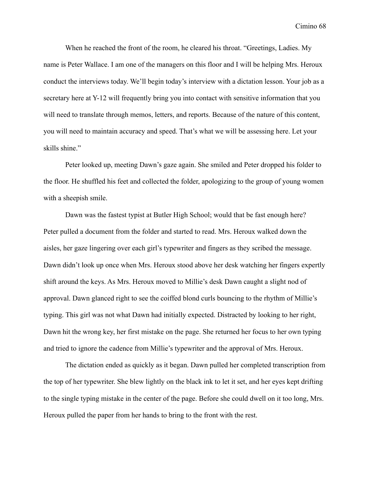When he reached the front of the room, he cleared his throat. "Greetings, Ladies. My name is Peter Wallace. I am one of the managers on this floor and I will be helping Mrs. Heroux conduct the interviews today. We'll begin today's interview with a dictation lesson. Your job as a secretary here at Y-12 will frequently bring you into contact with sensitive information that you will need to translate through memos, letters, and reports. Because of the nature of this content, you will need to maintain accuracy and speed. That's what we will be assessing here. Let your skills shine."

Peter looked up, meeting Dawn's gaze again. She smiled and Peter dropped his folder to the floor. He shuffled his feet and collected the folder, apologizing to the group of young women with a sheepish smile.

Dawn was the fastest typist at Butler High School; would that be fast enough here? Peter pulled a document from the folder and started to read. Mrs. Heroux walked down the aisles, her gaze lingering over each girl's typewriter and fingers as they scribed the message. Dawn didn't look up once when Mrs. Heroux stood above her desk watching her fingers expertly shift around the keys. As Mrs. Heroux moved to Millie's desk Dawn caught a slight nod of approval. Dawn glanced right to see the coiffed blond curls bouncing to the rhythm of Millie's typing. This girl was not what Dawn had initially expected. Distracted by looking to her right, Dawn hit the wrong key, her first mistake on the page. She returned her focus to her own typing and tried to ignore the cadence from Millie's typewriter and the approval of Mrs. Heroux.

The dictation ended as quickly as it began. Dawn pulled her completed transcription from the top of her typewriter. She blew lightly on the black ink to let it set, and her eyes kept drifting to the single typing mistake in the center of the page. Before she could dwell on it too long, Mrs. Heroux pulled the paper from her hands to bring to the front with the rest.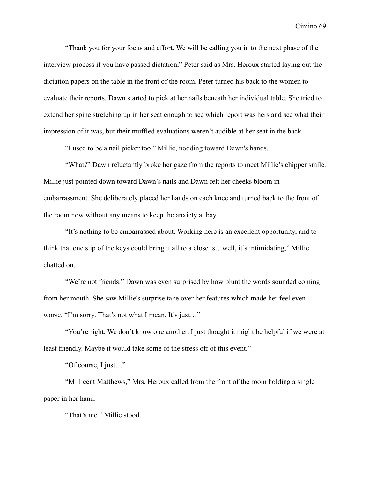"Thank you for your focus and effort. We will be calling you in to the next phase of the interview process if you have passed dictation," Peter said as Mrs. Heroux started laying out the dictation papers on the table in the front of the room. Peter turned his back to the women to evaluate their reports. Dawn started to pick at her nails beneath her individual table. She tried to extend her spine stretching up in her seat enough to see which report was hers and see what their impression of it was, but their muffled evaluations weren't audible at her seat in the back.

"I used to be a nail picker too." Millie, nodding toward Dawn's hands.

"What?" Dawn reluctantly broke her gaze from the reports to meet Millie's chipper smile. Millie just pointed down toward Dawn's nails and Dawn felt her cheeks bloom in embarrassment. She deliberately placed her hands on each knee and turned back to the front of the room now without any means to keep the anxiety at bay.

"It's nothing to be embarrassed about. Working here is an excellent opportunity, and to think that one slip of the keys could bring it all to a close is…well, it's intimidating," Millie chatted on.

"We're not friends." Dawn was even surprised by how blunt the words sounded coming from her mouth. She saw Millie's surprise take over her features which made her feel even worse. "I'm sorry. That's not what I mean. It's just…"

"You're right. We don't know one another. I just thought it might be helpful if we were at least friendly. Maybe it would take some of the stress off of this event."

"Of course, I just…"

"Millicent Matthews," Mrs. Heroux called from the front of the room holding a single paper in her hand.

"That's me." Millie stood.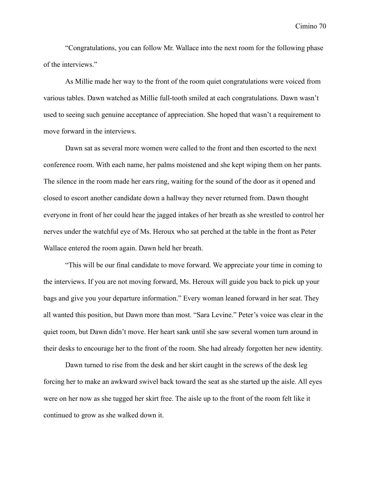"Congratulations, you can follow Mr. Wallace into the next room for the following phase of the interviews."

As Millie made her way to the front of the room quiet congratulations were voiced from various tables. Dawn watched as Millie full-tooth smiled at each congratulations. Dawn wasn't used to seeing such genuine acceptance of appreciation. She hoped that wasn't a requirement to move forward in the interviews.

Dawn sat as several more women were called to the front and then escorted to the next conference room. With each name, her palms moistened and she kept wiping them on her pants. The silence in the room made her ears ring, waiting for the sound of the door as it opened and closed to escort another candidate down a hallway they never returned from. Dawn thought everyone in front of her could hear the jagged intakes of her breath as she wrestled to control her nerves under the watchful eye of Ms. Heroux who sat perched at the table in the front as Peter Wallace entered the room again. Dawn held her breath.

"This will be our final candidate to move forward. We appreciate your time in coming to the interviews. If you are not moving forward, Ms. Heroux will guide you back to pick up your bags and give you your departure information." Every woman leaned forward in her seat. They all wanted this position, but Dawn more than most. "Sara Levine." Peter's voice was clear in the quiet room, but Dawn didn't move. Her heart sank until she saw several women turn around in their desks to encourage her to the front of the room. She had already forgotten her new identity.

Dawn turned to rise from the desk and her skirt caught in the screws of the desk leg forcing her to make an awkward swivel back toward the seat as she started up the aisle. All eyes were on her now as she tugged her skirt free. The aisle up to the front of the room felt like it continued to grow as she walked down it.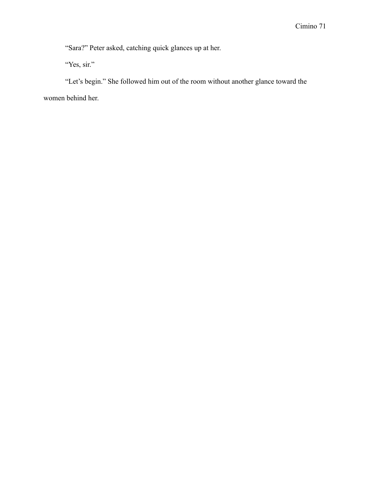"Sara?" Peter asked, catching quick glances up at her.

"Yes, sir."

"Let's begin." She followed him out of the room without another glance toward the women behind her.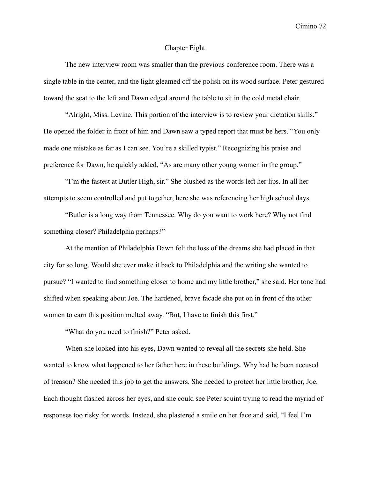## Chapter Eight

The new interview room was smaller than the previous conference room. There was a single table in the center, and the light gleamed off the polish on its wood surface. Peter gestured toward the seat to the left and Dawn edged around the table to sit in the cold metal chair.

"Alright, Miss. Levine. This portion of the interview is to review your dictation skills." He opened the folder in front of him and Dawn saw a typed report that must be hers. "You only made one mistake as far as I can see. You're a skilled typist." Recognizing his praise and preference for Dawn, he quickly added, "As are many other young women in the group."

"I'm the fastest at Butler High, sir." She blushed as the words left her lips. In all her attempts to seem controlled and put together, here she was referencing her high school days.

"Butler is a long way from Tennessee. Why do you want to work here? Why not find something closer? Philadelphia perhaps?"

At the mention of Philadelphia Dawn felt the loss of the dreams she had placed in that city for so long. Would she ever make it back to Philadelphia and the writing she wanted to pursue? "I wanted to find something closer to home and my little brother," she said. Her tone had shifted when speaking about Joe. The hardened, brave facade she put on in front of the other women to earn this position melted away. "But, I have to finish this first."

"What do you need to finish?" Peter asked.

When she looked into his eyes, Dawn wanted to reveal all the secrets she held. She wanted to know what happened to her father here in these buildings. Why had he been accused of treason? She needed this job to get the answers. She needed to protect her little brother, Joe. Each thought flashed across her eyes, and she could see Peter squint trying to read the myriad of responses too risky for words. Instead, she plastered a smile on her face and said, "I feel I'm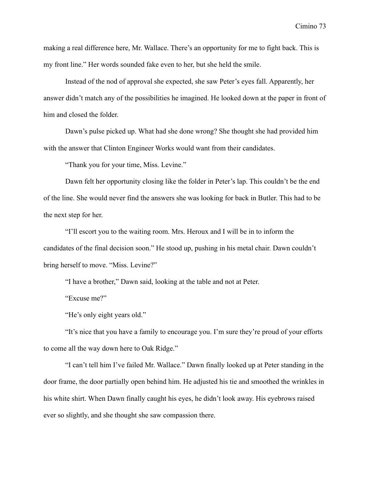making a real difference here, Mr. Wallace. There's an opportunity for me to fight back. This is my front line." Her words sounded fake even to her, but she held the smile.

Instead of the nod of approval she expected, she saw Peter's eyes fall. Apparently, her answer didn't match any of the possibilities he imagined. He looked down at the paper in front of him and closed the folder.

Dawn's pulse picked up. What had she done wrong? She thought she had provided him with the answer that Clinton Engineer Works would want from their candidates.

"Thank you for your time, Miss. Levine."

Dawn felt her opportunity closing like the folder in Peter's lap. This couldn't be the end of the line. She would never find the answers she was looking for back in Butler. This had to be the next step for her.

"I'll escort you to the waiting room. Mrs. Heroux and I will be in to inform the candidates of the final decision soon." He stood up, pushing in his metal chair. Dawn couldn't bring herself to move. "Miss. Levine?"

"I have a brother," Dawn said, looking at the table and not at Peter.

"Excuse me?"

"He's only eight years old."

"It's nice that you have a family to encourage you. I'm sure they're proud of your efforts to come all the way down here to Oak Ridge."

"I can't tell him I've failed Mr. Wallace." Dawn finally looked up at Peter standing in the door frame, the door partially open behind him. He adjusted his tie and smoothed the wrinkles in his white shirt. When Dawn finally caught his eyes, he didn't look away. His eyebrows raised ever so slightly, and she thought she saw compassion there.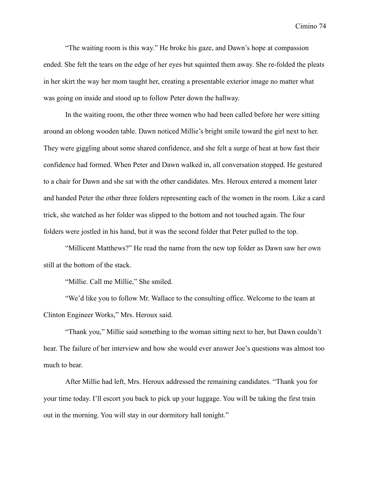"The waiting room is this way." He broke his gaze, and Dawn's hope at compassion ended. She felt the tears on the edge of her eyes but squinted them away. She re-folded the pleats in her skirt the way her mom taught her, creating a presentable exterior image no matter what was going on inside and stood up to follow Peter down the hallway.

In the waiting room, the other three women who had been called before her were sitting around an oblong wooden table. Dawn noticed Millie's bright smile toward the girl next to her. They were giggling about some shared confidence, and she felt a surge of heat at how fast their confidence had formed. When Peter and Dawn walked in, all conversation stopped. He gestured to a chair for Dawn and she sat with the other candidates. Mrs. Heroux entered a moment later and handed Peter the other three folders representing each of the women in the room. Like a card trick, she watched as her folder was slipped to the bottom and not touched again. The four folders were jostled in his hand, but it was the second folder that Peter pulled to the top.

"Millicent Matthews?" He read the name from the new top folder as Dawn saw her own still at the bottom of the stack.

"Millie. Call me Millie," She smiled.

"We'd like you to follow Mr. Wallace to the consulting office. Welcome to the team at Clinton Engineer Works," Mrs. Heroux said.

"Thank you," Millie said something to the woman sitting next to her, but Dawn couldn't hear. The failure of her interview and how she would ever answer Joe's questions was almost too much to bear.

After Millie had left, Mrs. Heroux addressed the remaining candidates. "Thank you for your time today. I'll escort you back to pick up your luggage. You will be taking the first train out in the morning. You will stay in our dormitory hall tonight."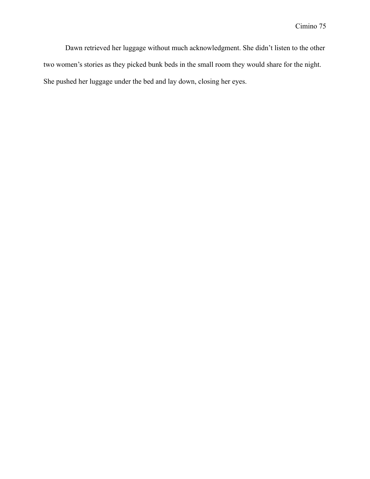Dawn retrieved her luggage without much acknowledgment. She didn't listen to the other two women's stories as they picked bunk beds in the small room they would share for the night. She pushed her luggage under the bed and lay down, closing her eyes.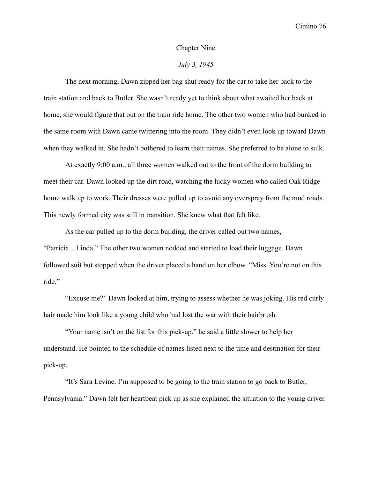#### Chapter Nine

## *July 3, 1945*

The next morning, Dawn zipped her bag shut ready for the car to take her back to the train station and back to Butler. She wasn't ready yet to think about what awaited her back at home, she would figure that out on the train ride home. The other two women who had bunked in the same room with Dawn came twittering into the room. They didn't even look up toward Dawn when they walked in. She hadn't bothered to learn their names. She preferred to be alone to sulk.

At exactly 9:00 a.m., all three women walked out to the front of the dorm building to meet their car. Dawn looked up the dirt road, watching the lucky women who called Oak Ridge home walk up to work. Their dresses were pulled up to avoid any overspray from the mud roads. This newly formed city was still in transition. She knew what that felt like.

As the car pulled up to the dorm building, the driver called out two names, "Patricia…Linda." The other two women nodded and started to load their luggage. Dawn followed suit but stopped when the driver placed a hand on her elbow. "Miss. You're not on this ride."

"Excuse me?" Dawn looked at him, trying to assess whether he was joking. His red curly hair made him look like a young child who had lost the war with their hairbrush.

"Your name isn't on the list for this pick-up," he said a little slower to help her understand. He pointed to the schedule of names listed next to the time and destination for their pick-up.

"It's Sara Levine. I'm supposed to be going to the train station to go back to Butler, Pennsylvania." Dawn felt her heartbeat pick up as she explained the situation to the young driver.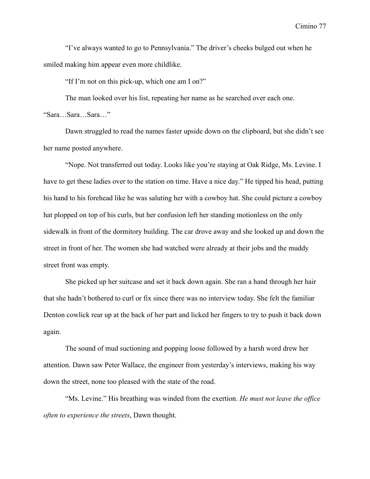"I've always wanted to go to Pennsylvania." The driver's cheeks bulged out when he smiled making him appear even more childlike.

"If I'm not on this pick-up, which one am I on?"

The man looked over his list, repeating her name as he searched over each one. "Sara…Sara…Sara…"

Dawn struggled to read the names faster upside down on the clipboard, but she didn't see her name posted anywhere.

"Nope. Not transferred out today. Looks like you're staying at Oak Ridge, Ms. Levine. I have to get these ladies over to the station on time. Have a nice day." He tipped his head, putting his hand to his forehead like he was saluting her with a cowboy hat. She could picture a cowboy hat plopped on top of his curls, but her confusion left her standing motionless on the only sidewalk in front of the dormitory building. The car drove away and she looked up and down the street in front of her. The women she had watched were already at their jobs and the muddy street front was empty.

She picked up her suitcase and set it back down again. She ran a hand through her hair that she hadn't bothered to curl or fix since there was no interview today. She felt the familiar Denton cowlick rear up at the back of her part and licked her fingers to try to push it back down again.

The sound of mud suctioning and popping loose followed by a harsh word drew her attention. Dawn saw Peter Wallace, the engineer from yesterday's interviews, making his way down the street, none too pleased with the state of the road.

"Ms. Levine." His breathing was winded from the exertion. *He must not leave the office often to experience the streets*, Dawn thought.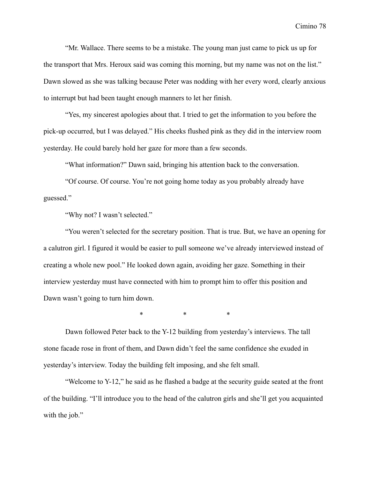"Mr. Wallace. There seems to be a mistake. The young man just came to pick us up for the transport that Mrs. Heroux said was coming this morning, but my name was not on the list." Dawn slowed as she was talking because Peter was nodding with her every word, clearly anxious to interrupt but had been taught enough manners to let her finish.

"Yes, my sincerest apologies about that. I tried to get the information to you before the pick-up occurred, but I was delayed." His cheeks flushed pink as they did in the interview room yesterday. He could barely hold her gaze for more than a few seconds.

"What information?" Dawn said, bringing his attention back to the conversation.

"Of course. Of course. You're not going home today as you probably already have guessed."

"Why not? I wasn't selected."

"You weren't selected for the secretary position. That is true. But, we have an opening for a calutron girl. I figured it would be easier to pull someone we've already interviewed instead of creating a whole new pool." He looked down again, avoiding her gaze. Something in their interview yesterday must have connected with him to prompt him to offer this position and Dawn wasn't going to turn him down.

\* \* \*

Dawn followed Peter back to the Y-12 building from yesterday's interviews. The tall stone facade rose in front of them, and Dawn didn't feel the same confidence she exuded in yesterday's interview. Today the building felt imposing, and she felt small.

"Welcome to Y-12," he said as he flashed a badge at the security guide seated at the front of the building. "I'll introduce you to the head of the calutron girls and she'll get you acquainted with the job."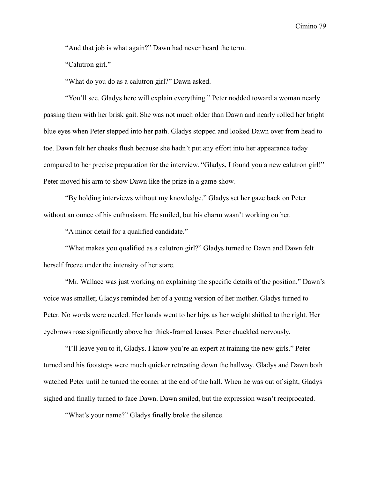"And that job is what again?" Dawn had never heard the term.

"Calutron girl."

"What do you do as a calutron girl?" Dawn asked.

"You'll see. Gladys here will explain everything." Peter nodded toward a woman nearly passing them with her brisk gait. She was not much older than Dawn and nearly rolled her bright blue eyes when Peter stepped into her path. Gladys stopped and looked Dawn over from head to toe. Dawn felt her cheeks flush because she hadn't put any effort into her appearance today compared to her precise preparation for the interview. "Gladys, I found you a new calutron girl!" Peter moved his arm to show Dawn like the prize in a game show.

"By holding interviews without my knowledge." Gladys set her gaze back on Peter without an ounce of his enthusiasm. He smiled, but his charm wasn't working on her.

"A minor detail for a qualified candidate."

"What makes you qualified as a calutron girl?" Gladys turned to Dawn and Dawn felt herself freeze under the intensity of her stare.

"Mr. Wallace was just working on explaining the specific details of the position." Dawn's voice was smaller, Gladys reminded her of a young version of her mother. Gladys turned to Peter. No words were needed. Her hands went to her hips as her weight shifted to the right. Her eyebrows rose significantly above her thick-framed lenses. Peter chuckled nervously.

"I'll leave you to it, Gladys. I know you're an expert at training the new girls." Peter turned and his footsteps were much quicker retreating down the hallway. Gladys and Dawn both watched Peter until he turned the corner at the end of the hall. When he was out of sight, Gladys sighed and finally turned to face Dawn. Dawn smiled, but the expression wasn't reciprocated.

"What's your name?" Gladys finally broke the silence.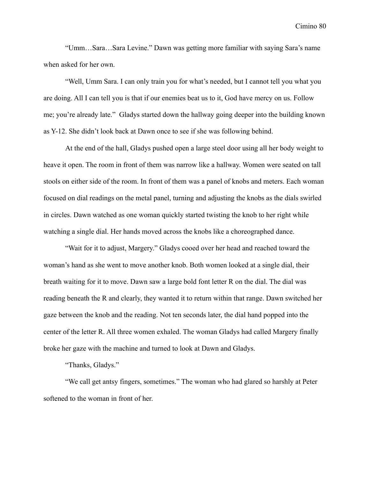"Umm…Sara…Sara Levine." Dawn was getting more familiar with saying Sara's name when asked for her own.

"Well, Umm Sara. I can only train you for what's needed, but I cannot tell you what you are doing. All I can tell you is that if our enemies beat us to it, God have mercy on us. Follow me; you're already late." Gladys started down the hallway going deeper into the building known as Y-12. She didn't look back at Dawn once to see if she was following behind.

At the end of the hall, Gladys pushed open a large steel door using all her body weight to heave it open. The room in front of them was narrow like a hallway. Women were seated on tall stools on either side of the room. In front of them was a panel of knobs and meters. Each woman focused on dial readings on the metal panel, turning and adjusting the knobs as the dials swirled in circles. Dawn watched as one woman quickly started twisting the knob to her right while watching a single dial. Her hands moved across the knobs like a choreographed dance.

"Wait for it to adjust, Margery." Gladys cooed over her head and reached toward the woman's hand as she went to move another knob. Both women looked at a single dial, their breath waiting for it to move. Dawn saw a large bold font letter R on the dial. The dial was reading beneath the R and clearly, they wanted it to return within that range. Dawn switched her gaze between the knob and the reading. Not ten seconds later, the dial hand popped into the center of the letter R. All three women exhaled. The woman Gladys had called Margery finally broke her gaze with the machine and turned to look at Dawn and Gladys.

"Thanks, Gladys."

"We call get antsy fingers, sometimes." The woman who had glared so harshly at Peter softened to the woman in front of her.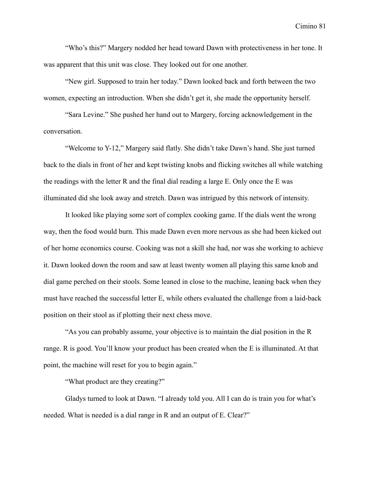"Who's this?" Margery nodded her head toward Dawn with protectiveness in her tone. It was apparent that this unit was close. They looked out for one another.

"New girl. Supposed to train her today." Dawn looked back and forth between the two women, expecting an introduction. When she didn't get it, she made the opportunity herself.

"Sara Levine." She pushed her hand out to Margery, forcing acknowledgement in the conversation.

"Welcome to Y-12," Margery said flatly. She didn't take Dawn's hand. She just turned back to the dials in front of her and kept twisting knobs and flicking switches all while watching the readings with the letter R and the final dial reading a large E. Only once the E was illuminated did she look away and stretch. Dawn was intrigued by this network of intensity.

It looked like playing some sort of complex cooking game. If the dials went the wrong way, then the food would burn. This made Dawn even more nervous as she had been kicked out of her home economics course. Cooking was not a skill she had, nor was she working to achieve it. Dawn looked down the room and saw at least twenty women all playing this same knob and dial game perched on their stools. Some leaned in close to the machine, leaning back when they must have reached the successful letter E, while others evaluated the challenge from a laid-back position on their stool as if plotting their next chess move.

"As you can probably assume, your objective is to maintain the dial position in the R range. R is good. You'll know your product has been created when the E is illuminated. At that point, the machine will reset for you to begin again."

"What product are they creating?"

Gladys turned to look at Dawn. "I already told you. All I can do is train you for what's needed. What is needed is a dial range in R and an output of E. Clear?"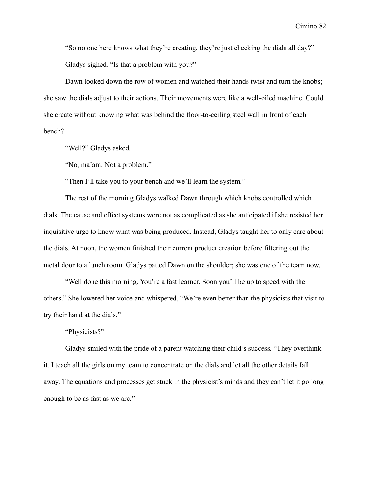"So no one here knows what they're creating, they're just checking the dials all day?" Gladys sighed. "Is that a problem with you?"

Dawn looked down the row of women and watched their hands twist and turn the knobs; she saw the dials adjust to their actions. Their movements were like a well-oiled machine. Could she create without knowing what was behind the floor-to-ceiling steel wall in front of each bench?

"Well?" Gladys asked.

"No, ma'am. Not a problem."

"Then I'll take you to your bench and we'll learn the system."

The rest of the morning Gladys walked Dawn through which knobs controlled which dials. The cause and effect systems were not as complicated as she anticipated if she resisted her inquisitive urge to know what was being produced. Instead, Gladys taught her to only care about the dials. At noon, the women finished their current product creation before filtering out the metal door to a lunch room. Gladys patted Dawn on the shoulder; she was one of the team now.

"Well done this morning. You're a fast learner. Soon you'll be up to speed with the others." She lowered her voice and whispered, "We're even better than the physicists that visit to try their hand at the dials."

"Physicists?"

Gladys smiled with the pride of a parent watching their child's success. "They overthink it. I teach all the girls on my team to concentrate on the dials and let all the other details fall away. The equations and processes get stuck in the physicist's minds and they can't let it go long enough to be as fast as we are."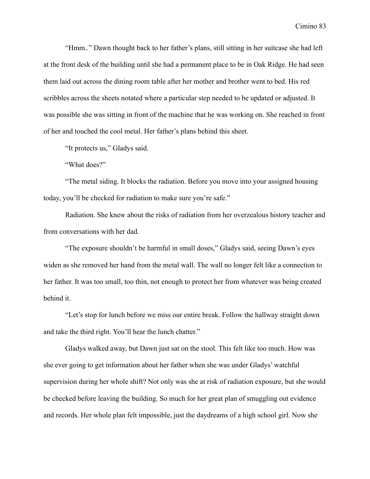"Hmm.." Dawn thought back to her father's plans, still sitting in her suitcase she had left at the front desk of the building until she had a permanent place to be in Oak Ridge. He had seen them laid out across the dining room table after her mother and brother went to bed. His red scribbles across the sheets notated where a particular step needed to be updated or adjusted. It was possible she was sitting in front of the machine that he was working on. She reached in front of her and touched the cool metal. Her father's plans behind this sheet.

"It protects us," Gladys said.

"What does?"

"The metal siding. It blocks the radiation. Before you move into your assigned housing today, you'll be checked for radiation to make sure you're safe."

Radiation. She knew about the risks of radiation from her overzealous history teacher and from conversations with her dad.

"The exposure shouldn't be harmful in small doses," Gladys said, seeing Dawn's eyes widen as she removed her hand from the metal wall. The wall no longer felt like a connection to her father. It was too small, too thin, not enough to protect her from whatever was being created behind it.

"Let's stop for lunch before we miss our entire break. Follow the hallway straight down and take the third right. You'll hear the lunch chatter."

Gladys walked away, but Dawn just sat on the stool. This felt like too much. How was she ever going to get information about her father when she was under Gladys' watchful supervision during her whole shift? Not only was she at risk of radiation exposure, but she would be checked before leaving the building. So much for her great plan of smuggling out evidence and records. Her whole plan felt impossible, just the daydreams of a high school girl. Now she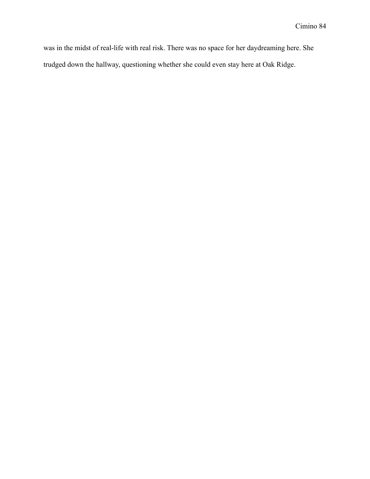was in the midst of real-life with real risk. There was no space for her daydreaming here. She trudged down the hallway, questioning whether she could even stay here at Oak Ridge.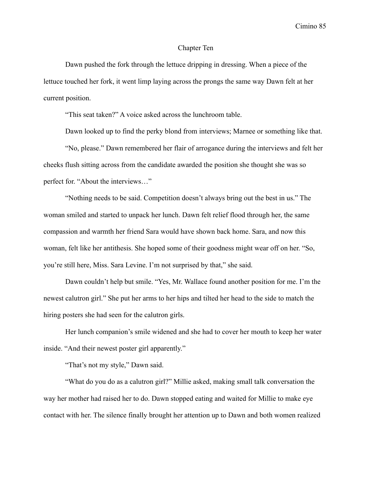### Chapter Ten

Dawn pushed the fork through the lettuce dripping in dressing. When a piece of the lettuce touched her fork, it went limp laying across the prongs the same way Dawn felt at her current position.

"This seat taken?" A voice asked across the lunchroom table.

Dawn looked up to find the perky blond from interviews; Marnee or something like that.

"No, please." Dawn remembered her flair of arrogance during the interviews and felt her cheeks flush sitting across from the candidate awarded the position she thought she was so perfect for. "About the interviews…"

"Nothing needs to be said. Competition doesn't always bring out the best in us." The woman smiled and started to unpack her lunch. Dawn felt relief flood through her, the same compassion and warmth her friend Sara would have shown back home. Sara, and now this woman, felt like her antithesis. She hoped some of their goodness might wear off on her. "So, you're still here, Miss. Sara Levine. I'm not surprised by that," she said.

Dawn couldn't help but smile. "Yes, Mr. Wallace found another position for me. I'm the newest calutron girl." She put her arms to her hips and tilted her head to the side to match the hiring posters she had seen for the calutron girls.

Her lunch companion's smile widened and she had to cover her mouth to keep her water inside. "And their newest poster girl apparently."

"That's not my style," Dawn said.

"What do you do as a calutron girl?" Millie asked, making small talk conversation the way her mother had raised her to do. Dawn stopped eating and waited for Millie to make eye contact with her. The silence finally brought her attention up to Dawn and both women realized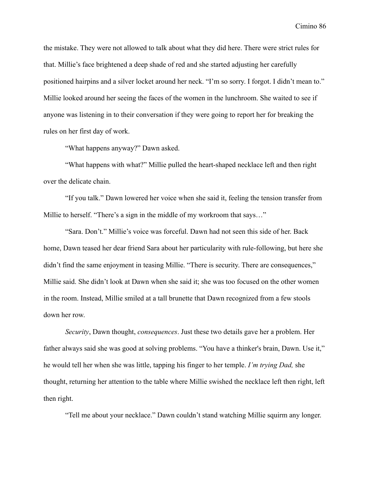the mistake. They were not allowed to talk about what they did here. There were strict rules for that. Millie's face brightened a deep shade of red and she started adjusting her carefully positioned hairpins and a silver locket around her neck. "I'm so sorry. I forgot. I didn't mean to." Millie looked around her seeing the faces of the women in the lunchroom. She waited to see if anyone was listening in to their conversation if they were going to report her for breaking the rules on her first day of work.

"What happens anyway?" Dawn asked.

"What happens with what?" Millie pulled the heart-shaped necklace left and then right over the delicate chain.

"If you talk." Dawn lowered her voice when she said it, feeling the tension transfer from Millie to herself. "There's a sign in the middle of my workroom that says..."

"Sara. Don't." Millie's voice was forceful. Dawn had not seen this side of her. Back home, Dawn teased her dear friend Sara about her particularity with rule-following, but here she didn't find the same enjoyment in teasing Millie. "There is security. There are consequences," Millie said. She didn't look at Dawn when she said it; she was too focused on the other women in the room. Instead, Millie smiled at a tall brunette that Dawn recognized from a few stools down her row.

*Security*, Dawn thought, *consequences*. Just these two details gave her a problem. Her father always said she was good at solving problems. "You have a thinker's brain, Dawn. Use it," he would tell her when she was little, tapping his finger to her temple. *I'm trying Dad,* she thought, returning her attention to the table where Millie swished the necklace left then right, left then right.

"Tell me about your necklace." Dawn couldn't stand watching Millie squirm any longer.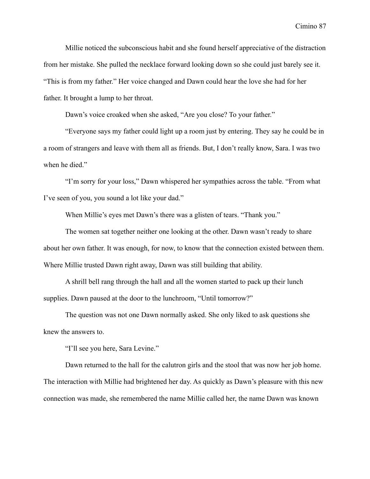Millie noticed the subconscious habit and she found herself appreciative of the distraction from her mistake. She pulled the necklace forward looking down so she could just barely see it. "This is from my father." Her voice changed and Dawn could hear the love she had for her father. It brought a lump to her throat.

Dawn's voice croaked when she asked, "Are you close? To your father."

"Everyone says my father could light up a room just by entering. They say he could be in a room of strangers and leave with them all as friends. But, I don't really know, Sara. I was two when he died."

"I'm sorry for your loss," Dawn whispered her sympathies across the table. "From what I've seen of you, you sound a lot like your dad."

When Millie's eyes met Dawn's there was a glisten of tears. "Thank you."

The women sat together neither one looking at the other. Dawn wasn't ready to share about her own father. It was enough, for now, to know that the connection existed between them. Where Millie trusted Dawn right away, Dawn was still building that ability.

A shrill bell rang through the hall and all the women started to pack up their lunch supplies. Dawn paused at the door to the lunchroom, "Until tomorrow?"

The question was not one Dawn normally asked. She only liked to ask questions she knew the answers to.

"I'll see you here, Sara Levine."

Dawn returned to the hall for the calutron girls and the stool that was now her job home. The interaction with Millie had brightened her day. As quickly as Dawn's pleasure with this new connection was made, she remembered the name Millie called her, the name Dawn was known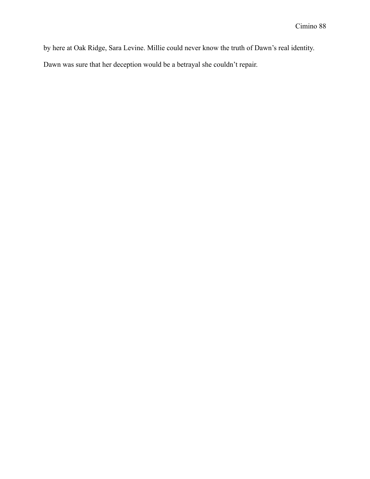by here at Oak Ridge, Sara Levine. Millie could never know the truth of Dawn's real identity.

Dawn was sure that her deception would be a betrayal she couldn't repair.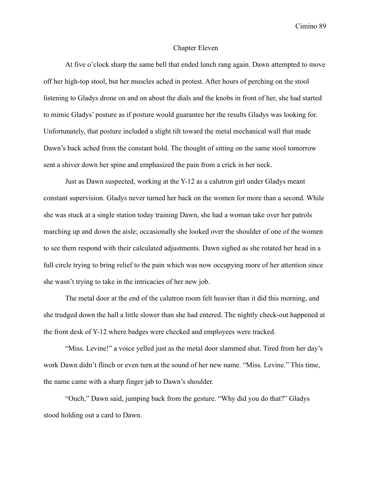#### Chapter Eleven

At five o'clock sharp the same bell that ended lunch rang again. Dawn attempted to move off her high-top stool, but her muscles ached in protest. After hours of perching on the stool listening to Gladys drone on and on about the dials and the knobs in front of her, she had started to mimic Gladys' posture as if posture would guarantee her the results Gladys was looking for. Unfortunately, that posture included a slight tilt toward the metal mechanical wall that made Dawn's back ached from the constant hold. The thought of sitting on the same stool tomorrow sent a shiver down her spine and emphasized the pain from a crick in her neck.

Just as Dawn suspected, working at the Y-12 as a calutron girl under Gladys meant constant supervision. Gladys never turned her back on the women for more than a second. While she was stuck at a single station today training Dawn, she had a woman take over her patrols marching up and down the aisle; occasionally she looked over the shoulder of one of the women to see them respond with their calculated adjustments. Dawn sighed as she rotated her head in a full circle trying to bring relief to the pain which was now occupying more of her attention since she wasn't trying to take in the intricacies of her new job.

The metal door at the end of the calutron room felt heavier than it did this morning, and she trudged down the hall a little slower than she had entered. The nightly check-out happened at the front desk of Y-12 where badges were checked and employees were tracked.

"Miss. Levine!" a voice yelled just as the metal door slammed shut. Tired from her day's work Dawn didn't flinch or even turn at the sound of her new name. "Miss. Levine." This time, the name came with a sharp finger jab to Dawn's shoulder.

"Ouch," Dawn said, jumping back from the gesture. "Why did you do that?" Gladys stood holding out a card to Dawn.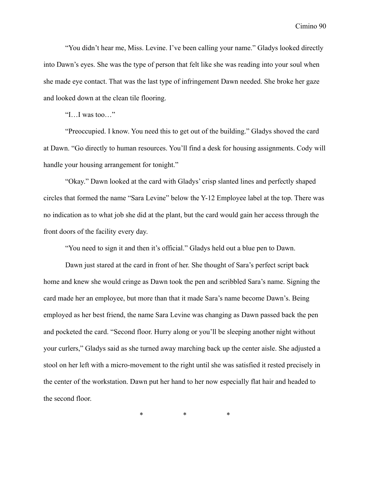"You didn't hear me, Miss. Levine. I've been calling your name." Gladys looked directly into Dawn's eyes. She was the type of person that felt like she was reading into your soul when she made eye contact. That was the last type of infringement Dawn needed. She broke her gaze and looked down at the clean tile flooring.

"I…I was too…"

"Preoccupied. I know. You need this to get out of the building." Gladys shoved the card at Dawn. "Go directly to human resources. You'll find a desk for housing assignments. Cody will handle your housing arrangement for tonight."

"Okay." Dawn looked at the card with Gladys' crisp slanted lines and perfectly shaped circles that formed the name "Sara Levine" below the Y-12 Employee label at the top. There was no indication as to what job she did at the plant, but the card would gain her access through the front doors of the facility every day.

"You need to sign it and then it's official." Gladys held out a blue pen to Dawn.

Dawn just stared at the card in front of her. She thought of Sara's perfect script back home and knew she would cringe as Dawn took the pen and scribbled Sara's name. Signing the card made her an employee, but more than that it made Sara's name become Dawn's. Being employed as her best friend, the name Sara Levine was changing as Dawn passed back the pen and pocketed the card. "Second floor. Hurry along or you'll be sleeping another night without your curlers," Gladys said as she turned away marching back up the center aisle. She adjusted a stool on her left with a micro-movement to the right until she was satisfied it rested precisely in the center of the workstation. Dawn put her hand to her now especially flat hair and headed to the second floor.

\* \* \*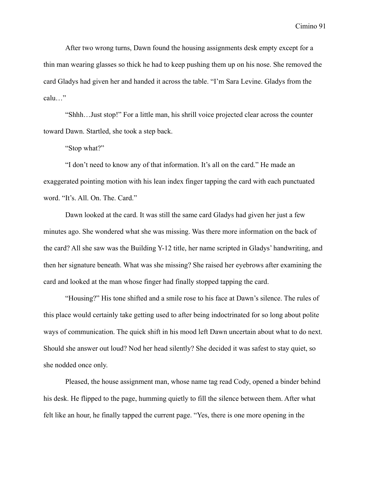After two wrong turns, Dawn found the housing assignments desk empty except for a thin man wearing glasses so thick he had to keep pushing them up on his nose. She removed the card Gladys had given her and handed it across the table. "I'm Sara Levine. Gladys from the calu…"

"Shhh…Just stop!" For a little man, his shrill voice projected clear across the counter toward Dawn. Startled, she took a step back.

"Stop what?"

"I don't need to know any of that information. It's all on the card." He made an exaggerated pointing motion with his lean index finger tapping the card with each punctuated word. "It's. All. On. The. Card."

Dawn looked at the card. It was still the same card Gladys had given her just a few minutes ago. She wondered what she was missing. Was there more information on the back of the card? All she saw was the Building Y-12 title, her name scripted in Gladys' handwriting, and then her signature beneath. What was she missing? She raised her eyebrows after examining the card and looked at the man whose finger had finally stopped tapping the card.

"Housing?" His tone shifted and a smile rose to his face at Dawn's silence. The rules of this place would certainly take getting used to after being indoctrinated for so long about polite ways of communication. The quick shift in his mood left Dawn uncertain about what to do next. Should she answer out loud? Nod her head silently? She decided it was safest to stay quiet, so she nodded once only.

Pleased, the house assignment man, whose name tag read Cody, opened a binder behind his desk. He flipped to the page, humming quietly to fill the silence between them. After what felt like an hour, he finally tapped the current page. "Yes, there is one more opening in the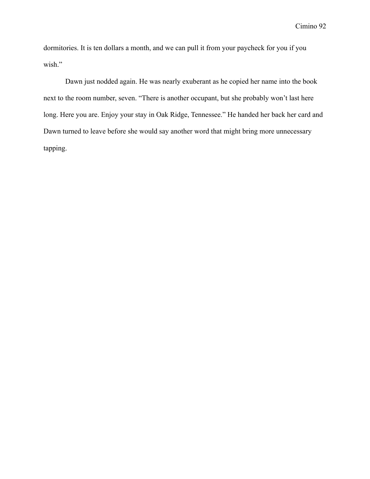dormitories. It is ten dollars a month, and we can pull it from your paycheck for you if you wish."

Dawn just nodded again. He was nearly exuberant as he copied her name into the book next to the room number, seven. "There is another occupant, but she probably won't last here long. Here you are. Enjoy your stay in Oak Ridge, Tennessee." He handed her back her card and Dawn turned to leave before she would say another word that might bring more unnecessary tapping.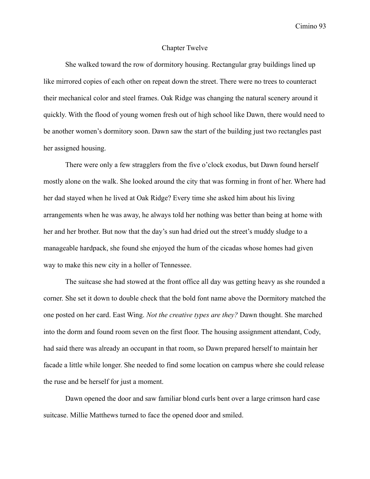#### Chapter Twelve

She walked toward the row of dormitory housing. Rectangular gray buildings lined up like mirrored copies of each other on repeat down the street. There were no trees to counteract their mechanical color and steel frames. Oak Ridge was changing the natural scenery around it quickly. With the flood of young women fresh out of high school like Dawn, there would need to be another women's dormitory soon. Dawn saw the start of the building just two rectangles past her assigned housing.

There were only a few stragglers from the five o'clock exodus, but Dawn found herself mostly alone on the walk. She looked around the city that was forming in front of her. Where had her dad stayed when he lived at Oak Ridge? Every time she asked him about his living arrangements when he was away, he always told her nothing was better than being at home with her and her brother. But now that the day's sun had dried out the street's muddy sludge to a manageable hardpack, she found she enjoyed the hum of the cicadas whose homes had given way to make this new city in a holler of Tennessee.

The suitcase she had stowed at the front office all day was getting heavy as she rounded a corner. She set it down to double check that the bold font name above the Dormitory matched the one posted on her card. East Wing. *Not the creative types are they?* Dawn thought. She marched into the dorm and found room seven on the first floor. The housing assignment attendant, Cody, had said there was already an occupant in that room, so Dawn prepared herself to maintain her facade a little while longer. She needed to find some location on campus where she could release the ruse and be herself for just a moment.

Dawn opened the door and saw familiar blond curls bent over a large crimson hard case suitcase. Millie Matthews turned to face the opened door and smiled.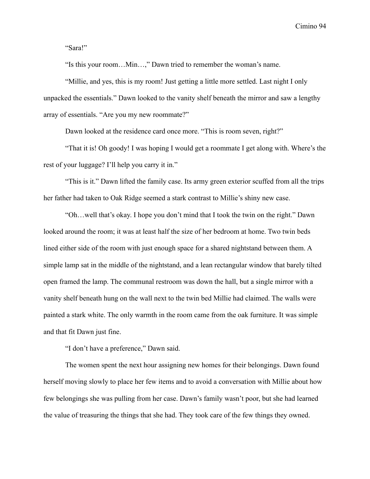"Sara!"

"Is this your room…Min…," Dawn tried to remember the woman's name.

"Millie, and yes, this is my room! Just getting a little more settled. Last night I only unpacked the essentials." Dawn looked to the vanity shelf beneath the mirror and saw a lengthy array of essentials. "Are you my new roommate?"

Dawn looked at the residence card once more. "This is room seven, right?"

"That it is! Oh goody! I was hoping I would get a roommate I get along with. Where's the rest of your luggage? I'll help you carry it in."

"This is it." Dawn lifted the family case. Its army green exterior scuffed from all the trips her father had taken to Oak Ridge seemed a stark contrast to Millie's shiny new case.

"Oh…well that's okay. I hope you don't mind that I took the twin on the right." Dawn looked around the room; it was at least half the size of her bedroom at home. Two twin beds lined either side of the room with just enough space for a shared nightstand between them. A simple lamp sat in the middle of the nightstand, and a lean rectangular window that barely tilted open framed the lamp. The communal restroom was down the hall, but a single mirror with a vanity shelf beneath hung on the wall next to the twin bed Millie had claimed. The walls were painted a stark white. The only warmth in the room came from the oak furniture. It was simple and that fit Dawn just fine.

"I don't have a preference," Dawn said.

The women spent the next hour assigning new homes for their belongings. Dawn found herself moving slowly to place her few items and to avoid a conversation with Millie about how few belongings she was pulling from her case. Dawn's family wasn't poor, but she had learned the value of treasuring the things that she had. They took care of the few things they owned.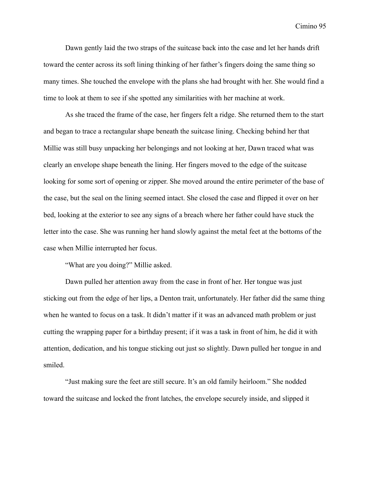Dawn gently laid the two straps of the suitcase back into the case and let her hands drift toward the center across its soft lining thinking of her father's fingers doing the same thing so many times. She touched the envelope with the plans she had brought with her. She would find a time to look at them to see if she spotted any similarities with her machine at work.

As she traced the frame of the case, her fingers felt a ridge. She returned them to the start and began to trace a rectangular shape beneath the suitcase lining. Checking behind her that Millie was still busy unpacking her belongings and not looking at her, Dawn traced what was clearly an envelope shape beneath the lining. Her fingers moved to the edge of the suitcase looking for some sort of opening or zipper. She moved around the entire perimeter of the base of the case, but the seal on the lining seemed intact. She closed the case and flipped it over on her bed, looking at the exterior to see any signs of a breach where her father could have stuck the letter into the case. She was running her hand slowly against the metal feet at the bottoms of the case when Millie interrupted her focus.

"What are you doing?" Millie asked.

Dawn pulled her attention away from the case in front of her. Her tongue was just sticking out from the edge of her lips, a Denton trait, unfortunately. Her father did the same thing when he wanted to focus on a task. It didn't matter if it was an advanced math problem or just cutting the wrapping paper for a birthday present; if it was a task in front of him, he did it with attention, dedication, and his tongue sticking out just so slightly. Dawn pulled her tongue in and smiled.

"Just making sure the feet are still secure. It's an old family heirloom." She nodded toward the suitcase and locked the front latches, the envelope securely inside, and slipped it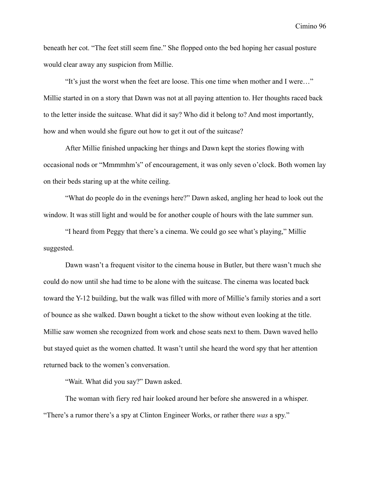beneath her cot. "The feet still seem fine." She flopped onto the bed hoping her casual posture would clear away any suspicion from Millie.

"It's just the worst when the feet are loose. This one time when mother and I were…" Millie started in on a story that Dawn was not at all paying attention to. Her thoughts raced back to the letter inside the suitcase. What did it say? Who did it belong to? And most importantly, how and when would she figure out how to get it out of the suitcase?

After Millie finished unpacking her things and Dawn kept the stories flowing with occasional nods or "Mmmmhm's" of encouragement, it was only seven o'clock. Both women lay on their beds staring up at the white ceiling.

"What do people do in the evenings here?" Dawn asked, angling her head to look out the window. It was still light and would be for another couple of hours with the late summer sun.

"I heard from Peggy that there's a cinema. We could go see what's playing," Millie suggested.

Dawn wasn't a frequent visitor to the cinema house in Butler, but there wasn't much she could do now until she had time to be alone with the suitcase. The cinema was located back toward the Y-12 building, but the walk was filled with more of Millie's family stories and a sort of bounce as she walked. Dawn bought a ticket to the show without even looking at the title. Millie saw women she recognized from work and chose seats next to them. Dawn waved hello but stayed quiet as the women chatted. It wasn't until she heard the word spy that her attention returned back to the women's conversation.

"Wait. What did you say?" Dawn asked.

The woman with fiery red hair looked around her before she answered in a whisper. "There's a rumor there's a spy at Clinton Engineer Works, or rather there *was* a spy."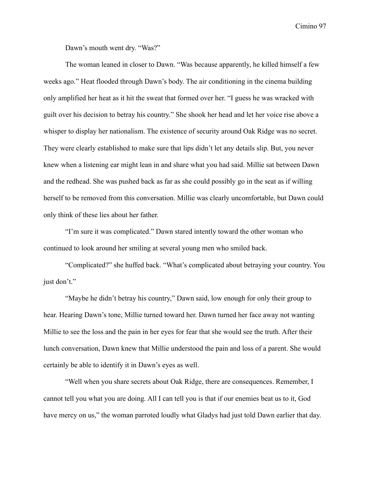Dawn's mouth went dry. "Was?"

The woman leaned in closer to Dawn. "Was because apparently, he killed himself a few weeks ago." Heat flooded through Dawn's body. The air conditioning in the cinema building only amplified her heat as it hit the sweat that formed over her. "I guess he was wracked with guilt over his decision to betray his country." She shook her head and let her voice rise above a whisper to display her nationalism. The existence of security around Oak Ridge was no secret. They were clearly established to make sure that lips didn't let any details slip. But, you never knew when a listening ear might lean in and share what you had said. Millie sat between Dawn and the redhead. She was pushed back as far as she could possibly go in the seat as if willing herself to be removed from this conversation. Millie was clearly uncomfortable, but Dawn could only think of these lies about her father.

"I'm sure it was complicated." Dawn stared intently toward the other woman who continued to look around her smiling at several young men who smiled back.

"Complicated?" she huffed back. "What's complicated about betraying your country. You just don't."

"Maybe he didn't betray his country," Dawn said, low enough for only their group to hear. Hearing Dawn's tone, Millie turned toward her. Dawn turned her face away not wanting Millie to see the loss and the pain in her eyes for fear that she would see the truth. After their lunch conversation, Dawn knew that Millie understood the pain and loss of a parent. She would certainly be able to identify it in Dawn's eyes as well.

"Well when you share secrets about Oak Ridge, there are consequences. Remember, I cannot tell you what you are doing. All I can tell you is that if our enemies beat us to it, God have mercy on us," the woman parroted loudly what Gladys had just told Dawn earlier that day.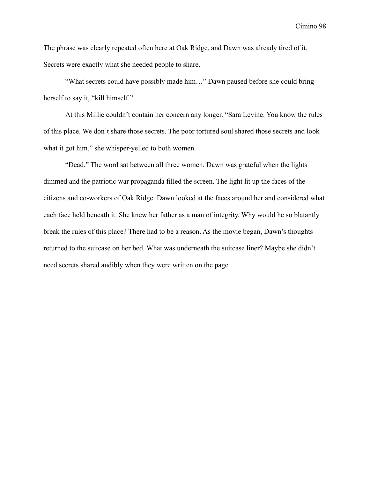The phrase was clearly repeated often here at Oak Ridge, and Dawn was already tired of it. Secrets were exactly what she needed people to share.

"What secrets could have possibly made him…" Dawn paused before she could bring herself to say it, "kill himself."

At this Millie couldn't contain her concern any longer. "Sara Levine. You know the rules of this place. We don't share those secrets. The poor tortured soul shared those secrets and look what it got him," she whisper-yelled to both women.

"Dead." The word sat between all three women. Dawn was grateful when the lights dimmed and the patriotic war propaganda filled the screen. The light lit up the faces of the citizens and co-workers of Oak Ridge. Dawn looked at the faces around her and considered what each face held beneath it. She knew her father as a man of integrity. Why would he so blatantly break the rules of this place? There had to be a reason. As the movie began, Dawn's thoughts returned to the suitcase on her bed. What was underneath the suitcase liner? Maybe she didn't need secrets shared audibly when they were written on the page.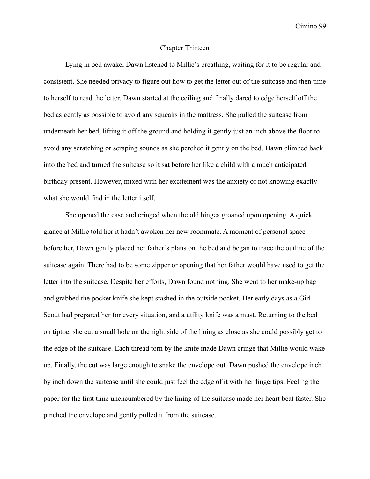## Chapter Thirteen

Lying in bed awake, Dawn listened to Millie's breathing, waiting for it to be regular and consistent. She needed privacy to figure out how to get the letter out of the suitcase and then time to herself to read the letter. Dawn started at the ceiling and finally dared to edge herself off the bed as gently as possible to avoid any squeaks in the mattress. She pulled the suitcase from underneath her bed, lifting it off the ground and holding it gently just an inch above the floor to avoid any scratching or scraping sounds as she perched it gently on the bed. Dawn climbed back into the bed and turned the suitcase so it sat before her like a child with a much anticipated birthday present. However, mixed with her excitement was the anxiety of not knowing exactly what she would find in the letter itself.

She opened the case and cringed when the old hinges groaned upon opening. A quick glance at Millie told her it hadn't awoken her new roommate. A moment of personal space before her, Dawn gently placed her father's plans on the bed and began to trace the outline of the suitcase again. There had to be some zipper or opening that her father would have used to get the letter into the suitcase. Despite her efforts, Dawn found nothing. She went to her make-up bag and grabbed the pocket knife she kept stashed in the outside pocket. Her early days as a Girl Scout had prepared her for every situation, and a utility knife was a must. Returning to the bed on tiptoe, she cut a small hole on the right side of the lining as close as she could possibly get to the edge of the suitcase. Each thread torn by the knife made Dawn cringe that Millie would wake up. Finally, the cut was large enough to snake the envelope out. Dawn pushed the envelope inch by inch down the suitcase until she could just feel the edge of it with her fingertips. Feeling the paper for the first time unencumbered by the lining of the suitcase made her heart beat faster. She pinched the envelope and gently pulled it from the suitcase.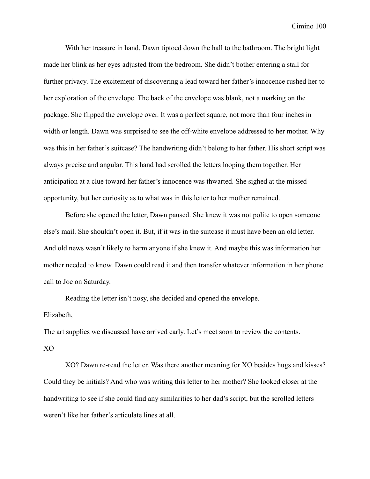With her treasure in hand, Dawn tiptoed down the hall to the bathroom. The bright light made her blink as her eyes adjusted from the bedroom. She didn't bother entering a stall for further privacy. The excitement of discovering a lead toward her father's innocence rushed her to her exploration of the envelope. The back of the envelope was blank, not a marking on the package. She flipped the envelope over. It was a perfect square, not more than four inches in width or length. Dawn was surprised to see the off-white envelope addressed to her mother. Why was this in her father's suitcase? The handwriting didn't belong to her father. His short script was always precise and angular. This hand had scrolled the letters looping them together. Her anticipation at a clue toward her father's innocence was thwarted. She sighed at the missed opportunity, but her curiosity as to what was in this letter to her mother remained.

Before she opened the letter, Dawn paused. She knew it was not polite to open someone else's mail. She shouldn't open it. But, if it was in the suitcase it must have been an old letter. And old news wasn't likely to harm anyone if she knew it. And maybe this was information her mother needed to know. Dawn could read it and then transfer whatever information in her phone call to Joe on Saturday.

Reading the letter isn't nosy, she decided and opened the envelope.

## Elizabeth,

The art supplies we discussed have arrived early. Let's meet soon to review the contents.

#### XO

XO? Dawn re-read the letter. Was there another meaning for XO besides hugs and kisses? Could they be initials? And who was writing this letter to her mother? She looked closer at the handwriting to see if she could find any similarities to her dad's script, but the scrolled letters weren't like her father's articulate lines at all.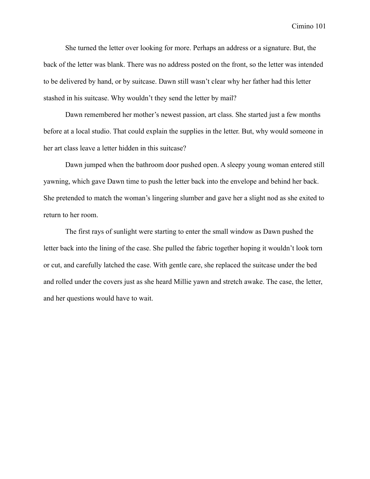She turned the letter over looking for more. Perhaps an address or a signature. But, the back of the letter was blank. There was no address posted on the front, so the letter was intended to be delivered by hand, or by suitcase. Dawn still wasn't clear why her father had this letter stashed in his suitcase. Why wouldn't they send the letter by mail?

Dawn remembered her mother's newest passion, art class. She started just a few months before at a local studio. That could explain the supplies in the letter. But, why would someone in her art class leave a letter hidden in this suitcase?

Dawn jumped when the bathroom door pushed open. A sleepy young woman entered still yawning, which gave Dawn time to push the letter back into the envelope and behind her back. She pretended to match the woman's lingering slumber and gave her a slight nod as she exited to return to her room.

The first rays of sunlight were starting to enter the small window as Dawn pushed the letter back into the lining of the case. She pulled the fabric together hoping it wouldn't look torn or cut, and carefully latched the case. With gentle care, she replaced the suitcase under the bed and rolled under the covers just as she heard Millie yawn and stretch awake. The case, the letter, and her questions would have to wait.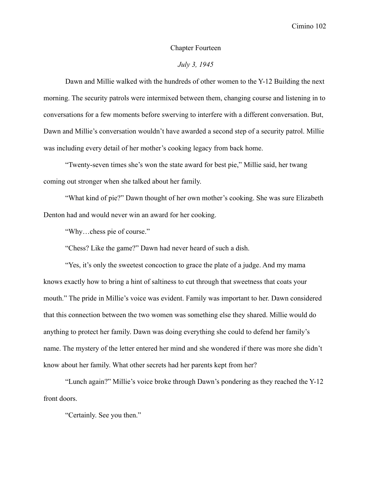#### Chapter Fourteen

# *July 3, 1945*

Dawn and Millie walked with the hundreds of other women to the Y-12 Building the next morning. The security patrols were intermixed between them, changing course and listening in to conversations for a few moments before swerving to interfere with a different conversation. But, Dawn and Millie's conversation wouldn't have awarded a second step of a security patrol. Millie was including every detail of her mother's cooking legacy from back home.

"Twenty-seven times she's won the state award for best pie," Millie said, her twang coming out stronger when she talked about her family.

"What kind of pie?" Dawn thought of her own mother's cooking. She was sure Elizabeth Denton had and would never win an award for her cooking.

"Why…chess pie of course."

"Chess? Like the game?" Dawn had never heard of such a dish.

"Yes, it's only the sweetest concoction to grace the plate of a judge. And my mama knows exactly how to bring a hint of saltiness to cut through that sweetness that coats your mouth." The pride in Millie's voice was evident. Family was important to her. Dawn considered that this connection between the two women was something else they shared. Millie would do anything to protect her family. Dawn was doing everything she could to defend her family's name. The mystery of the letter entered her mind and she wondered if there was more she didn't know about her family. What other secrets had her parents kept from her?

"Lunch again?" Millie's voice broke through Dawn's pondering as they reached the Y-12 front doors.

"Certainly. See you then."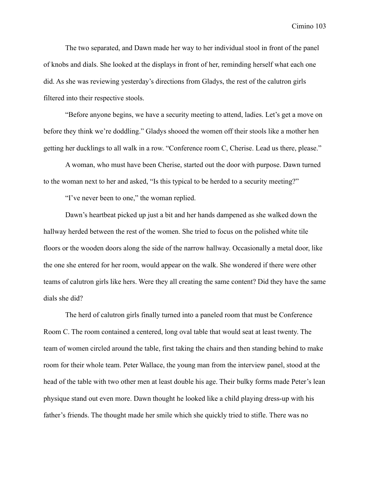The two separated, and Dawn made her way to her individual stool in front of the panel of knobs and dials. She looked at the displays in front of her, reminding herself what each one did. As she was reviewing yesterday's directions from Gladys, the rest of the calutron girls filtered into their respective stools.

"Before anyone begins, we have a security meeting to attend, ladies. Let's get a move on before they think we're doddling." Gladys shooed the women off their stools like a mother hen getting her ducklings to all walk in a row. "Conference room C, Cherise. Lead us there, please."

A woman, who must have been Cherise, started out the door with purpose. Dawn turned to the woman next to her and asked, "Is this typical to be herded to a security meeting?"

"I've never been to one," the woman replied.

Dawn's heartbeat picked up just a bit and her hands dampened as she walked down the hallway herded between the rest of the women. She tried to focus on the polished white tile floors or the wooden doors along the side of the narrow hallway. Occasionally a metal door, like the one she entered for her room, would appear on the walk. She wondered if there were other teams of calutron girls like hers. Were they all creating the same content? Did they have the same dials she did?

The herd of calutron girls finally turned into a paneled room that must be Conference Room C. The room contained a centered, long oval table that would seat at least twenty. The team of women circled around the table, first taking the chairs and then standing behind to make room for their whole team. Peter Wallace, the young man from the interview panel, stood at the head of the table with two other men at least double his age. Their bulky forms made Peter's lean physique stand out even more. Dawn thought he looked like a child playing dress-up with his father's friends. The thought made her smile which she quickly tried to stifle. There was no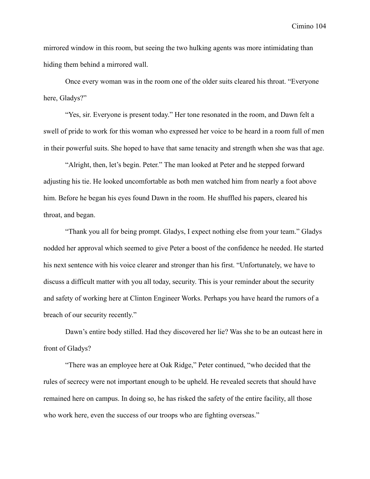mirrored window in this room, but seeing the two hulking agents was more intimidating than hiding them behind a mirrored wall.

Once every woman was in the room one of the older suits cleared his throat. "Everyone here, Gladys?"

"Yes, sir. Everyone is present today." Her tone resonated in the room, and Dawn felt a swell of pride to work for this woman who expressed her voice to be heard in a room full of men in their powerful suits. She hoped to have that same tenacity and strength when she was that age.

"Alright, then, let's begin. Peter." The man looked at Peter and he stepped forward adjusting his tie. He looked uncomfortable as both men watched him from nearly a foot above him. Before he began his eyes found Dawn in the room. He shuffled his papers, cleared his throat, and began.

"Thank you all for being prompt. Gladys, I expect nothing else from your team." Gladys nodded her approval which seemed to give Peter a boost of the confidence he needed. He started his next sentence with his voice clearer and stronger than his first. "Unfortunately, we have to discuss a difficult matter with you all today, security. This is your reminder about the security and safety of working here at Clinton Engineer Works. Perhaps you have heard the rumors of a breach of our security recently."

Dawn's entire body stilled. Had they discovered her lie? Was she to be an outcast here in front of Gladys?

"There was an employee here at Oak Ridge," Peter continued, "who decided that the rules of secrecy were not important enough to be upheld. He revealed secrets that should have remained here on campus. In doing so, he has risked the safety of the entire facility, all those who work here, even the success of our troops who are fighting overseas."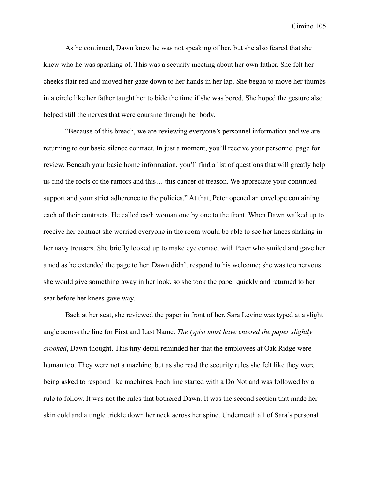As he continued, Dawn knew he was not speaking of her, but she also feared that she knew who he was speaking of. This was a security meeting about her own father. She felt her cheeks flair red and moved her gaze down to her hands in her lap. She began to move her thumbs in a circle like her father taught her to bide the time if she was bored. She hoped the gesture also helped still the nerves that were coursing through her body.

"Because of this breach, we are reviewing everyone's personnel information and we are returning to our basic silence contract. In just a moment, you'll receive your personnel page for review. Beneath your basic home information, you'll find a list of questions that will greatly help us find the roots of the rumors and this… this cancer of treason. We appreciate your continued support and your strict adherence to the policies." At that, Peter opened an envelope containing each of their contracts. He called each woman one by one to the front. When Dawn walked up to receive her contract she worried everyone in the room would be able to see her knees shaking in her navy trousers. She briefly looked up to make eye contact with Peter who smiled and gave her a nod as he extended the page to her. Dawn didn't respond to his welcome; she was too nervous she would give something away in her look, so she took the paper quickly and returned to her seat before her knees gave way.

Back at her seat, she reviewed the paper in front of her. Sara Levine was typed at a slight angle across the line for First and Last Name. *The typist must have entered the paper slightly crooked*, Dawn thought. This tiny detail reminded her that the employees at Oak Ridge were human too. They were not a machine, but as she read the security rules she felt like they were being asked to respond like machines. Each line started with a Do Not and was followed by a rule to follow. It was not the rules that bothered Dawn. It was the second section that made her skin cold and a tingle trickle down her neck across her spine. Underneath all of Sara's personal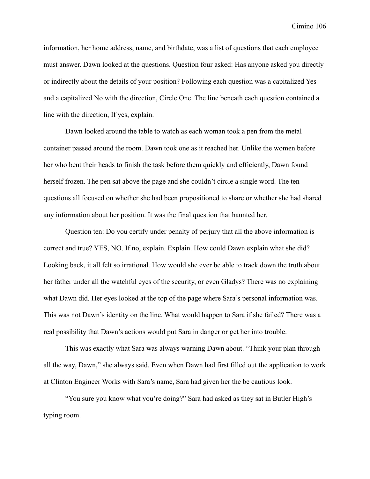information, her home address, name, and birthdate, was a list of questions that each employee must answer. Dawn looked at the questions. Question four asked: Has anyone asked you directly or indirectly about the details of your position? Following each question was a capitalized Yes and a capitalized No with the direction, Circle One. The line beneath each question contained a line with the direction, If yes, explain.

Dawn looked around the table to watch as each woman took a pen from the metal container passed around the room. Dawn took one as it reached her. Unlike the women before her who bent their heads to finish the task before them quickly and efficiently, Dawn found herself frozen. The pen sat above the page and she couldn't circle a single word. The ten questions all focused on whether she had been propositioned to share or whether she had shared any information about her position. It was the final question that haunted her.

Question ten: Do you certify under penalty of perjury that all the above information is correct and true? YES, NO. If no, explain. Explain. How could Dawn explain what she did? Looking back, it all felt so irrational. How would she ever be able to track down the truth about her father under all the watchful eyes of the security, or even Gladys? There was no explaining what Dawn did. Her eyes looked at the top of the page where Sara's personal information was. This was not Dawn's identity on the line. What would happen to Sara if she failed? There was a real possibility that Dawn's actions would put Sara in danger or get her into trouble.

This was exactly what Sara was always warning Dawn about. "Think your plan through all the way, Dawn," she always said. Even when Dawn had first filled out the application to work at Clinton Engineer Works with Sara's name, Sara had given her the be cautious look.

"You sure you know what you're doing?" Sara had asked as they sat in Butler High's typing room.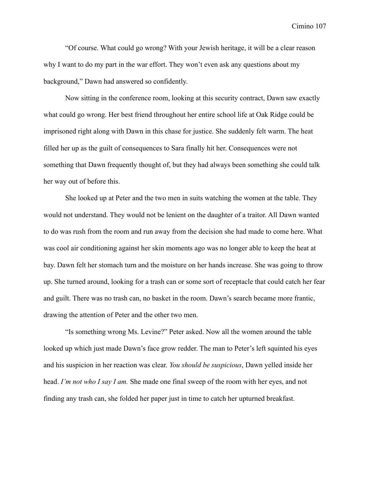"Of course. What could go wrong? With your Jewish heritage, it will be a clear reason why I want to do my part in the war effort. They won't even ask any questions about my background," Dawn had answered so confidently.

Now sitting in the conference room, looking at this security contract, Dawn saw exactly what could go wrong. Her best friend throughout her entire school life at Oak Ridge could be imprisoned right along with Dawn in this chase for justice. She suddenly felt warm. The heat filled her up as the guilt of consequences to Sara finally hit her. Consequences were not something that Dawn frequently thought of, but they had always been something she could talk her way out of before this.

She looked up at Peter and the two men in suits watching the women at the table. They would not understand. They would not be lenient on the daughter of a traitor. All Dawn wanted to do was rush from the room and run away from the decision she had made to come here. What was cool air conditioning against her skin moments ago was no longer able to keep the heat at bay. Dawn felt her stomach turn and the moisture on her hands increase. She was going to throw up. She turned around, looking for a trash can or some sort of receptacle that could catch her fear and guilt. There was no trash can, no basket in the room. Dawn's search became more frantic, drawing the attention of Peter and the other two men.

"Is something wrong Ms. Levine?" Peter asked. Now all the women around the table looked up which just made Dawn's face grow redder. The man to Peter's left squinted his eyes and his suspicion in her reaction was clear. *You should be suspicious*, Dawn yelled inside her head. *I'm not who I say I am.* She made one final sweep of the room with her eyes, and not finding any trash can, she folded her paper just in time to catch her upturned breakfast.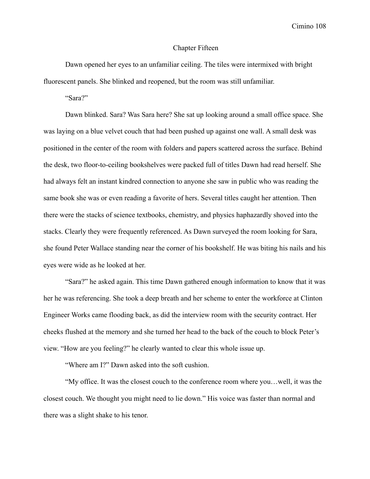### Chapter Fifteen

Dawn opened her eyes to an unfamiliar ceiling. The tiles were intermixed with bright fluorescent panels. She blinked and reopened, but the room was still unfamiliar.

"Sara?"

Dawn blinked. Sara? Was Sara here? She sat up looking around a small office space. She was laying on a blue velvet couch that had been pushed up against one wall. A small desk was positioned in the center of the room with folders and papers scattered across the surface. Behind the desk, two floor-to-ceiling bookshelves were packed full of titles Dawn had read herself. She had always felt an instant kindred connection to anyone she saw in public who was reading the same book she was or even reading a favorite of hers. Several titles caught her attention. Then there were the stacks of science textbooks, chemistry, and physics haphazardly shoved into the stacks. Clearly they were frequently referenced. As Dawn surveyed the room looking for Sara, she found Peter Wallace standing near the corner of his bookshelf. He was biting his nails and his eyes were wide as he looked at her.

"Sara?" he asked again. This time Dawn gathered enough information to know that it was her he was referencing. She took a deep breath and her scheme to enter the workforce at Clinton Engineer Works came flooding back, as did the interview room with the security contract. Her cheeks flushed at the memory and she turned her head to the back of the couch to block Peter's view. "How are you feeling?" he clearly wanted to clear this whole issue up.

"Where am I?" Dawn asked into the soft cushion.

"My office. It was the closest couch to the conference room where you…well, it was the closest couch. We thought you might need to lie down." His voice was faster than normal and there was a slight shake to his tenor.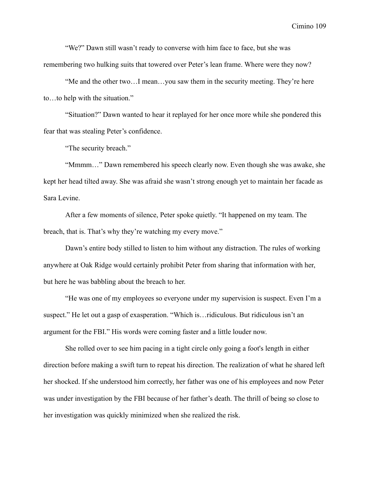"We?" Dawn still wasn't ready to converse with him face to face, but she was remembering two hulking suits that towered over Peter's lean frame. Where were they now?

"Me and the other two…I mean…you saw them in the security meeting. They're here to…to help with the situation."

"Situation?" Dawn wanted to hear it replayed for her once more while she pondered this fear that was stealing Peter's confidence.

"The security breach."

"Mmmm…" Dawn remembered his speech clearly now. Even though she was awake, she kept her head tilted away. She was afraid she wasn't strong enough yet to maintain her facade as Sara Levine.

After a few moments of silence, Peter spoke quietly. "It happened on my team. The breach, that is. That's why they're watching my every move."

Dawn's entire body stilled to listen to him without any distraction. The rules of working anywhere at Oak Ridge would certainly prohibit Peter from sharing that information with her, but here he was babbling about the breach to her.

"He was one of my employees so everyone under my supervision is suspect. Even I'm a suspect." He let out a gasp of exasperation. "Which is…ridiculous. But ridiculous isn't an argument for the FBI." His words were coming faster and a little louder now.

She rolled over to see him pacing in a tight circle only going a foot's length in either direction before making a swift turn to repeat his direction. The realization of what he shared left her shocked. If she understood him correctly, her father was one of his employees and now Peter was under investigation by the FBI because of her father's death. The thrill of being so close to her investigation was quickly minimized when she realized the risk.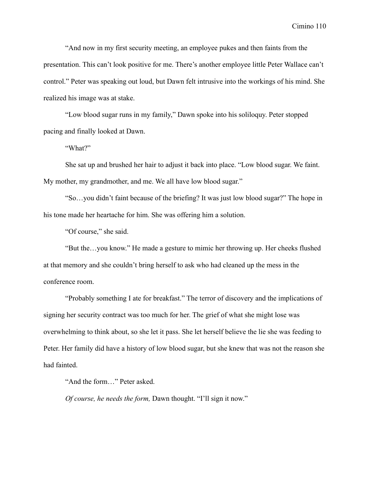"And now in my first security meeting, an employee pukes and then faints from the presentation. This can't look positive for me. There's another employee little Peter Wallace can't control." Peter was speaking out loud, but Dawn felt intrusive into the workings of his mind. She realized his image was at stake.

"Low blood sugar runs in my family," Dawn spoke into his soliloquy. Peter stopped pacing and finally looked at Dawn.

"What?"

She sat up and brushed her hair to adjust it back into place. "Low blood sugar. We faint. My mother, my grandmother, and me. We all have low blood sugar."

"So…you didn't faint because of the briefing? It was just low blood sugar?" The hope in his tone made her heartache for him. She was offering him a solution.

"Of course," she said.

"But the…you know." He made a gesture to mimic her throwing up. Her cheeks flushed at that memory and she couldn't bring herself to ask who had cleaned up the mess in the conference room.

"Probably something I ate for breakfast." The terror of discovery and the implications of signing her security contract was too much for her. The grief of what she might lose was overwhelming to think about, so she let it pass. She let herself believe the lie she was feeding to Peter. Her family did have a history of low blood sugar, but she knew that was not the reason she had fainted.

"And the form…" Peter asked.

*Of course, he needs the form,* Dawn thought. "I'll sign it now."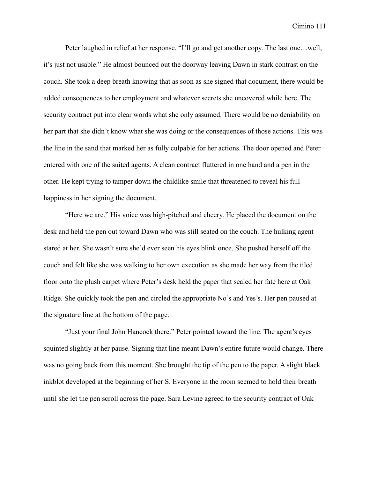Peter laughed in relief at her response. "I'll go and get another copy. The last one…well, it's just not usable." He almost bounced out the doorway leaving Dawn in stark contrast on the couch. She took a deep breath knowing that as soon as she signed that document, there would be added consequences to her employment and whatever secrets she uncovered while here. The security contract put into clear words what she only assumed. There would be no deniability on her part that she didn't know what she was doing or the consequences of those actions. This was the line in the sand that marked her as fully culpable for her actions. The door opened and Peter entered with one of the suited agents. A clean contract fluttered in one hand and a pen in the other. He kept trying to tamper down the childlike smile that threatened to reveal his full happiness in her signing the document.

"Here we are." His voice was high-pitched and cheery. He placed the document on the desk and held the pen out toward Dawn who was still seated on the couch. The hulking agent stared at her. She wasn't sure she'd ever seen his eyes blink once. She pushed herself off the couch and felt like she was walking to her own execution as she made her way from the tiled floor onto the plush carpet where Peter's desk held the paper that sealed her fate here at Oak Ridge. She quickly took the pen and circled the appropriate No's and Yes's. Her pen paused at the signature line at the bottom of the page.

"Just your final John Hancock there." Peter pointed toward the line. The agent's eyes squinted slightly at her pause. Signing that line meant Dawn's entire future would change. There was no going back from this moment. She brought the tip of the pen to the paper. A slight black inkblot developed at the beginning of her S. Everyone in the room seemed to hold their breath until she let the pen scroll across the page. Sara Levine agreed to the security contract of Oak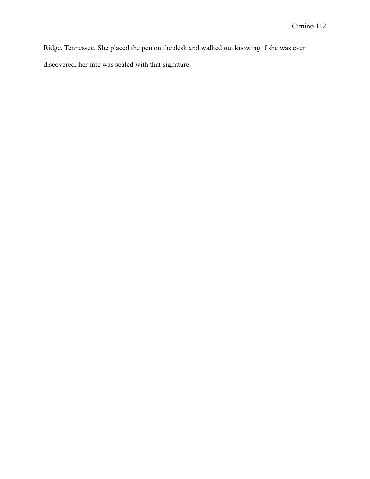Ridge, Tennessee. She placed the pen on the desk and walked out knowing if she was ever discovered, her fate was sealed with that signature.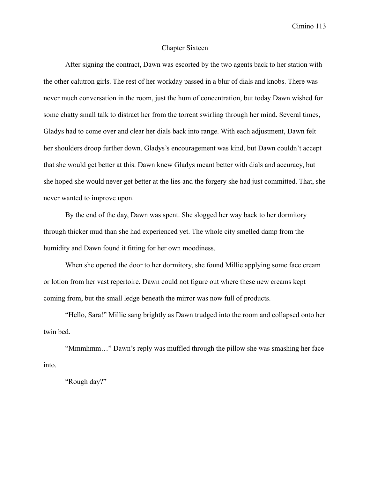### Chapter Sixteen

After signing the contract, Dawn was escorted by the two agents back to her station with the other calutron girls. The rest of her workday passed in a blur of dials and knobs. There was never much conversation in the room, just the hum of concentration, but today Dawn wished for some chatty small talk to distract her from the torrent swirling through her mind. Several times, Gladys had to come over and clear her dials back into range. With each adjustment, Dawn felt her shoulders droop further down. Gladys's encouragement was kind, but Dawn couldn't accept that she would get better at this. Dawn knew Gladys meant better with dials and accuracy, but she hoped she would never get better at the lies and the forgery she had just committed. That, she never wanted to improve upon.

By the end of the day, Dawn was spent. She slogged her way back to her dormitory through thicker mud than she had experienced yet. The whole city smelled damp from the humidity and Dawn found it fitting for her own moodiness.

When she opened the door to her dormitory, she found Millie applying some face cream or lotion from her vast repertoire. Dawn could not figure out where these new creams kept coming from, but the small ledge beneath the mirror was now full of products.

"Hello, Sara!" Millie sang brightly as Dawn trudged into the room and collapsed onto her twin bed.

"Mmmhmm…" Dawn's reply was muffled through the pillow she was smashing her face into.

"Rough day?"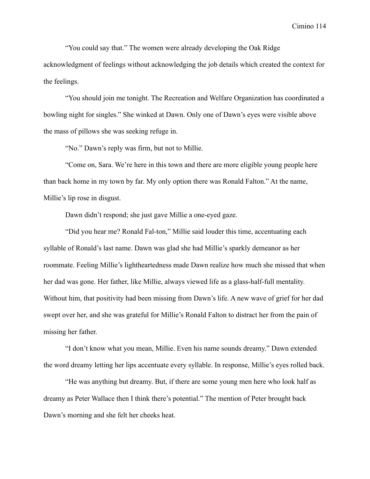"You could say that." The women were already developing the Oak Ridge

acknowledgment of feelings without acknowledging the job details which created the context for the feelings.

"You should join me tonight. The Recreation and Welfare Organization has coordinated a bowling night for singles." She winked at Dawn. Only one of Dawn's eyes were visible above the mass of pillows she was seeking refuge in.

"No." Dawn's reply was firm, but not to Millie.

"Come on, Sara. We're here in this town and there are more eligible young people here than back home in my town by far. My only option there was Ronald Falton." At the name, Millie's lip rose in disgust.

Dawn didn't respond; she just gave Millie a one-eyed gaze.

"Did you hear me? Ronald Fal-ton," Millie said louder this time, accentuating each syllable of Ronald's last name. Dawn was glad she had Millie's sparkly demeanor as her roommate. Feeling Millie's lightheartedness made Dawn realize how much she missed that when her dad was gone. Her father, like Millie, always viewed life as a glass-half-full mentality. Without him, that positivity had been missing from Dawn's life. A new wave of grief for her dad swept over her, and she was grateful for Millie's Ronald Falton to distract her from the pain of missing her father.

"I don't know what you mean, Millie. Even his name sounds dreamy." Dawn extended the word dreamy letting her lips accentuate every syllable. In response, Millie's eyes rolled back.

"He was anything but dreamy. But, if there are some young men here who look half as dreamy as Peter Wallace then I think there's potential." The mention of Peter brought back Dawn's morning and she felt her cheeks heat.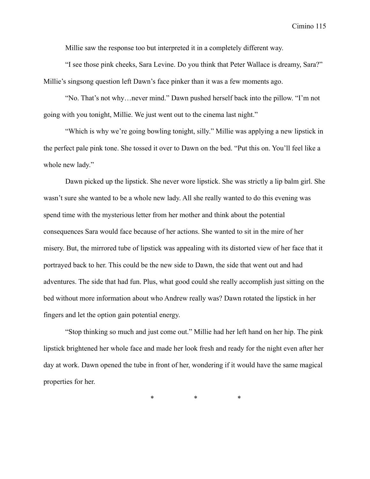Millie saw the response too but interpreted it in a completely different way.

"I see those pink cheeks, Sara Levine. Do you think that Peter Wallace is dreamy, Sara?" Millie's singsong question left Dawn's face pinker than it was a few moments ago.

"No. That's not why…never mind." Dawn pushed herself back into the pillow. "I'm not going with you tonight, Millie. We just went out to the cinema last night."

"Which is why we're going bowling tonight, silly." Millie was applying a new lipstick in the perfect pale pink tone. She tossed it over to Dawn on the bed. "Put this on. You'll feel like a whole new lady."

Dawn picked up the lipstick. She never wore lipstick. She was strictly a lip balm girl. She wasn't sure she wanted to be a whole new lady. All she really wanted to do this evening was spend time with the mysterious letter from her mother and think about the potential consequences Sara would face because of her actions. She wanted to sit in the mire of her misery. But, the mirrored tube of lipstick was appealing with its distorted view of her face that it portrayed back to her. This could be the new side to Dawn, the side that went out and had adventures. The side that had fun. Plus, what good could she really accomplish just sitting on the bed without more information about who Andrew really was? Dawn rotated the lipstick in her fingers and let the option gain potential energy.

"Stop thinking so much and just come out." Millie had her left hand on her hip. The pink lipstick brightened her whole face and made her look fresh and ready for the night even after her day at work. Dawn opened the tube in front of her, wondering if it would have the same magical properties for her.

\* \* \*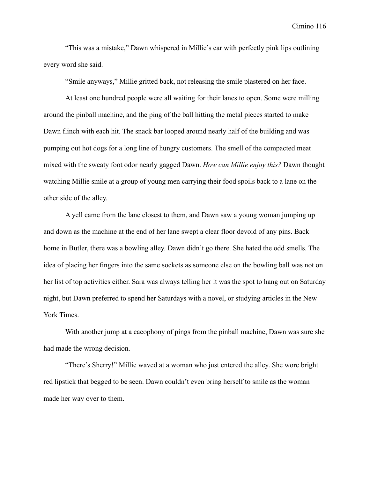"This was a mistake," Dawn whispered in Millie's ear with perfectly pink lips outlining every word she said.

"Smile anyways," Millie gritted back, not releasing the smile plastered on her face.

At least one hundred people were all waiting for their lanes to open. Some were milling around the pinball machine, and the ping of the ball hitting the metal pieces started to make Dawn flinch with each hit. The snack bar looped around nearly half of the building and was pumping out hot dogs for a long line of hungry customers. The smell of the compacted meat mixed with the sweaty foot odor nearly gagged Dawn. *How can Millie enjoy this?* Dawn thought watching Millie smile at a group of young men carrying their food spoils back to a lane on the other side of the alley.

A yell came from the lane closest to them, and Dawn saw a young woman jumping up and down as the machine at the end of her lane swept a clear floor devoid of any pins. Back home in Butler, there was a bowling alley. Dawn didn't go there. She hated the odd smells. The idea of placing her fingers into the same sockets as someone else on the bowling ball was not on her list of top activities either. Sara was always telling her it was the spot to hang out on Saturday night, but Dawn preferred to spend her Saturdays with a novel, or studying articles in the New York Times.

With another jump at a cacophony of pings from the pinball machine, Dawn was sure she had made the wrong decision.

"There's Sherry!" Millie waved at a woman who just entered the alley. She wore bright red lipstick that begged to be seen. Dawn couldn't even bring herself to smile as the woman made her way over to them.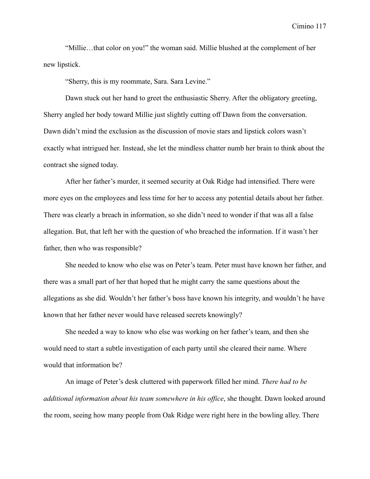"Millie…that color on you!" the woman said. Millie blushed at the complement of her new lipstick.

"Sherry, this is my roommate, Sara. Sara Levine."

Dawn stuck out her hand to greet the enthusiastic Sherry. After the obligatory greeting, Sherry angled her body toward Millie just slightly cutting off Dawn from the conversation. Dawn didn't mind the exclusion as the discussion of movie stars and lipstick colors wasn't exactly what intrigued her. Instead, she let the mindless chatter numb her brain to think about the contract she signed today.

After her father's murder, it seemed security at Oak Ridge had intensified. There were more eyes on the employees and less time for her to access any potential details about her father. There was clearly a breach in information, so she didn't need to wonder if that was all a false allegation. But, that left her with the question of who breached the information. If it wasn't her father, then who was responsible?

She needed to know who else was on Peter's team. Peter must have known her father, and there was a small part of her that hoped that he might carry the same questions about the allegations as she did. Wouldn't her father's boss have known his integrity, and wouldn't he have known that her father never would have released secrets knowingly?

She needed a way to know who else was working on her father's team, and then she would need to start a subtle investigation of each party until she cleared their name. Where would that information be?

An image of Peter's desk cluttered with paperwork filled her mind. *There had to be additional information about his team somewhere in his office*, she thought. Dawn looked around the room, seeing how many people from Oak Ridge were right here in the bowling alley. There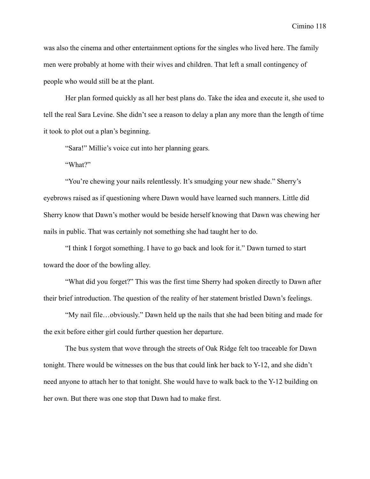was also the cinema and other entertainment options for the singles who lived here. The family men were probably at home with their wives and children. That left a small contingency of people who would still be at the plant.

Her plan formed quickly as all her best plans do. Take the idea and execute it, she used to tell the real Sara Levine. She didn't see a reason to delay a plan any more than the length of time it took to plot out a plan's beginning.

"Sara!" Millie's voice cut into her planning gears.

"What?"

"You're chewing your nails relentlessly. It's smudging your new shade." Sherry's eyebrows raised as if questioning where Dawn would have learned such manners. Little did Sherry know that Dawn's mother would be beside herself knowing that Dawn was chewing her nails in public. That was certainly not something she had taught her to do.

"I think I forgot something. I have to go back and look for it." Dawn turned to start toward the door of the bowling alley.

"What did you forget?" This was the first time Sherry had spoken directly to Dawn after their brief introduction. The question of the reality of her statement bristled Dawn's feelings.

"My nail file…obviously." Dawn held up the nails that she had been biting and made for the exit before either girl could further question her departure.

The bus system that wove through the streets of Oak Ridge felt too traceable for Dawn tonight. There would be witnesses on the bus that could link her back to Y-12, and she didn't need anyone to attach her to that tonight. She would have to walk back to the Y-12 building on her own. But there was one stop that Dawn had to make first.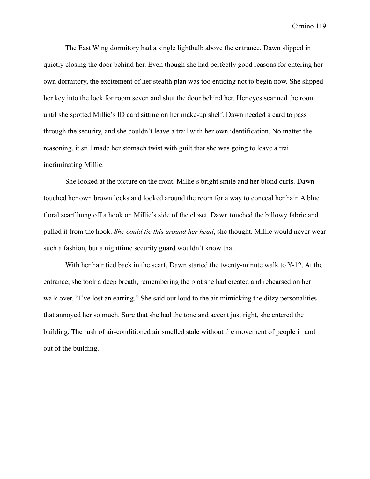The East Wing dormitory had a single lightbulb above the entrance. Dawn slipped in quietly closing the door behind her. Even though she had perfectly good reasons for entering her own dormitory, the excitement of her stealth plan was too enticing not to begin now. She slipped her key into the lock for room seven and shut the door behind her. Her eyes scanned the room until she spotted Millie's ID card sitting on her make-up shelf. Dawn needed a card to pass through the security, and she couldn't leave a trail with her own identification. No matter the reasoning, it still made her stomach twist with guilt that she was going to leave a trail incriminating Millie.

She looked at the picture on the front. Millie's bright smile and her blond curls. Dawn touched her own brown locks and looked around the room for a way to conceal her hair. A blue floral scarf hung off a hook on Millie's side of the closet. Dawn touched the billowy fabric and pulled it from the hook. *She could tie this around her head*, she thought. Millie would never wear such a fashion, but a nighttime security guard wouldn't know that.

With her hair tied back in the scarf, Dawn started the twenty-minute walk to Y-12. At the entrance, she took a deep breath, remembering the plot she had created and rehearsed on her walk over. "I've lost an earring." She said out loud to the air mimicking the ditzy personalities that annoyed her so much. Sure that she had the tone and accent just right, she entered the building. The rush of air-conditioned air smelled stale without the movement of people in and out of the building.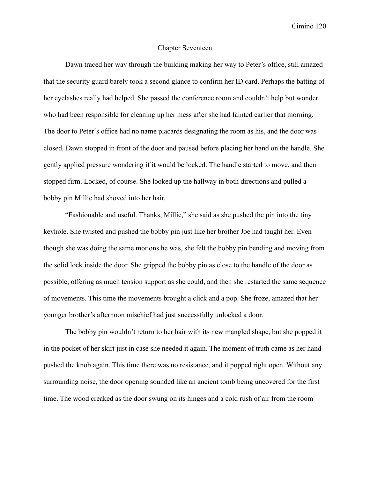### Chapter Seventeen

Dawn traced her way through the building making her way to Peter's office, still amazed that the security guard barely took a second glance to confirm her ID card. Perhaps the batting of her eyelashes really had helped. She passed the conference room and couldn't help but wonder who had been responsible for cleaning up her mess after she had fainted earlier that morning. The door to Peter's office had no name placards designating the room as his, and the door was closed. Dawn stopped in front of the door and paused before placing her hand on the handle. She gently applied pressure wondering if it would be locked. The handle started to move, and then stopped firm. Locked, of course. She looked up the hallway in both directions and pulled a bobby pin Millie had shoved into her hair.

"Fashionable and useful. Thanks, Millie," she said as she pushed the pin into the tiny keyhole. She twisted and pushed the bobby pin just like her brother Joe had taught her. Even though she was doing the same motions he was, she felt the bobby pin bending and moving from the solid lock inside the door. She gripped the bobby pin as close to the handle of the door as possible, offering as much tension support as she could, and then she restarted the same sequence of movements. This time the movements brought a click and a pop. She froze, amazed that her younger brother's afternoon mischief had just successfully unlocked a door.

The bobby pin wouldn't return to her hair with its new mangled shape, but she popped it in the pocket of her skirt just in case she needed it again. The moment of truth came as her hand pushed the knob again. This time there was no resistance, and it popped right open. Without any surrounding noise, the door opening sounded like an ancient tomb being uncovered for the first time. The wood creaked as the door swung on its hinges and a cold rush of air from the room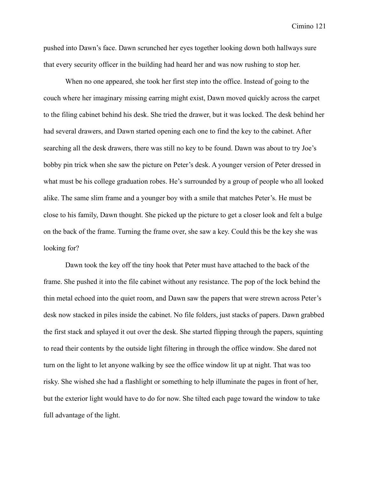pushed into Dawn's face. Dawn scrunched her eyes together looking down both hallways sure that every security officer in the building had heard her and was now rushing to stop her.

When no one appeared, she took her first step into the office. Instead of going to the couch where her imaginary missing earring might exist, Dawn moved quickly across the carpet to the filing cabinet behind his desk. She tried the drawer, but it was locked. The desk behind her had several drawers, and Dawn started opening each one to find the key to the cabinet. After searching all the desk drawers, there was still no key to be found. Dawn was about to try Joe's bobby pin trick when she saw the picture on Peter's desk. A younger version of Peter dressed in what must be his college graduation robes. He's surrounded by a group of people who all looked alike. The same slim frame and a younger boy with a smile that matches Peter's. He must be close to his family, Dawn thought. She picked up the picture to get a closer look and felt a bulge on the back of the frame. Turning the frame over, she saw a key. Could this be the key she was looking for?

Dawn took the key off the tiny hook that Peter must have attached to the back of the frame. She pushed it into the file cabinet without any resistance. The pop of the lock behind the thin metal echoed into the quiet room, and Dawn saw the papers that were strewn across Peter's desk now stacked in piles inside the cabinet. No file folders, just stacks of papers. Dawn grabbed the first stack and splayed it out over the desk. She started flipping through the papers, squinting to read their contents by the outside light filtering in through the office window. She dared not turn on the light to let anyone walking by see the office window lit up at night. That was too risky. She wished she had a flashlight or something to help illuminate the pages in front of her, but the exterior light would have to do for now. She tilted each page toward the window to take full advantage of the light.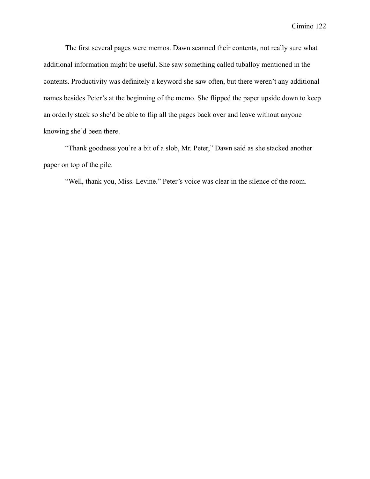The first several pages were memos. Dawn scanned their contents, not really sure what additional information might be useful. She saw something called tuballoy mentioned in the contents. Productivity was definitely a keyword she saw often, but there weren't any additional names besides Peter's at the beginning of the memo. She flipped the paper upside down to keep an orderly stack so she'd be able to flip all the pages back over and leave without anyone knowing she'd been there.

"Thank goodness you're a bit of a slob, Mr. Peter," Dawn said as she stacked another paper on top of the pile.

"Well, thank you, Miss. Levine." Peter's voice was clear in the silence of the room.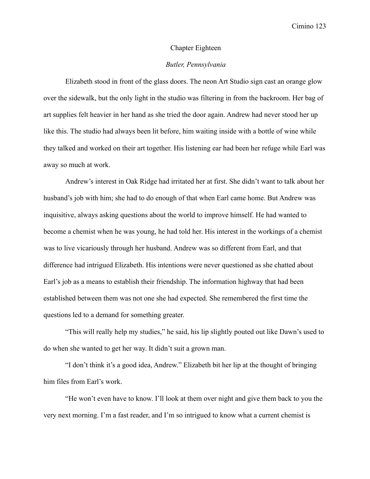### Chapter Eighteen

### *Butler, Pennsylvania*

Elizabeth stood in front of the glass doors. The neon Art Studio sign cast an orange glow over the sidewalk, but the only light in the studio was filtering in from the backroom. Her bag of art supplies felt heavier in her hand as she tried the door again. Andrew had never stood her up like this. The studio had always been lit before, him waiting inside with a bottle of wine while they talked and worked on their art together. His listening ear had been her refuge while Earl was away so much at work.

Andrew's interest in Oak Ridge had irritated her at first. She didn't want to talk about her husband's job with him; she had to do enough of that when Earl came home. But Andrew was inquisitive, always asking questions about the world to improve himself. He had wanted to become a chemist when he was young, he had told her. His interest in the workings of a chemist was to live vicariously through her husband. Andrew was so different from Earl, and that difference had intrigued Elizabeth. His intentions were never questioned as she chatted about Earl's job as a means to establish their friendship. The information highway that had been established between them was not one she had expected. She remembered the first time the questions led to a demand for something greater.

"This will really help my studies," he said, his lip slightly pouted out like Dawn's used to do when she wanted to get her way. It didn't suit a grown man.

"I don't think it's a good idea, Andrew." Elizabeth bit her lip at the thought of bringing him files from Earl's work.

"He won't even have to know. I'll look at them over night and give them back to you the very next morning. I'm a fast reader, and I'm so intrigued to know what a current chemist is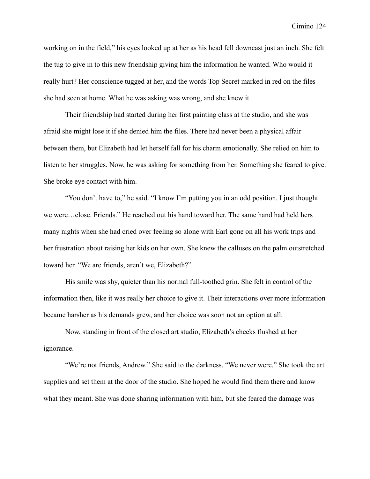working on in the field," his eyes looked up at her as his head fell downcast just an inch. She felt the tug to give in to this new friendship giving him the information he wanted. Who would it really hurt? Her conscience tugged at her, and the words Top Secret marked in red on the files she had seen at home. What he was asking was wrong, and she knew it.

Their friendship had started during her first painting class at the studio, and she was afraid she might lose it if she denied him the files. There had never been a physical affair between them, but Elizabeth had let herself fall for his charm emotionally. She relied on him to listen to her struggles. Now, he was asking for something from her. Something she feared to give. She broke eye contact with him.

"You don't have to," he said. "I know I'm putting you in an odd position. I just thought we were…close. Friends." He reached out his hand toward her. The same hand had held hers many nights when she had cried over feeling so alone with Earl gone on all his work trips and her frustration about raising her kids on her own. She knew the calluses on the palm outstretched toward her. "We are friends, aren't we, Elizabeth?"

His smile was shy, quieter than his normal full-toothed grin. She felt in control of the information then, like it was really her choice to give it. Their interactions over more information became harsher as his demands grew, and her choice was soon not an option at all.

Now, standing in front of the closed art studio, Elizabeth's cheeks flushed at her ignorance.

"We're not friends, Andrew." She said to the darkness. "We never were." She took the art supplies and set them at the door of the studio. She hoped he would find them there and know what they meant. She was done sharing information with him, but she feared the damage was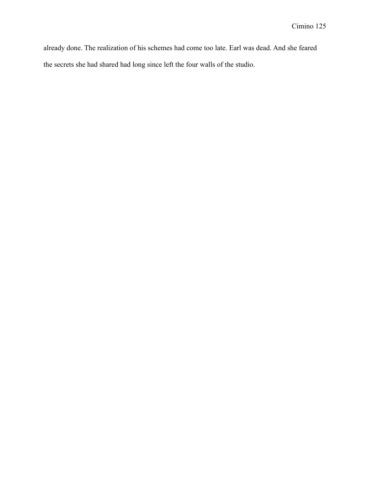already done. The realization of his schemes had come too late. Earl was dead. And she feared the secrets she had shared had long since left the four walls of the studio.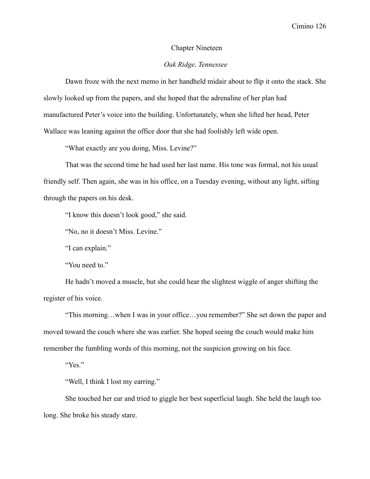### Chapter Nineteen

# *Oak Ridge, Tennessee*

Dawn froze with the next memo in her handheld midair about to flip it onto the stack. She slowly looked up from the papers, and she hoped that the adrenaline of her plan had manufactured Peter's voice into the building. Unfortunately, when she lifted her head, Peter Wallace was leaning against the office door that she had foolishly left wide open.

"What exactly are you doing, Miss. Levine?"

That was the second time he had used her last name. His tone was formal, not his usual friendly self. Then again, she was in his office, on a Tuesday evening, without any light, sifting through the papers on his desk.

"I know this doesn't look good," she said.

"No, no it doesn't Miss. Levine."

"I can explain."

"You need to."

He hadn't moved a muscle, but she could hear the slightest wiggle of anger shifting the register of his voice.

"This morning…when I was in your office…you remember?" She set down the paper and moved toward the couch where she was earlier. She hoped seeing the couch would make him remember the fumbling words of this morning, not the suspicion growing on his face.

"Yes."

"Well, I think I lost my earring."

She touched her ear and tried to giggle her best superficial laugh. She held the laugh too long. She broke his steady stare.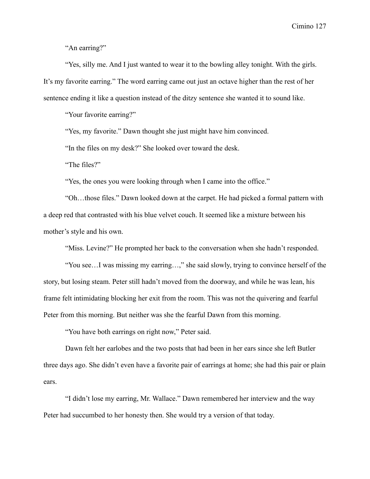"An earring?"

"Yes, silly me. And I just wanted to wear it to the bowling alley tonight. With the girls. It's my favorite earring." The word earring came out just an octave higher than the rest of her sentence ending it like a question instead of the ditzy sentence she wanted it to sound like.

"Your favorite earring?"

"Yes, my favorite." Dawn thought she just might have him convinced.

"In the files on my desk?" She looked over toward the desk.

"The files?"

"Yes, the ones you were looking through when I came into the office."

"Oh…those files." Dawn looked down at the carpet. He had picked a formal pattern with a deep red that contrasted with his blue velvet couch. It seemed like a mixture between his mother's style and his own.

"Miss. Levine?" He prompted her back to the conversation when she hadn't responded.

"You see…I was missing my earring…," she said slowly, trying to convince herself of the story, but losing steam. Peter still hadn't moved from the doorway, and while he was lean, his frame felt intimidating blocking her exit from the room. This was not the quivering and fearful Peter from this morning. But neither was she the fearful Dawn from this morning.

"You have both earrings on right now," Peter said.

Dawn felt her earlobes and the two posts that had been in her ears since she left Butler three days ago. She didn't even have a favorite pair of earrings at home; she had this pair or plain ears.

"I didn't lose my earring, Mr. Wallace." Dawn remembered her interview and the way Peter had succumbed to her honesty then. She would try a version of that today.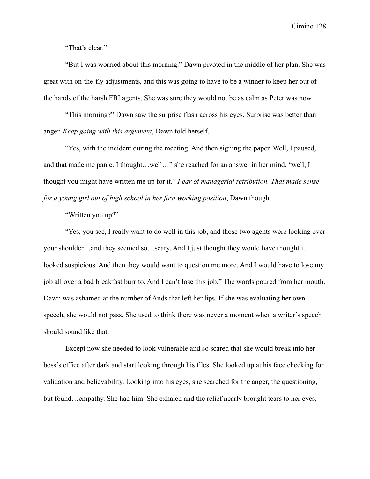"That's clear."

"But I was worried about this morning." Dawn pivoted in the middle of her plan. She was great with on-the-fly adjustments, and this was going to have to be a winner to keep her out of the hands of the harsh FBI agents. She was sure they would not be as calm as Peter was now.

"This morning?" Dawn saw the surprise flash across his eyes. Surprise was better than anger. *Keep going with this argument*, Dawn told herself.

"Yes, with the incident during the meeting. And then signing the paper. Well, I paused, and that made me panic. I thought…well…" she reached for an answer in her mind, "well, I thought you might have written me up for it." *Fear of managerial retribution. That made sense for a young girl out of high school in her first working position*, Dawn thought.

"Written you up?"

"Yes, you see, I really want to do well in this job, and those two agents were looking over your shoulder…and they seemed so…scary. And I just thought they would have thought it looked suspicious. And then they would want to question me more. And I would have to lose my job all over a bad breakfast burrito. And I can't lose this job." The words poured from her mouth. Dawn was ashamed at the number of Ands that left her lips. If she was evaluating her own speech, she would not pass. She used to think there was never a moment when a writer's speech should sound like that.

Except now she needed to look vulnerable and so scared that she would break into her boss's office after dark and start looking through his files. She looked up at his face checking for validation and believability. Looking into his eyes, she searched for the anger, the questioning, but found…empathy. She had him. She exhaled and the relief nearly brought tears to her eyes,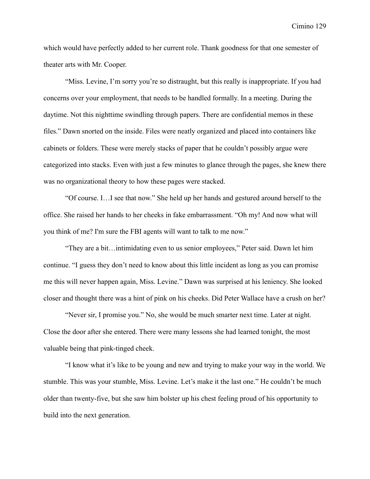which would have perfectly added to her current role. Thank goodness for that one semester of theater arts with Mr. Cooper.

"Miss. Levine, I'm sorry you're so distraught, but this really is inappropriate. If you had concerns over your employment, that needs to be handled formally. In a meeting. During the daytime. Not this nighttime swindling through papers. There are confidential memos in these files." Dawn snorted on the inside. Files were neatly organized and placed into containers like cabinets or folders. These were merely stacks of paper that he couldn't possibly argue were categorized into stacks. Even with just a few minutes to glance through the pages, she knew there was no organizational theory to how these pages were stacked.

"Of course. I…I see that now." She held up her hands and gestured around herself to the office. She raised her hands to her cheeks in fake embarrassment. "Oh my! And now what will you think of me? I'm sure the FBI agents will want to talk to me now."

"They are a bit…intimidating even to us senior employees," Peter said. Dawn let him continue. "I guess they don't need to know about this little incident as long as you can promise me this will never happen again, Miss. Levine." Dawn was surprised at his leniency. She looked closer and thought there was a hint of pink on his cheeks. Did Peter Wallace have a crush on her?

"Never sir, I promise you." No, she would be much smarter next time. Later at night. Close the door after she entered. There were many lessons she had learned tonight, the most valuable being that pink-tinged cheek.

"I know what it's like to be young and new and trying to make your way in the world. We stumble. This was your stumble, Miss. Levine. Let's make it the last one." He couldn't be much older than twenty-five, but she saw him bolster up his chest feeling proud of his opportunity to build into the next generation.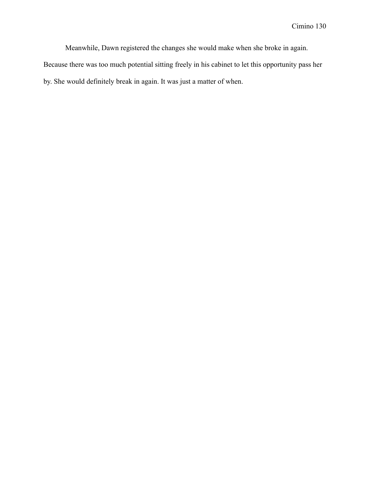Meanwhile, Dawn registered the changes she would make when she broke in again.

Because there was too much potential sitting freely in his cabinet to let this opportunity pass her by. She would definitely break in again. It was just a matter of when.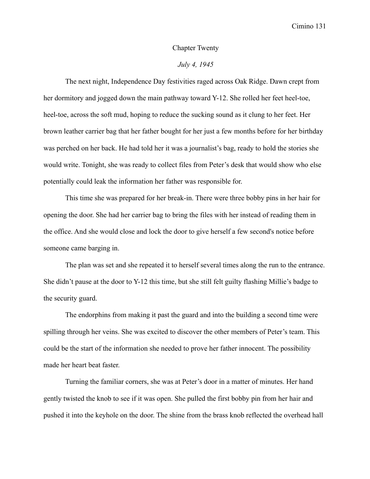### Chapter Twenty

## *July 4, 1945*

The next night, Independence Day festivities raged across Oak Ridge. Dawn crept from her dormitory and jogged down the main pathway toward Y-12. She rolled her feet heel-toe, heel-toe, across the soft mud, hoping to reduce the sucking sound as it clung to her feet. Her brown leather carrier bag that her father bought for her just a few months before for her birthday was perched on her back. He had told her it was a journalist's bag, ready to hold the stories she would write. Tonight, she was ready to collect files from Peter's desk that would show who else potentially could leak the information her father was responsible for.

This time she was prepared for her break-in. There were three bobby pins in her hair for opening the door. She had her carrier bag to bring the files with her instead of reading them in the office. And she would close and lock the door to give herself a few second's notice before someone came barging in.

The plan was set and she repeated it to herself several times along the run to the entrance. She didn't pause at the door to Y-12 this time, but she still felt guilty flashing Millie's badge to the security guard.

The endorphins from making it past the guard and into the building a second time were spilling through her veins. She was excited to discover the other members of Peter's team. This could be the start of the information she needed to prove her father innocent. The possibility made her heart beat faster.

Turning the familiar corners, she was at Peter's door in a matter of minutes. Her hand gently twisted the knob to see if it was open. She pulled the first bobby pin from her hair and pushed it into the keyhole on the door. The shine from the brass knob reflected the overhead hall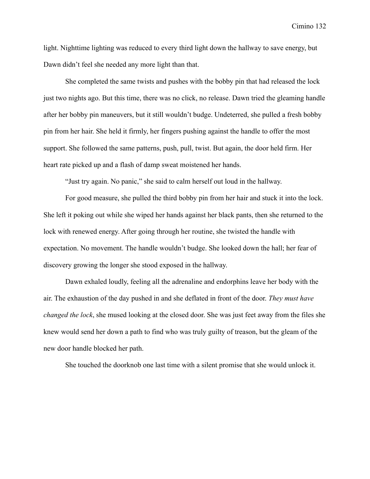light. Nighttime lighting was reduced to every third light down the hallway to save energy, but Dawn didn't feel she needed any more light than that.

She completed the same twists and pushes with the bobby pin that had released the lock just two nights ago. But this time, there was no click, no release. Dawn tried the gleaming handle after her bobby pin maneuvers, but it still wouldn't budge. Undeterred, she pulled a fresh bobby pin from her hair. She held it firmly, her fingers pushing against the handle to offer the most support. She followed the same patterns, push, pull, twist. But again, the door held firm. Her heart rate picked up and a flash of damp sweat moistened her hands.

"Just try again. No panic," she said to calm herself out loud in the hallway.

For good measure, she pulled the third bobby pin from her hair and stuck it into the lock. She left it poking out while she wiped her hands against her black pants, then she returned to the lock with renewed energy. After going through her routine, she twisted the handle with expectation. No movement. The handle wouldn't budge. She looked down the hall; her fear of discovery growing the longer she stood exposed in the hallway.

Dawn exhaled loudly, feeling all the adrenaline and endorphins leave her body with the air. The exhaustion of the day pushed in and she deflated in front of the door. *They must have changed the lock*, she mused looking at the closed door. She was just feet away from the files she knew would send her down a path to find who was truly guilty of treason, but the gleam of the new door handle blocked her path.

She touched the doorknob one last time with a silent promise that she would unlock it.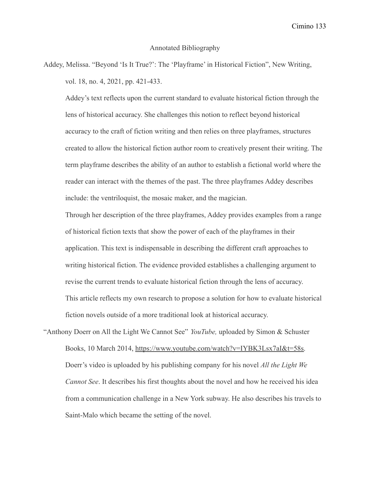### Annotated Bibliography

Addey, Melissa. "Beyond 'Is It True?': The 'Playframe' in Historical Fiction", New Writing, vol. 18, no. 4, 2021, pp. 421-433.

Addey's text reflects upon the current standard to evaluate historical fiction through the lens of historical accuracy. She challenges this notion to reflect beyond historical accuracy to the craft of fiction writing and then relies on three playframes, structures created to allow the historical fiction author room to creatively present their writing. The term playframe describes the ability of an author to establish a fictional world where the reader can interact with the themes of the past. The three playframes Addey describes include: the ventriloquist, the mosaic maker, and the magician.

Through her description of the three playframes, Addey provides examples from a range of historical fiction texts that show the power of each of the playframes in their application. This text is indispensable in describing the different craft approaches to writing historical fiction. The evidence provided establishes a challenging argument to revise the current trends to evaluate historical fiction through the lens of accuracy. This article reflects my own research to propose a solution for how to evaluate historical fiction novels outside of a more traditional look at historical accuracy.

"Anthony Doerr on All the Light We Cannot See" *YouTube,* uploaded by Simon & Schuster Books, 10 March 2014, [https://www.youtube.com/watch?v=IYBK3Lsx7aI&t=58s.](https://www.youtube.com/watch?v=IYBK3Lsx7aI&t=58s) Doerr's video is uploaded by his publishing company for his novel *All the Light We Cannot See*. It describes his first thoughts about the novel and how he received his idea from a communication challenge in a New York subway. He also describes his travels to Saint-Malo which became the setting of the novel.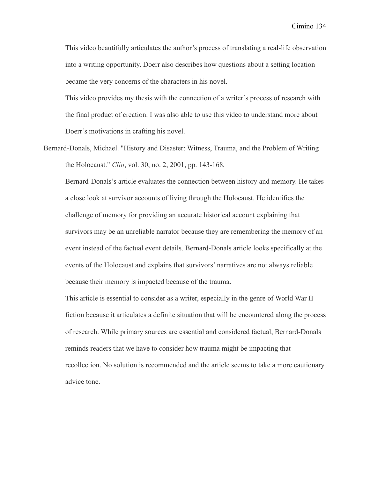This video beautifully articulates the author's process of translating a real-life observation into a writing opportunity. Doerr also describes how questions about a setting location became the very concerns of the characters in his novel.

This video provides my thesis with the connection of a writer's process of research with the final product of creation. I was also able to use this video to understand more about Doerr's motivations in crafting his novel.

Bernard-Donals, Michael. "History and Disaster: Witness, Trauma, and the Problem of Writing the Holocaust." *Clio*, vol. 30, no. 2, 2001, pp. 143-168*.*

Bernard-Donals's article evaluates the connection between history and memory. He takes a close look at survivor accounts of living through the Holocaust. He identifies the challenge of memory for providing an accurate historical account explaining that survivors may be an unreliable narrator because they are remembering the memory of an event instead of the factual event details. Bernard-Donals article looks specifically at the events of the Holocaust and explains that survivors' narratives are not always reliable because their memory is impacted because of the trauma.

This article is essential to consider as a writer, especially in the genre of World War II fiction because it articulates a definite situation that will be encountered along the process of research. While primary sources are essential and considered factual, Bernard-Donals reminds readers that we have to consider how trauma might be impacting that recollection. No solution is recommended and the article seems to take a more cautionary advice tone.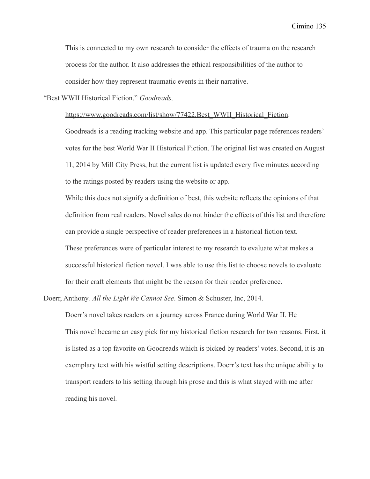This is connected to my own research to consider the effects of trauma on the research process for the author. It also addresses the ethical responsibilities of the author to consider how they represent traumatic events in their narrative.

"Best WWII Historical Fiction." *Goodreads,*

[https://www.goodreads.com/list/show/77422.Best\\_WWII\\_Historical\\_Fiction.](https://www.goodreads.com/list/show/77422.Best_WWII_Historical_Fiction)

Goodreads is a reading tracking website and app. This particular page references readers' votes for the best World War II Historical Fiction. The original list was created on August 11, 2014 by Mill City Press, but the current list is updated every five minutes according to the ratings posted by readers using the website or app.

While this does not signify a definition of best, this website reflects the opinions of that definition from real readers. Novel sales do not hinder the effects of this list and therefore can provide a single perspective of reader preferences in a historical fiction text. These preferences were of particular interest to my research to evaluate what makes a successful historical fiction novel. I was able to use this list to choose novels to evaluate

for their craft elements that might be the reason for their reader preference.

Doerr, Anthony. *All the Light We Cannot See*. Simon & Schuster, Inc, 2014.

Doerr's novel takes readers on a journey across France during World War II. He This novel became an easy pick for my historical fiction research for two reasons. First, it is listed as a top favorite on Goodreads which is picked by readers' votes. Second, it is an exemplary text with his wistful setting descriptions. Doerr's text has the unique ability to transport readers to his setting through his prose and this is what stayed with me after reading his novel.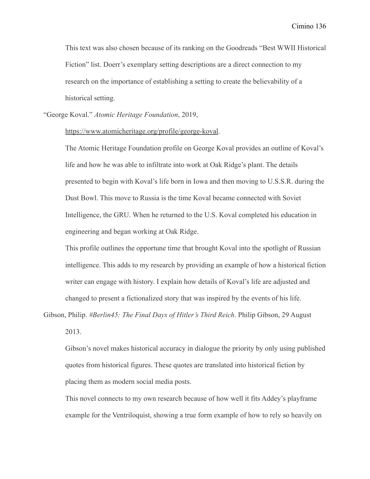This text was also chosen because of its ranking on the Goodreads "Best WWII Historical Fiction" list. Doerr's exemplary setting descriptions are a direct connection to my research on the importance of establishing a setting to create the believability of a historical setting.

"George Koval." *Atomic Heritage Foundation*, 2019,

#### <https://www.atomicheritage.org/profile/george-koval>.

The Atomic Heritage Foundation profile on George Koval provides an outline of Koval's life and how he was able to infiltrate into work at Oak Ridge's plant. The details presented to begin with Koval's life born in Iowa and then moving to U.S.S.R. during the Dust Bowl. This move to Russia is the time Koval became connected with Soviet Intelligence, the GRU. When he returned to the U.S. Koval completed his education in engineering and began working at Oak Ridge.

This profile outlines the opportune time that brought Koval into the spotlight of Russian intelligence. This adds to my research by providing an example of how a historical fiction writer can engage with history. I explain how details of Koval's life are adjusted and changed to present a fictionalized story that was inspired by the events of his life.

Gibson, Philip. *#Berlin45: The Final Days of Hitler's Third Reich*. Philip Gibson, 29 August 2013.

Gibson's novel makes historical accuracy in dialogue the priority by only using published quotes from historical figures. These quotes are translated into historical fiction by placing them as modern social media posts.

This novel connects to my own research because of how well it fits Addey's playframe example for the Ventriloquist, showing a true form example of how to rely so heavily on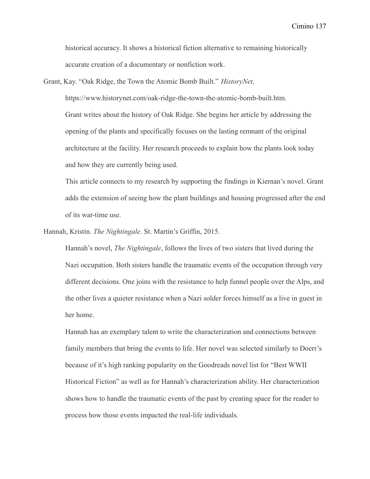historical accuracy. It shows a historical fiction alternative to remaining historically accurate creation of a documentary or nonfiction work.

Grant, Kay. "Oak Ridge, the Town the Atomic Bomb Built." *HistoryNet,*

https://www.historynet.com/oak-ridge-the-town-the-atomic-bomb-built.htm. Grant writes about the history of Oak Ridge. She begins her article by addressing the opening of the plants and specifically focuses on the lasting remnant of the original architecture at the facility. Her research proceeds to explain how the plants look today and how they are currently being used.

This article connects to my research by supporting the findings in Kiernan's novel. Grant adds the extension of seeing how the plant buildings and housing progressed after the end of its war-time use.

Hannah, Kristin. *The Nightingale*. St. Martin's Griffin, 2015.

Hannah's novel, *The Nightingale*, follows the lives of two sisters that lived during the Nazi occupation. Both sisters handle the traumatic events of the occupation through very different decisions. One joins with the resistance to help funnel people over the Alps, and the other lives a quieter resistance when a Nazi solder forces himself as a live in guest in her home.

Hannah has an exemplary talent to write the characterization and connections between family members that bring the events to life. Her novel was selected similarly to Doerr's because of it's high ranking popularity on the Goodreads novel list for "Best WWII Historical Fiction" as well as for Hannah's characterization ability. Her characterization shows how to handle the traumatic events of the past by creating space for the reader to process how those events impacted the real-life individuals.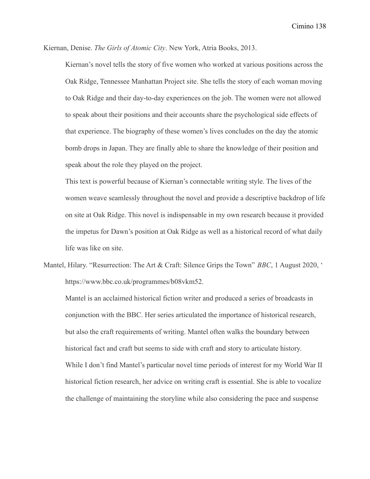Kiernan, Denise. *The Girls of Atomic City*. New York, Atria Books, 2013.

Kiernan's novel tells the story of five women who worked at various positions across the Oak Ridge, Tennessee Manhattan Project site. She tells the story of each woman moving to Oak Ridge and their day-to-day experiences on the job. The women were not allowed to speak about their positions and their accounts share the psychological side effects of that experience. The biography of these women's lives concludes on the day the atomic bomb drops in Japan. They are finally able to share the knowledge of their position and speak about the role they played on the project.

This text is powerful because of Kiernan's connectable writing style. The lives of the women weave seamlessly throughout the novel and provide a descriptive backdrop of life on site at Oak Ridge. This novel is indispensable in my own research because it provided the impetus for Dawn's position at Oak Ridge as well as a historical record of what daily life was like on site.

Mantel, Hilary. "Resurrection: The Art & Craft: Silence Grips the Town" *BBC*, 1 August 2020, ' https://www.bbc.co.uk/programmes/b08vkm52.

Mantel is an acclaimed historical fiction writer and produced a series of broadcasts in conjunction with the BBC. Her series articulated the importance of historical research, but also the craft requirements of writing. Mantel often walks the boundary between historical fact and craft but seems to side with craft and story to articulate history. While I don't find Mantel's particular novel time periods of interest for my World War II historical fiction research, her advice on writing craft is essential. She is able to vocalize the challenge of maintaining the storyline while also considering the pace and suspense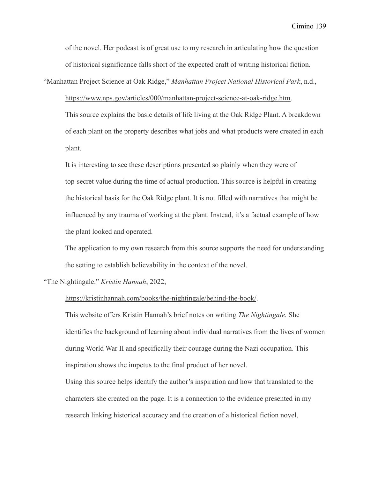of the novel. Her podcast is of great use to my research in articulating how the question of historical significance falls short of the expected craft of writing historical fiction.

"Manhattan Project Science at Oak Ridge," *Manhattan Project National Historical Park*, n.d.,

[https://www.nps.gov/articles/000/manhattan-project-science-at-oak-ridge.htm.](https://www.nps.gov/articles/000/manhattan-project-science-at-oak-ridge.htm)

This source explains the basic details of life living at the Oak Ridge Plant. A breakdown of each plant on the property describes what jobs and what products were created in each plant.

It is interesting to see these descriptions presented so plainly when they were of top-secret value during the time of actual production. This source is helpful in creating the historical basis for the Oak Ridge plant. It is not filled with narratives that might be influenced by any trauma of working at the plant. Instead, it's a factual example of how the plant looked and operated.

The application to my own research from this source supports the need for understanding the setting to establish believability in the context of the novel.

"The Nightingale." *Kristin Hannah*, 2022,

<https://kristinhannah.com/books/the-nightingale/behind-the-book/>.

This website offers Kristin Hannah's brief notes on writing *The Nightingale.* She identifies the background of learning about individual narratives from the lives of women during World War II and specifically their courage during the Nazi occupation. This inspiration shows the impetus to the final product of her novel.

Using this source helps identify the author's inspiration and how that translated to the characters she created on the page. It is a connection to the evidence presented in my research linking historical accuracy and the creation of a historical fiction novel,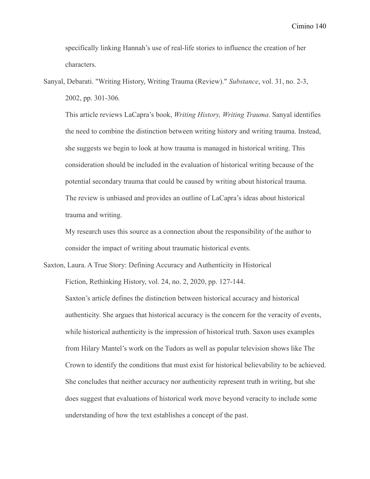specifically linking Hannah's use of real-life stories to influence the creation of her characters.

Sanyal, Debarati. "Writing History, Writing Trauma (Review)." *Substance*, vol. 31, no. 2-3, 2002, pp. 301-306*.*

This article reviews LaCapra's book, *Writing History, Writing Trauma*. Sanyal identifies the need to combine the distinction between writing history and writing trauma. Instead, she suggests we begin to look at how trauma is managed in historical writing. This consideration should be included in the evaluation of historical writing because of the potential secondary trauma that could be caused by writing about historical trauma. The review is unbiased and provides an outline of LaCapra's ideas about historical trauma and writing.

My research uses this source as a connection about the responsibility of the author to consider the impact of writing about traumatic historical events.

Saxton, Laura. A True Story: Defining Accuracy and Authenticity in Historical Fiction, Rethinking History, vol. 24, no. 2, 2020, pp. 127-144.

Saxton's article defines the distinction between historical accuracy and historical authenticity. She argues that historical accuracy is the concern for the veracity of events, while historical authenticity is the impression of historical truth. Saxon uses examples from Hilary Mantel's work on the Tudors as well as popular television shows like The Crown to identify the conditions that must exist for historical believability to be achieved. She concludes that neither accuracy nor authenticity represent truth in writing, but she does suggest that evaluations of historical work move beyond veracity to include some understanding of how the text establishes a concept of the past.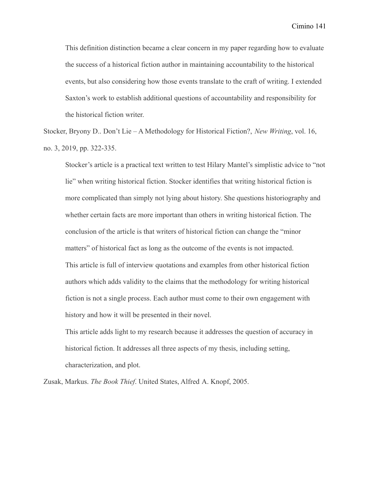This definition distinction became a clear concern in my paper regarding how to evaluate the success of a historical fiction author in maintaining accountability to the historical events, but also considering how those events translate to the craft of writing. I extended Saxton's work to establish additional questions of accountability and responsibility for the historical fiction writer.

Stocker, Bryony D.. Don't Lie – A Methodology for Historical Fiction?, *New Writing*, vol. 16, no. 3, 2019, pp. 322-335.

Stocker's article is a practical text written to test Hilary Mantel's simplistic advice to "not lie" when writing historical fiction. Stocker identifies that writing historical fiction is more complicated than simply not lying about history. She questions historiography and whether certain facts are more important than others in writing historical fiction. The conclusion of the article is that writers of historical fiction can change the "minor matters" of historical fact as long as the outcome of the events is not impacted. This article is full of interview quotations and examples from other historical fiction authors which adds validity to the claims that the methodology for writing historical fiction is not a single process. Each author must come to their own engagement with history and how it will be presented in their novel.

This article adds light to my research because it addresses the question of accuracy in historical fiction. It addresses all three aspects of my thesis, including setting, characterization, and plot.

Zusak, Markus. *The Book Thief*. United States, Alfred A. Knopf, 2005.